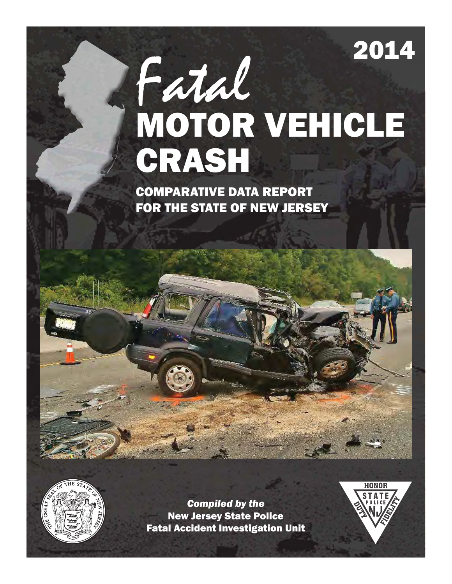# 2014

# Fatal MOTOR VEHICLE CRASH

COMPARATIVE DATA REPORT FOR THE STATE OF NEW JERSEY



*Compiled by the* New Jersey State Police Fatal Accident Investigation Unit

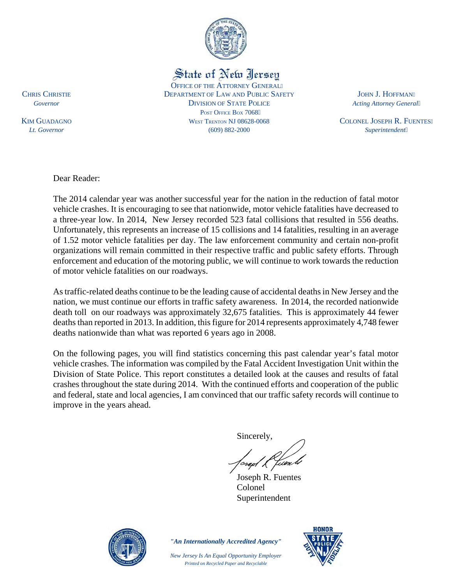

State of New Jersey

OFFICE OF THE ATTORNEY GENERAL" CHRIS CHRISTIE DEPARTMENT OF LAW AND PUBLIC SAFETY JOHN J. HOFFMAN" **Governor COVERTIGHT COVERTIGHT ACTING COVERTIGHT ACTING ACTING ACTING ACTING ACTING ACTING ACTING ACTING ACTING ACTING ACTING ACTING ACTING ACTING ACTING ACTING ACTING ACTING ACTING ACTING ACTING ACTING ACTING ACTING AC** POST OFFICE BOX 7068" KIM GUADAGNO **WEST TRENTON NJ 08628-0068** COLONEL JOSEPH R. FUENTES" *Lt. Governor* (609) 882-2000 *Superintendent*

Dear Reader:

The 2014 calendar year was another successful year for the nation in the reduction of fatal motor vehicle crashes. It is encouraging to see that nationwide, motor vehicle fatalities have decreased to a three-year low. In 2014, New Jersey recorded 523 fatal collisions that resulted in 556 deaths. Unfortunately, this represents an increase of 15 collisions and 14 fatalities, resulting in an average of 1.52 motor vehicle fatalities per day. The law enforcement community and certain non-profit organizations will remain committed in their respective traffic and public safety efforts. Through enforcement and education of the motoring public, we will continue to work towards the reduction of motor vehicle fatalities on our roadways.

As traffic-related deaths continue to be the leading cause of accidental deaths in New Jersey and the nation, we must continue our efforts in traffic safety awareness. In 2014, the recorded nationwide death toll on our roadways was approximately 32,675 fatalities. This is approximately 44 fewer deaths than reported in 2013. In addition, this figure for 2014 represents approximately 4,748 fewer deaths nationwide than what was reported 6 years ago in 2008.

On the following pages, you will find statistics concerning this past calendar year's fatal motor vehicle crashes. The information was compiled by the Fatal Accident Investigation Unit within the Division of State Police. This report constitutes a detailed look at the causes and results of fatal crashes throughout the state during 2014. With the continued efforts and cooperation of the public and federal, state and local agencies, I am convinced that our traffic safety records will continue to improve in the years ahead.

Sincerely,

 Joseph R. Fuentes Colonel Superintendent



*"An Internationally Accredited Agency"*

*New Jersey Is An Equal Opportunity Employer Printed on Recycled Paper and Recyclable*

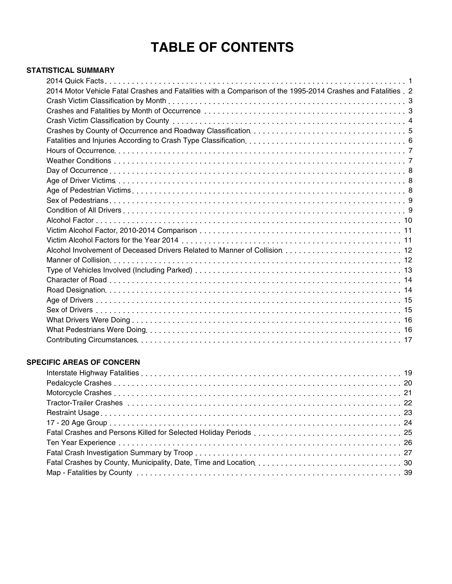# **TABLE OF CONTENTS**

### **STATISTICAL SUMMARY**

| 2014 Motor Vehicle Fatal Crashes and Fatalities with a Comparison of the 1995-2014 Crashes and Fatalities . 2 |  |
|---------------------------------------------------------------------------------------------------------------|--|
|                                                                                                               |  |
|                                                                                                               |  |
|                                                                                                               |  |
|                                                                                                               |  |
|                                                                                                               |  |
|                                                                                                               |  |
|                                                                                                               |  |
|                                                                                                               |  |
|                                                                                                               |  |
|                                                                                                               |  |
|                                                                                                               |  |
|                                                                                                               |  |
|                                                                                                               |  |
|                                                                                                               |  |
|                                                                                                               |  |
|                                                                                                               |  |
|                                                                                                               |  |
|                                                                                                               |  |
|                                                                                                               |  |
|                                                                                                               |  |
|                                                                                                               |  |
|                                                                                                               |  |
|                                                                                                               |  |
|                                                                                                               |  |
|                                                                                                               |  |
|                                                                                                               |  |

### **SPECIFIC AREAS OF CONCERN**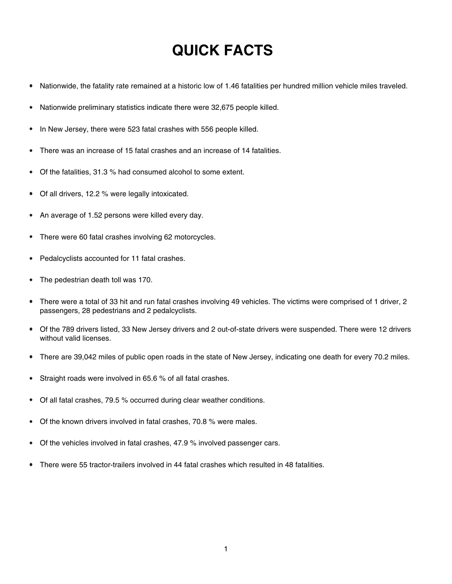# **QUICK FACTS**

- Nationwide, the fatality rate remained at a historic low of 1.46 fatalities per hundred million vehicle miles traveled.  $\bullet$
- Nationwide preliminary statistics indicate there were 32,675 people killed.
- In New Jersey, there were 523 fatal crashes with 556 people killed.
- There was an increase of 15 fatal crashes and an increase of 14 fatalities.
- Of the fatalities, 31.3 % had consumed alcohol to some extent.
- Of all drivers, 12.2 % were legally intoxicated.  $\bullet$
- An average of 1.52 persons were killed every day.
- There were 60 fatal crashes involving 62 motorcycles.
- Pedalcyclists accounted for 11 fatal crashes.
- The pedestrian death toll was 170.
- There were a total of 33 hit and run fatal crashes involving 49 vehicles. The victims were comprised of 1 driver, 2 passengers, 28 pedestrians and 2 pedalcyclists.
- Of the 789 drivers listed, 33 New Jersey drivers and 2 out-of-state drivers were suspended. There were 12 drivers without valid licenses.
- There are 39,042 miles of public open roads in the state of New Jersey, indicating one death for every 70.2 miles.
- Straight roads were involved in 65.6 % of all fatal crashes.
- Of all fatal crashes, 79.5 % occurred during clear weather conditions.
- Of the known drivers involved in fatal crashes, 70.8 % were males.
- Of the vehicles involved in fatal crashes, 47.9 % involved passenger cars.
- There were 55 tractor-trailers involved in 44 fatal crashes which resulted in 48 fatalities.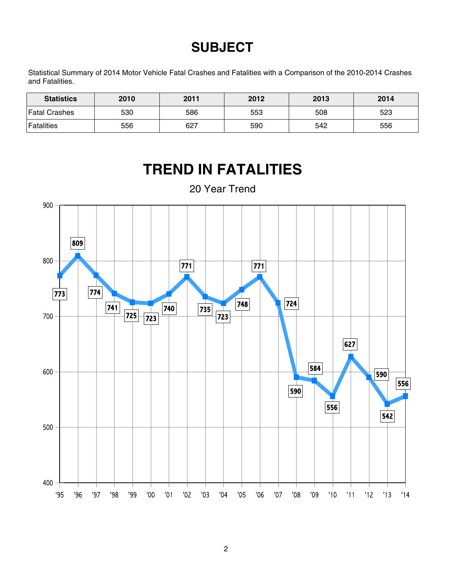# **SUBJECT**

Statistical Summary of 2014 Motor Vehicle Fatal Crashes and Fatalities with a Comparison of the 2010-2014 Crashes and Fatalities.

| <b>Statistics</b> | 2010 | 2011 | 2012 | 2013 | 2014 |
|-------------------|------|------|------|------|------|
| Fatal Crashes     | 530  | 586  | 553  | 508  | 523  |
| <b>Fatalities</b> | 556  | 627  | 590  | 542  | 556  |

# **TREND IN FATALITIES**



20 Year Trend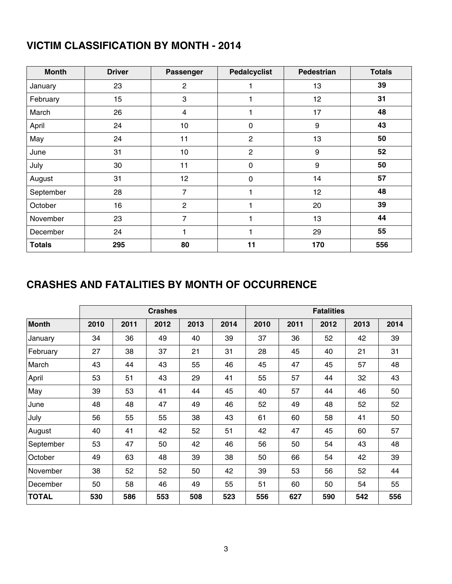# **VICTIM CLASSIFICATION BY MONTH - 2014**

| <b>Month</b>  | <b>Driver</b> | Passenger      | <b>Pedalcyclist</b> | <b>Pedestrian</b> | <b>Totals</b> |
|---------------|---------------|----------------|---------------------|-------------------|---------------|
| January       | 23            | $\overline{c}$ | 1                   | 13                | 39            |
| February      | 15            | 3              | 1                   | 12                | 31            |
| March         | 26            | 4              | 1                   | 17                | 48            |
| April         | 24            | 10             | $\pmb{0}$           | $\boldsymbol{9}$  | 43            |
| May           | 24            | 11             | $\mathbf{2}$        | 13                | 50            |
| June          | 31            | 10             | $\overline{2}$      | 9                 | 52            |
| July          | 30            | 11             | $\pmb{0}$           | $\boldsymbol{9}$  | 50            |
| August        | 31            | 12             | $\pmb{0}$           | 14                | 57            |
| September     | 28            | $\overline{7}$ | 1                   | 12                | 48            |
| October       | 16            | $\overline{2}$ | 1                   | 20                | 39            |
| November      | 23            | $\overline{7}$ | 1                   | 13                | 44            |
| December      | 24            | 1              | 1                   | 29                | 55            |
| <b>Totals</b> | 295           | 80             | 11                  | 170               | 556           |

# **CRASHES AND FATALITIES BY MONTH OF OCCURRENCE**

|              |      |      | <b>Crashes</b> |      |      |      |      | <b>Fatalities</b> |      |      |
|--------------|------|------|----------------|------|------|------|------|-------------------|------|------|
| <b>Month</b> | 2010 | 2011 | 2012           | 2013 | 2014 | 2010 | 2011 | 2012              | 2013 | 2014 |
| January      | 34   | 36   | 49             | 40   | 39   | 37   | 36   | 52                | 42   | 39   |
| February     | 27   | 38   | 37             | 21   | 31   | 28   | 45   | 40                | 21   | 31   |
| March        | 43   | 44   | 43             | 55   | 46   | 45   | 47   | 45                | 57   | 48   |
| April        | 53   | 51   | 43             | 29   | 41   | 55   | 57   | 44                | 32   | 43   |
| May          | 39   | 53   | 41             | 44   | 45   | 40   | 57   | 44                | 46   | 50   |
| June         | 48   | 48   | 47             | 49   | 46   | 52   | 49   | 48                | 52   | 52   |
| July         | 56   | 55   | 55             | 38   | 43   | 61   | 60   | 58                | 41   | 50   |
| August       | 40   | 41   | 42             | 52   | 51   | 42   | 47   | 45                | 60   | 57   |
| September    | 53   | 47   | 50             | 42   | 46   | 56   | 50   | 54                | 43   | 48   |
| October      | 49   | 63   | 48             | 39   | 38   | 50   | 66   | 54                | 42   | 39   |
| November     | 38   | 52   | 52             | 50   | 42   | 39   | 53   | 56                | 52   | 44   |
| December     | 50   | 58   | 46             | 49   | 55   | 51   | 60   | 50                | 54   | 55   |
| <b>TOTAL</b> | 530  | 586  | 553            | 508  | 523  | 556  | 627  | 590               | 542  | 556  |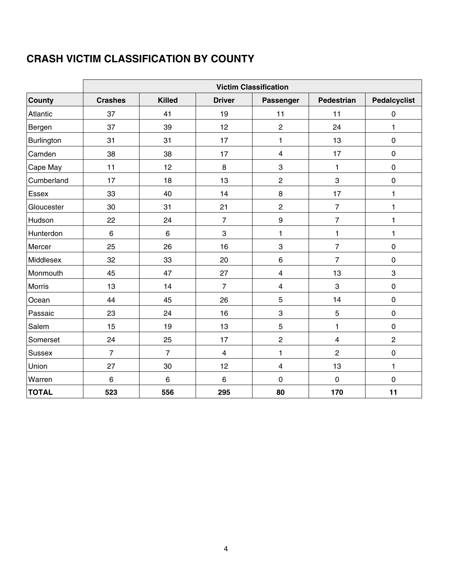# **CRASH VICTIM CLASSIFICATION BY COUNTY**

|               | <b>Victim Classification</b> |                 |                         |                         |                         |                     |  |  |
|---------------|------------------------------|-----------------|-------------------------|-------------------------|-------------------------|---------------------|--|--|
| <b>County</b> | <b>Crashes</b>               | <b>Killed</b>   | <b>Driver</b>           | Passenger               | Pedestrian              | <b>Pedalcyclist</b> |  |  |
| Atlantic      | 37                           | 41              | 19                      | 11                      | 11                      | $\pmb{0}$           |  |  |
| Bergen        | 37                           | 39              | 12                      | $\overline{c}$          | 24                      | $\mathbf{1}$        |  |  |
| Burlington    | 31                           | 31              | 17                      | 1                       | 13                      | $\pmb{0}$           |  |  |
| Camden        | 38                           | 38              | 17                      | $\overline{\mathbf{4}}$ | 17                      | $\mathbf 0$         |  |  |
| Cape May      | 11                           | 12              | 8                       | 3                       | 1                       | $\pmb{0}$           |  |  |
| Cumberland    | 17                           | 18              | 13                      | $\overline{c}$          | 3                       | $\pmb{0}$           |  |  |
| Essex         | 33                           | 40              | 14                      | 8                       | 17                      | 1                   |  |  |
| Gloucester    | 30                           | 31              | 21                      | $\overline{\mathbf{c}}$ | $\overline{7}$          | 1                   |  |  |
| Hudson        | 22                           | 24              | $\overline{7}$          | $\boldsymbol{9}$        | $\overline{7}$          | 1                   |  |  |
| Hunterdon     | $6\phantom{1}$               | $6\phantom{1}6$ | 3                       | 1                       | $\mathbf{1}$            | 1                   |  |  |
| Mercer        | 25                           | 26              | 16                      | 3                       | $\overline{7}$          | $\mathbf 0$         |  |  |
| Middlesex     | 32                           | 33              | 20                      | $\,6\,$                 | $\overline{7}$          | $\pmb{0}$           |  |  |
| Monmouth      | 45                           | 47              | 27                      | $\overline{\mathbf{4}}$ | 13                      | 3                   |  |  |
| <b>Morris</b> | 13                           | 14              | $\overline{7}$          | 4                       | 3                       | $\mathbf 0$         |  |  |
| Ocean         | 44                           | 45              | 26                      | 5                       | 14                      | $\mathbf 0$         |  |  |
| Passaic       | 23                           | 24              | 16                      | 3                       | $\overline{5}$          | $\pmb{0}$           |  |  |
| Salem         | 15                           | 19              | 13                      | 5                       | $\mathbf{1}$            | $\pmb{0}$           |  |  |
| Somerset      | 24                           | 25              | 17                      | $\mathbf 2$             | $\overline{\mathbf{4}}$ | $\overline{2}$      |  |  |
| Sussex        | $\overline{7}$               | $\overline{7}$  | $\overline{\mathbf{4}}$ | 1                       | $\overline{c}$          | $\pmb{0}$           |  |  |
| Union         | 27                           | 30              | 12                      | $\overline{\mathbf{4}}$ | 13                      | $\mathbf{1}$        |  |  |
| Warren        | 6                            | 6               | 6                       | $\pmb{0}$               | $\pmb{0}$               | $\pmb{0}$           |  |  |
| <b>TOTAL</b>  | 523                          | 556             | 295                     | 80                      | 170                     | 11                  |  |  |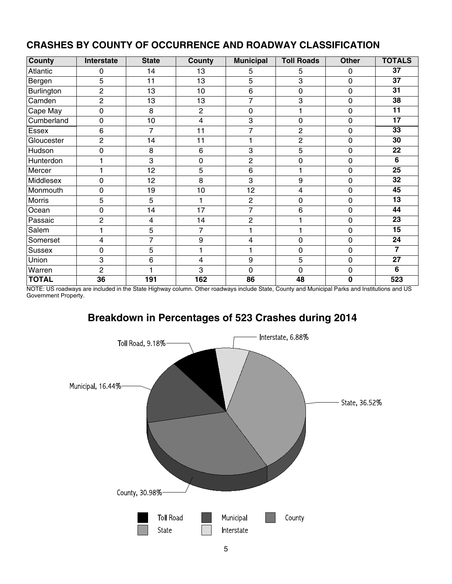| County       | Interstate      | <b>State</b>   | County         | <b>Municipal</b> | <b>Toll Roads</b> | <b>Other</b> | <b>TOTALS</b>   |
|--------------|-----------------|----------------|----------------|------------------|-------------------|--------------|-----------------|
| Atlantic     | 0               | 14             | 13             | 5                | 5                 | 0            | 37              |
| Bergen       | 5               | 11             | 13             | 5                | 3                 | 0            | $\overline{37}$ |
| Burlington   | $\overline{c}$  | 13             | 10             | 6                | 0                 | 0            | $\overline{31}$ |
| Camden       | $\overline{c}$  | 13             | 13             | $\overline{7}$   | 3                 | 0            | 38              |
| Cape May     | $\mathbf 0$     | 8              | $\overline{2}$ | $\mathbf 0$      | 1                 | 0            | $\overline{11}$ |
| Cumberland   | $\mathbf 0$     | 10             | 4              | 3                | $\mathbf 0$       | 0            | $\overline{17}$ |
| Essex        | $\,6$           | 7              | 11             | $\overline{7}$   | $\overline{c}$    | 0            | $\overline{33}$ |
| Gloucester   | 2               | 14             | 11             | 1                | $\overline{c}$    | 0            | 30              |
| Hudson       | $\mathbf 0$     | 8              | 6              | 3                | $\sqrt{5}$        | $\mathbf 0$  | 22              |
| Hunterdon    | 1               | 3              | 0              | $\overline{2}$   | 0                 | 0            | 6               |
| Mercer       | 1               | 12             | 5              | 6                | 1                 | 0            | $\overline{25}$ |
| Middlesex    | $\mathbf 0$     | 12             | 8              | 3                | 9                 | 0            | 32              |
| Monmouth     | 0               | 19             | 10             | 12               | 4                 | 0            | 45              |
| Morris       | 5               | 5              | 1              | $\overline{c}$   | 0                 | 0            | 13              |
| Ocean        | $\mathbf 0$     | 14             | 17             | $\overline{7}$   | 6                 | 0            | 44              |
| Passaic      | $\overline{c}$  | $\overline{4}$ | 14             | $\overline{c}$   | 1                 | 0            | 23              |
| Salem        | 1               | 5              | 7              |                  | 1                 | 0            | $\overline{15}$ |
| Somerset     | 4               | 7              | 9              | 4                | 0                 | 0            | $\overline{24}$ |
| Sussex       | $\mathbf 0$     | 5              |                |                  | 0                 | $\mathbf 0$  | $\overline{7}$  |
| Union        | 3               | 6              | 4              | 9                | 5                 | 0            | 27              |
| Warren       | $\overline{2}$  |                | 3              | $\mathbf 0$      | 0                 | $\mathbf 0$  | 6               |
| <b>TOTAL</b> | $\overline{36}$ | 191            | 162            | 86               | 48                | 0            | 523             |

## **CRASHES BY COUNTY OF OCCURRENCE AND ROADWAY CLASSIFICATION**

NOTE: US roadways are included in the State Highway column. Other roadways include State, County and Municipal Parks and Institutions and US Government Property.

# **Breakdown in Percentages of 523 Crashes during 2014**

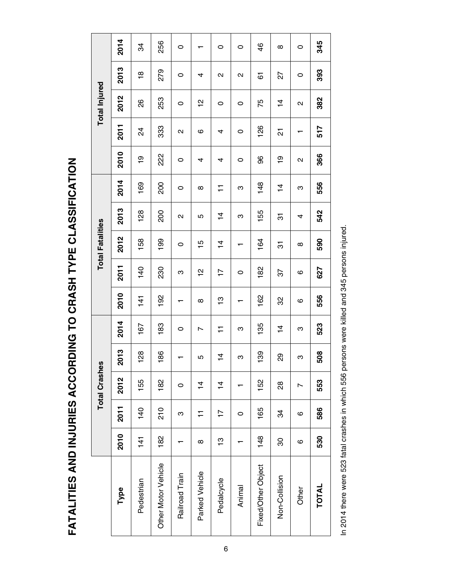FATALITIES AND INJURIES ACCORDING TO CRASH TYPE CLASSIFICATION **FATALITIES AND INJURIES ACCORDING TO CRASH TYPE CLASSIFICATION**

|                     |                |                | <b>Total Crashes</b> |           |               |          |                | <b>Total Fatalities</b> |                   |               |                   |                   | <b>Total Injured</b> |                   |          |
|---------------------|----------------|----------------|----------------------|-----------|---------------|----------|----------------|-------------------------|-------------------|---------------|-------------------|-------------------|----------------------|-------------------|----------|
| Type                | 2010           | 2011           | 2012                 | 2013      | 2014          | 2010     | 2011           | 2012                    | 2013              | 2014          | 2010              | 2011              | 2012                 | 2013              | 2014     |
| Pedestrian          | $\frac{14}{1}$ | 140            | 155                  | 28        | 167           | 141      | 140            | 158                     | 128               | 169           | $\frac{6}{1}$     | $\frac{4}{3}$     | 88                   | $\frac{8}{1}$     | ನೆ       |
| Other Motor Vehicle | 182            | 210            | 182                  | 86        | 183           | 192      | 230            | 199                     | 200               | 200           | 222               | 333               | 253                  | 279               | 256      |
| Railroad Train      |                | ო              | $\circ$              | $\mathbf$ | $\circ$       | ┯        | ო              | $\circ$                 | $\mathbf{\Omega}$ | $\circ$       | $\circ$           | $\mathbf{\Omega}$ | $\circ$              | $\circ$           | 0        |
| Parked Vehicle      | $\infty$       | ∓              | $\frac{4}{4}$        | Ю         | N             | $\infty$ | $\frac{1}{2}$  | 15                      | 5                 | $\infty$      | 4                 | ဖ                 | 으                    | 4                 |          |
| Pedalcycle          | င္             | $\overline{1}$ | $\dot{4}$            | 4         | ∓             | ဗ္       | $\overline{1}$ | $\frac{1}{4}$           | $\overline{4}$    | ∓             | 4                 | 4                 | 0                    | $\mathbf{\Omega}$ | $\circ$  |
| Animal              |                | 0              |                      | ო         | ო             | ↽        | 0              | ↽                       | ო                 | ო             | 0                 | 0                 | 0                    | $\mathbf{\Omega}$ | 0        |
| Fixed/Other Object  | 148            | 165            | 152                  | 39        | 135           | 162      | 182            | 164                     | 155               | 148           | 96                | 126               | 75                   | 67                | 46       |
| Non-Collision       | 30             | 34             | $\frac{8}{2}$        | 89        | $\frac{4}{4}$ | 32       | 57             | 5                       | 5                 | $\frac{4}{4}$ | စ္                | 21                | $\dot{z}$            | 22                | $\infty$ |
| Other               | ဖ              | ဖ              | Ľ                    | ო         | ო             | ဖ        | ဖ              | $\infty$                | 4                 | ო             | $\mathbf{\Omega}$ | ┯                 | $\mathbf{\Omega}$    | 0                 | 0        |
| TOTAL               | 530            | 586            | 553                  | 508       | 523           | 556      | 627            | 590                     | 542               | 556           | 366               | 517               | 382                  | 393               | 345      |

In 2014 there were 523 fatal crashes in which 556 persons were killed and 345 persons injured. In 2014 there were 523 fatal crashes in which 556 persons were killed and 345 persons injured.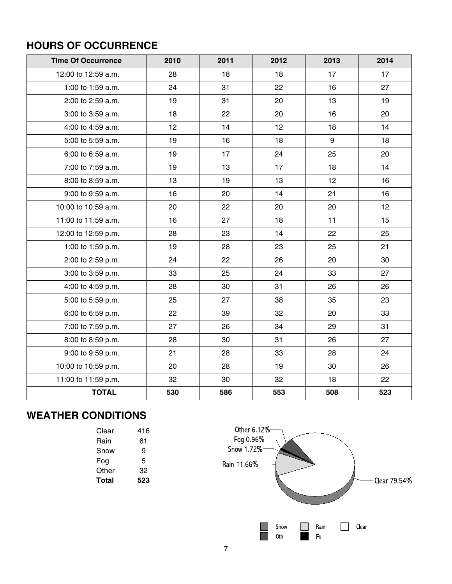# **HOURS OF OCCURRENCE**

| <b>Time Of Occurrence</b> | 2010 | 2011 | 2012 | 2013            | 2014 |
|---------------------------|------|------|------|-----------------|------|
| 12:00 to 12:59 a.m.       | 28   | 18   | 18   | 17              | 17   |
| 1:00 to 1:59 a.m.         | 24   | 31   | 22   | 16              | 27   |
| 2:00 to 2:59 a.m.         | 19   | 31   | 20   | 13              | 19   |
| 3:00 to 3:59 a.m.         | 18   | 22   | 20   | 16              | 20   |
| 4:00 to 4:59 a.m.         | 12   | 14   | 12   | 18              | 14   |
| 5:00 to 5:59 a.m.         | 19   | 16   | 18   | 9               | 18   |
| 6:00 to 6:59 a.m.         | 19   | 17   | 24   | 25              | 20   |
| 7:00 to 7:59 a.m.         | 19   | 13   | 17   | 18              | 14   |
| 8:00 to 8:59 a.m.         | 13   | 19   | 13   | 12 <sub>2</sub> | 16   |
| 9:00 to 9:59 a.m.         | 16   | 20   | 14   | 21              | 16   |
| 10:00 to 10:59 a.m.       | 20   | 22   | 20   | 20              | 12   |
| 11:00 to 11:59 a.m.       | 16   | 27   | 18   | 11              | 15   |
| 12:00 to 12:59 p.m.       | 28   | 23   | 14   | 22              | 25   |
| 1:00 to 1:59 p.m.         | 19   | 28   | 23   | 25              | 21   |
| 2:00 to 2:59 p.m.         | 24   | 22   | 26   | 20              | 30   |
| 3:00 to 3:59 p.m.         | 33   | 25   | 24   | 33              | 27   |
| 4:00 to 4:59 p.m.         | 28   | 30   | 31   | 26              | 26   |
| 5:00 to 5:59 p.m.         | 25   | 27   | 38   | 35              | 23   |
| 6:00 to 6:59 p.m.         | 22   | 39   | 32   | 20              | 33   |
| 7:00 to 7:59 p.m.         | 27   | 26   | 34   | 29              | 31   |
| 8:00 to 8:59 p.m.         | 28   | 30   | 31   | 26              | 27   |
| 9:00 to 9:59 p.m.         | 21   | 28   | 33   | 28              | 24   |
| 10:00 to 10:59 p.m.       | 20   | 28   | 19   | 30              | 26   |
| 11:00 to 11:59 p.m.       | 32   | 30   | 32   | 18              | 22   |
| <b>TOTAL</b>              | 530  | 586  | 553  | 508             | 523  |

# **WEATHER CONDITIONS**

| Clear | 416 |
|-------|-----|
| Rain  | 61  |
| Snow  | 9   |
| Fog   | 5   |
| Other | 32  |
| Total | 523 |
|       |     |

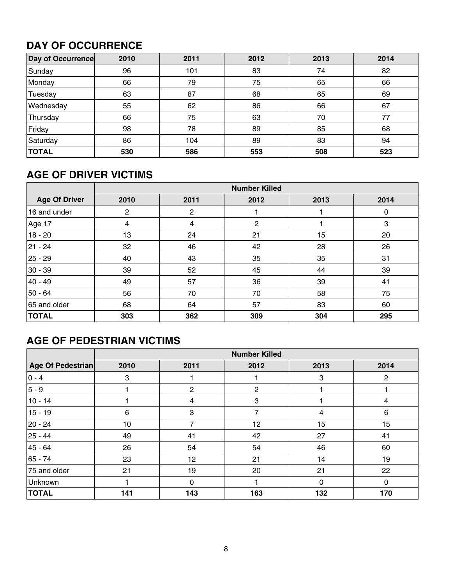# **DAY OF OCCURRENCE**

| Day of Occurrence | 2010 | 2011 | 2012 | 2013 | 2014 |
|-------------------|------|------|------|------|------|
| Sunday            | 96   | 101  | 83   | 74   | 82   |
| Monday            | 66   | 79   | 75   | 65   | 66   |
| Tuesday           | 63   | 87   | 68   | 65   | 69   |
| Wednesday         | 55   | 62   | 86   | 66   | 67   |
| Thursday          | 66   | 75   | 63   | 70   | 77   |
| Friday            | 98   | 78   | 89   | 85   | 68   |
| Saturday          | 86   | 104  | 89   | 83   | 94   |
| <b>TOTAL</b>      | 530  | 586  | 553  | 508  | 523  |

# **AGE OF DRIVER VICTIMS**

|                      |      |                | <b>Number Killed</b> |      |      |
|----------------------|------|----------------|----------------------|------|------|
| <b>Age Of Driver</b> | 2010 | 2011           | 2012                 | 2013 | 2014 |
| 16 and under         | 2    | $\overline{2}$ |                      |      | 0    |
| Age 17               | 4    | 4              | $\overline{2}$       |      | 3    |
| $18 - 20$            | 13   | 24             | 21                   | 15   | 20   |
| 21 - 24              | 32   | 46             | 42                   | 28   | 26   |
| $25 - 29$            | 40   | 43             | 35                   | 35   | 31   |
| $30 - 39$            | 39   | 52             | 45                   | 44   | 39   |
| $40 - 49$            | 49   | 57             | 36                   | 39   | 41   |
| $50 - 64$            | 56   | 70             | 70                   | 58   | 75   |
| 65 and older         | 68   | 64             | 57                   | 83   | 60   |
| <b>TOTAL</b>         | 303  | 362            | 309                  | 304  | 295  |

# **AGE OF PEDESTRIAN VICTIMS**

|                   |      |              | <b>Number Killed</b> |              |                |
|-------------------|------|--------------|----------------------|--------------|----------------|
| Age Of Pedestrian | 2010 | 2011         | 2012                 | 2013         | 2014           |
| $ 0 - 4 $         | 3    |              |                      | 3            | $\overline{2}$ |
| $ 5 - 9 $         |      | 2            | $\overline{2}$       |              |                |
| 10 - 14           |      | 4            | 3                    |              | 4              |
| 15 - 19           | 6    | 3            | 7                    | 4            | $\,6\,$        |
| $ 20 - 24 $       | 10   | 7            | 12                   | 15           | 15             |
| $ 25 - 44$        | 49   | 41           | 42                   | 27           | 41             |
| 45 - 64           | 26   | 54           | 54                   | 46           | 60             |
| $ 65 - 74$        | 23   | 12           | 21                   | 14           | 19             |
| 75 and older      | 21   | 19           | 20                   | 21           | 22             |
| Unknown           |      | $\mathbf{0}$ |                      | $\mathbf{0}$ | $\mathbf{0}$   |
| <b>TOTAL</b>      | 141  | 143          | 163                  | 132          | 170            |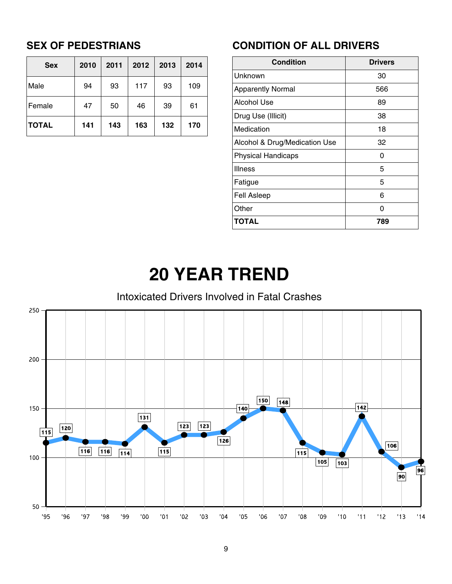# **SEX OF PEDESTRIANS**

| <b>Sex</b>   | 2010 | 2011 | 2012 | 2013 | 2014 |
|--------------|------|------|------|------|------|
| Male         | 94   | 93   | 117  | 93   | 109  |
| Female       | 47   | 50   | 46   | 39   | 61   |
| <b>TOTAL</b> | 141  | 143  | 163  | 132  | 170  |

# **CONDITION OF ALL DRIVERS**

| <b>Condition</b>              | <b>Drivers</b> |
|-------------------------------|----------------|
| Unknown                       | 30             |
| <b>Apparently Normal</b>      | 566            |
| Alcohol Use                   | 89             |
| Drug Use (Illicit)            | 38             |
| Medication                    | 18             |
| Alcohol & Drug/Medication Use | 32             |
| <b>Physical Handicaps</b>     | O              |
| <b>Illness</b>                | 5              |
| Fatigue                       | 5              |
| <b>Fell Asleep</b>            | 6              |
| Other                         | ი              |
| TOTAL                         | 789            |

# **20 YEAR TREND**

# Intoxicated Drivers Involved in Fatal Crashes

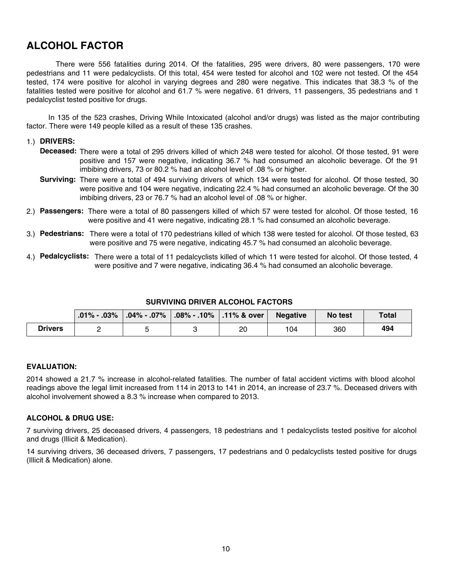# **ALCOHOL FACTOR**

 There were 556 fatalities during 2014. Of the fatalities, 295 were drivers, 80 were passengers, 170 were pedestrians and 11 were pedalcyclists. Of this total, 454 were tested for alcohol and 102 were not tested. Of the 454 tested, 174 were positive for alcohol in varying degrees and 280 were negative. This indicates that 38.3 % of the fatalities tested were positive for alcohol and 61.7 % were negative. 61 drivers, 11 passengers, 35 pedestrians and 1 pedalcyclist tested positive for drugs.

 In 135 of the 523 crashes, Driving While Intoxicated (alcohol and/or drugs) was listed as the major contributing factor. There were 149 people killed as a result of these 135 crashes.

### 1.) **DRIVERS:**

- **Deceased:** There were a total of 295 drivers killed of which 248 were tested for alcohol. Of those tested, 91 were positive and 157 were negative, indicating 36.7 % had consumed an alcoholic beverage. Of the 91 imbibing drivers, 73 or 80.2 % had an alcohol level of .08 % or higher.
- **Surviving:** There were a total of 494 surviving drivers of which 134 were tested for alcohol. Of those tested, 30 were positive and 104 were negative, indicating 22.4 % had consumed an alcoholic beverage. Of the 30 imbibing drivers, 23 or 76.7 % had an alcohol level of .08 % or higher.
- 2.) **Passengers:** There were a total of 80 passengers killed of which 57 were tested for alcohol. Of those tested, 16 were positive and 41 were negative, indicating 28.1 % had consumed an alcoholic beverage.
- 3.) **Pedestrians:** There were a total of 170 pedestrians killed of which 138 were tested for alcohol. Of those tested, 63 were positive and 75 were negative, indicating 45.7 % had consumed an alcoholic beverage.
- 4.) **Pedalcyclists:** There were a total of 11 pedalcyclists killed of which 11 were tested for alcohol. Of those tested, 4 were positive and 7 were negative, indicating 36.4 % had consumed an alcoholic beverage.

### **SURVIVING DRIVER ALCOHOL FACTORS**

|                | $.01\%$ - $.03\%$ | $\vert$ .04% - .07% $\vert$ | $\mid$ .08% - .10% $\mid$ .11% & over $\mid$ | <b>Negative</b> | No test | <b>Total</b> |
|----------------|-------------------|-----------------------------|----------------------------------------------|-----------------|---------|--------------|
| <b>Drivers</b> |                   |                             | 20                                           | 104             | 360     | 494          |

### **EVALUATION:**

2014 showed a 21.7 % increase in alcohol-related fatalities. The number of fatal accident victims with blood alcohol readings above the legal limit increased from 114 in 2013 to 141 in 2014, an increase of 23.7 %. Deceased drivers with alcohol involvement showed a 8.3 % increase when compared to 2013.

### **ALCOHOL & DRUG USE:**

7 surviving drivers, 25 deceased drivers, 4 passengers, 18 pedestrians and 1 pedalcyclists tested positive for alcohol and drugs (Illicit & Medication).

14 surviving drivers, 36 deceased drivers, 7 passengers, 17 pedestrians and 0 pedalcyclists tested positive for drugs (Illicit & Medication) alone.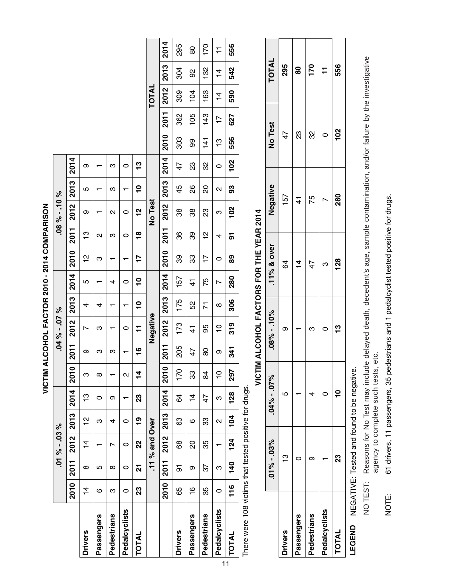|                                                       |               |             | $-01\% - 03\%$ |                   |               |                     |               | $-04\% - 07\%$ |                         |                |             |               | $-08\% - 110\%$ |      |      |               |                |               |               |                |
|-------------------------------------------------------|---------------|-------------|----------------|-------------------|---------------|---------------------|---------------|----------------|-------------------------|----------------|-------------|---------------|-----------------|------|------|---------------|----------------|---------------|---------------|----------------|
|                                                       | 2010          | <b>2011</b> | 2012           | 2013              | 2014          | <b>2010</b>         | 2011          | 2012           | 2013                    | 2014           | <b>2010</b> | 2011          | 2012            | 2013 | 2014 |               |                |               |               |                |
| <b>Drivers</b>                                        | $\frac{4}{1}$ | $\infty$    | $\frac{4}{1}$  | 으                 | ဗု            | ო                   | თ             | ∼              | 4                       | 5              | 은           | ဗ္            | თ               | 5    | თ    |               |                |               |               |                |
| Passengers                                            | ဖ             | 5           |                | ო                 | 0             | $\infty$            | ო             | ო              | 4                       |                | ო           | Σ             |                 |      |      |               |                |               |               |                |
| Pedestrians                                           | ო             | ∞           | Ņ              | 4                 | თ             |                     | ო             |                |                         | 4              |             | ო             | Σ               | ო    | ო    |               |                |               |               |                |
| Pedalcyclists                                         | 0             | 0           | 0              | 0                 |               | $\mathbf{\Omega}$   |               | 0              |                         | 0              |             | 0             | 0               |      | 0    |               |                |               |               |                |
| TOTAL                                                 | 23            | ភ           | 22             | <u>ღ</u>          | 23            | $\ddot{\mathbf{4}}$ | $\frac{6}{1}$ | ╤              | $\overline{\mathbf{C}}$ | ុ              | 77          | $\frac{8}{1}$ | $\frac{1}{2}$   | ុ    | ဗူ   |               |                |               |               |                |
|                                                       |               |             | .11% and Over  |                   |               |                     |               | Negative       |                         |                |             |               | <b>No Test</b>  |      |      |               |                | TOTAL         |               |                |
|                                                       | 2010          | <b>2011</b> | 2012           | 2013              | 2014          | <b>2010</b>         | 2011          | 2012           | 2013                    | 2014           | 2010        | 2011          | 2012            | 2013 | 2014 | 2010          | 2011           | 2012          | 2013          | 2014           |
| <b>Drivers</b>                                        | 65            | 5           | 89             | 83                | 64            | 170                 | 205           | 173            | 175                     | 157            | 89          | 36            | 38              | 45   | 47   | 303           | 362            | 309           | 304           | 295            |
| Passengers                                            | $\frac{6}{1}$ | တ           | 20             | ဖ                 | $\frac{4}{1}$ | 33                  | 47            | $\frac{1}{4}$  | 52                      | $\vec{4}$      | 33          | 39            | 38              | 88   | 23   | 99            | 105            | 104           | 92            | 80             |
| Pedestrians                                           | 35            | 57          | 35             | 33                | 47            | 84                  | 80            | 95             | Σ                       | 75             | 17          | 으             | 23              | g    | 32   | $\frac{1}{4}$ | 143            | 163           | 132           | 170            |
| Pedalcyclists                                         | $\circ$       | ო           |                | $\mathbf{\Omega}$ | ო             | $\frac{1}{2}$       | თ             | $\frac{1}{2}$  | $\infty$                | $\overline{ }$ | 0           | 4             | ო               | Ν    | 0    | 13            | $\overline{1}$ | $\frac{4}{1}$ | $\frac{4}{4}$ | $\overline{1}$ |
| <b>TOTAL</b>                                          | 116           | 140         | 124            | 104               | 128           | 297                 | 341           | 319            | 306                     | 280            | 8           | 5             | 102             | 3    | 102  | 556           | 627            | 590           | 542           | 556            |
| There were 108 victims that tested positive for drugs |               |             |                |                   |               |                     |               |                |                         |                |             |               |                 |      |      |               |                |               |               |                |

VICTIM ALCOHOL FACTOR 2010 - 2014 COMPARISON **VICTIM ALCOHOL FACTOR 2010 - 2014 COMPARISON**

Number of the state of the state of the state of the state of the state of the state of the state of the state of the state of the state of the state of the state of the state of the state of the state of the state of the There were 108 victims that tested positive for drugs. Nele 19  $\frac{D}{D}$ 

# VICTIM ALCOHOL FACTORS FOR THE YEAR 2014 **VICTIM ALCOHOL FACTORS FOR THE YEAR 2014**

|                | $.01\% - .03\%$ | $0.04\% - .07\%$ | $-08\% - 10\%$ | $.11\%$ & over | Negative | <b>No Test</b> | <b>TOTAL</b> |
|----------------|-----------------|------------------|----------------|----------------|----------|----------------|--------------|
| <b>Drivers</b> | r               | 5                | თ              | 64             | 157      | 47             | 295          |
| Passengers     |                 |                  |                | $\overline{4}$ | 4        | ဣ              | 80           |
| Pedestrians    |                 | ₹                | ო              | 47             | 75       | လ<br>က         | 170          |
| Pedalcyclists  |                 |                  |                | ო              |          |                |              |
| <b>TOTAL</b>   | ನೆ<br>2         |                  | ဗူ             | 128            | 280      | 102            | 556          |
|                |                 |                  |                |                |          |                |              |

NEGATIVE: Tested and found to be negative. Tested and found to be negative. **LEGEND** NEGATIVE: LEGEND

- Reasons for No Test may include delayed death, decedent's age, sample contamination, and/or failure by the investigative<br>agency to complete such tests, etc. NO TEST: Reasons for No Test may include delayed death, decedent's age, sample contamination, and/or failure by the investigative Reasons for No Test may include delayed death, decedent's age, sample contamination, and/or failure by th agency to complete such tests, etc. agency to complete such tests, etc.NO TEST:
- 61 drivers, 11 passengers, 35 pedestrians and 1 pedalcyclist tested positive for drugs. 61 drivers, 11 passengers, 35 pedestrians and 1 pedalcyclist tested positive for drugs. NOTE: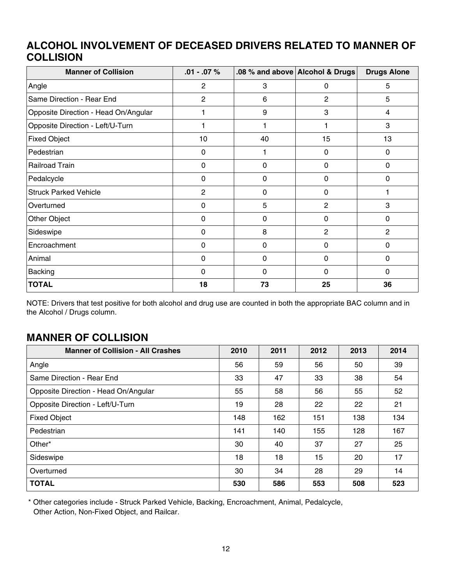# **ALCOHOL INVOLVEMENT OF DECEASED DRIVERS RELATED TO MANNER OF COLLISION**

| <b>Manner of Collision</b>           | $.01 - .07 \%$  |              | .08 % and above Alcohol & Drugs | <b>Drugs Alone</b> |
|--------------------------------------|-----------------|--------------|---------------------------------|--------------------|
| Angle                                | $\overline{2}$  | 3            | 0                               | 5                  |
| Same Direction - Rear End            | 2               | 6            | $\overline{c}$                  | 5                  |
| Opposite Direction - Head On/Angular |                 | 9            | 3                               | 4                  |
| Opposite Direction - Left/U-Turn     |                 |              |                                 | 3                  |
| <b>Fixed Object</b>                  | 10 <sub>1</sub> | 40           | 15                              | 13                 |
| Pedestrian                           | $\Omega$        |              | 0                               | 0                  |
| Railroad Train                       | $\mathbf 0$     | $\mathbf 0$  | 0                               | $\Omega$           |
| Pedalcycle                           | $\Omega$        | 0            | 0                               | $\mathbf 0$        |
| <b>Struck Parked Vehicle</b>         | $\overline{2}$  | 0            | 0                               |                    |
| Overturned                           | $\mathbf 0$     | 5            | $\overline{2}$                  | 3                  |
| Other Object                         | $\Omega$        | 0            | 0                               | 0                  |
| Sideswipe                            | 0               | 8            | $\overline{2}$                  | 2                  |
| Encroachment                         | 0               | 0            | 0                               | $\Omega$           |
| Animal                               | 0               | 0            | 0                               | 0                  |
| <b>Backing</b>                       | $\Omega$        | $\mathbf{0}$ | $\Omega$                        | $\mathbf 0$        |
| <b>TOTAL</b>                         | 18              | 73           | 25                              | 36                 |

NOTE: Drivers that test positive for both alcohol and drug use are counted in both the appropriate BAC column and in the Alcohol / Drugs column.

# **MANNER OF COLLISION**

| <b>Manner of Collision - All Crashes</b> | 2010 | 2011 | 2012 | 2013 | 2014 |
|------------------------------------------|------|------|------|------|------|
| Angle                                    | 56   | 59   | 56   | 50   | 39   |
| Same Direction - Rear End                | 33   | 47   | 33   | 38   | 54   |
| Opposite Direction - Head On/Angular     | 55   | 58   | 56   | 55   | 52   |
| Opposite Direction - Left/U-Turn         | 19   | 28   | 22   | 22   | 21   |
| <b>Fixed Object</b>                      | 148  | 162  | 151  | 138  | 134  |
| Pedestrian                               | 141  | 140  | 155  | 128  | 167  |
| Other*                                   | 30   | 40   | 37   | 27   | 25   |
| Sideswipe                                | 18   | 18   | 15   | 20   | 17   |
| Overturned                               | 30   | 34   | 28   | 29   | 14   |
| <b>TOTAL</b>                             | 530  | 586  | 553  | 508  | 523  |

\* Other categories include - Struck Parked Vehicle, Backing, Encroachment, Animal, Pedalcycle, Other Action, Non-Fixed Object, and Railcar.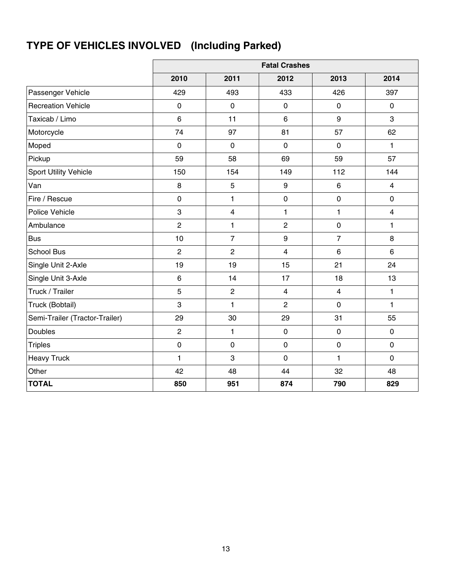# **TYPE OF VEHICLES INVOLVED (Including Parked)**

|                                |                |                         | <b>Fatal Crashes</b>    |                         |                         |
|--------------------------------|----------------|-------------------------|-------------------------|-------------------------|-------------------------|
|                                | 2010           | 2011                    | 2012                    | 2013                    | 2014                    |
| Passenger Vehicle              | 429            | 493                     | 433                     | 426                     | 397                     |
| <b>Recreation Vehicle</b>      | $\mathbf 0$    | $\mathbf 0$             | $\mathbf 0$             | $\mathbf 0$             | $\mathbf 0$             |
| Taxicab / Limo                 | $\,6\,$        | 11                      | 6                       | 9                       | 3                       |
| Motorcycle                     | 74             | 97                      | 81                      | 57                      | 62                      |
| Moped                          | $\mathbf 0$    | $\mathbf 0$             | $\mathbf 0$             | $\mathbf 0$             | 1                       |
| Pickup                         | 59             | 58                      | 69                      | 59                      | 57                      |
| <b>Sport Utility Vehicle</b>   | 150            | 154                     | 149                     | 112                     | 144                     |
| Van                            | 8              | 5                       | $\boldsymbol{9}$        | 6                       | $\overline{\mathbf{4}}$ |
| Fire / Rescue                  | $\mathbf 0$    | 1                       | $\mathbf 0$             | $\mathbf 0$             | $\mathbf 0$             |
| Police Vehicle                 | 3              | $\overline{\mathbf{4}}$ | 1                       | 1                       | $\overline{\mathbf{4}}$ |
| Ambulance                      | $\overline{c}$ | 1                       | $\overline{c}$          | $\mathsf 0$             | 1                       |
| <b>Bus</b>                     | 10             | $\overline{7}$          | 9                       | $\overline{7}$          | 8                       |
| <b>School Bus</b>              | $\overline{c}$ | $\overline{2}$          | $\overline{\mathbf{4}}$ | $\,6\,$                 | $6\phantom{1}$          |
| Single Unit 2-Axle             | 19             | 19                      | 15                      | 21                      | 24                      |
| Single Unit 3-Axle             | $\,6\,$        | 14                      | 17                      | 18                      | 13                      |
| Truck / Trailer                | 5              | $\overline{2}$          | $\overline{4}$          | $\overline{\mathbf{4}}$ | $\mathbf{1}$            |
| Truck (Bobtail)                | 3              | 1                       | $\overline{c}$          | $\mathbf 0$             | $\mathbf{1}$            |
| Semi-Trailer (Tractor-Trailer) | 29             | 30                      | 29                      | 31                      | 55                      |
| <b>Doubles</b>                 | $\overline{2}$ | 1                       | $\mathbf 0$             | $\mathbf 0$             | $\mathbf 0$             |
| <b>Triples</b>                 | $\pmb{0}$      | $\pmb{0}$               | $\pmb{0}$               | $\pmb{0}$               | $\pmb{0}$               |
| <b>Heavy Truck</b>             | $\mathbf{1}$   | $\mathsf 3$             | $\mathbf 0$             | $\mathbf{1}$            | $\mathbf 0$             |
| Other                          | 42             | 48                      | 44                      | 32                      | 48                      |
| <b>TOTAL</b>                   | 850            | 951                     | 874                     | 790                     | 829                     |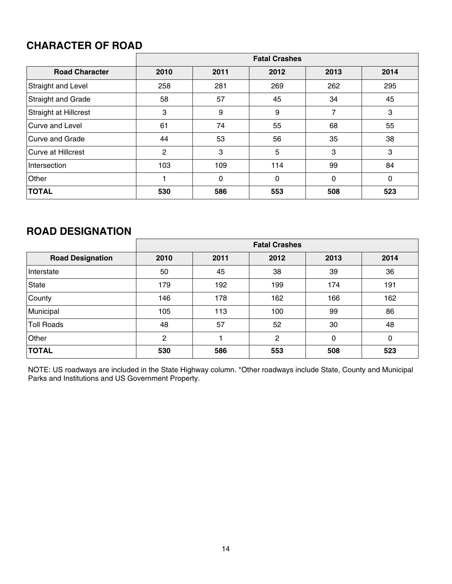# **CHARACTER OF ROAD**

|                              |                |             | <b>Fatal Crashes</b> |          |      |
|------------------------------|----------------|-------------|----------------------|----------|------|
| <b>Road Character</b>        | 2010           | 2011        | 2012                 | 2013     | 2014 |
| Straight and Level           | 258            | 281         | 269                  | 262      | 295  |
| <b>Straight and Grade</b>    | 58             | 57          | 45                   | 34       | 45   |
| <b>Straight at Hillcrest</b> | 3              | 9           | 9                    | 7        | 3    |
| Curve and Level              | 61             | 74          | 55                   | 68       | 55   |
| <b>Curve and Grade</b>       | 44             | 53          | 56                   | 35       | 38   |
| Curve at Hillcrest           | $\overline{2}$ | 3           | 5                    | 3        | 3    |
| Intersection                 | 103            | 109         | 114                  | 99       | 84   |
| Other                        |                | $\mathbf 0$ | $\mathbf{0}$         | $\Omega$ | 0    |
| <b>TOTAL</b>                 | 530            | 586         | 553                  | 508      | 523  |

# **ROAD DESIGNATION**

|                         |      |      | <b>Fatal Crashes</b> |      |      |
|-------------------------|------|------|----------------------|------|------|
| <b>Road Designation</b> | 2010 | 2011 | 2012                 | 2013 | 2014 |
| Interstate              | 50   | 45   | 38                   | 39   | 36   |
| <b>State</b>            | 179  | 192  | 199                  | 174  | 191  |
| County                  | 146  | 178  | 162                  | 166  | 162  |
| Municipal               | 105  | 113  | 100                  | 99   | 86   |
| <b>Toll Roads</b>       | 48   | 57   | 52                   | 30   | 48   |
| Other                   | 2    |      | 2                    | 0    | 0    |
| <b>TOTAL</b>            | 530  | 586  | 553                  | 508  | 523  |

NOTE: US roadways are included in the State Highway column. \*Other roadways include State, County and Municipal Parks and Institutions and US Government Property.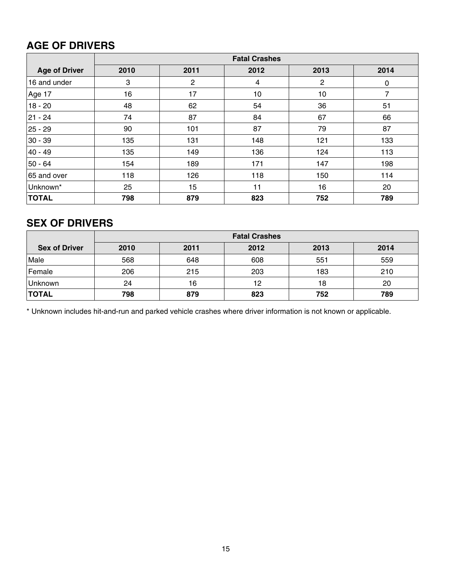# **AGE OF DRIVERS**

|                      |      |              | <b>Fatal Crashes</b> |                |      |
|----------------------|------|--------------|----------------------|----------------|------|
| <b>Age of Driver</b> | 2010 | 2011         | 2012                 | 2013           | 2014 |
| 16 and under         | 3    | $\mathbf{2}$ | 4                    | $\overline{c}$ | 0    |
| Age 17               | 16   | 17           | 10                   | 10             | 7    |
| $18 - 20$            | 48   | 62           | 54                   | 36             | 51   |
| $ 21 - 24 $          | 74   | 87           | 84                   | 67             | 66   |
| 25 - 29              | 90   | 101          | 87                   | 79             | 87   |
| 30 - 39              | 135  | 131          | 148                  | 121            | 133  |
| 40 - 49              | 135  | 149          | 136                  | 124            | 113  |
| $50 - 64$            | 154  | 189          | 171                  | 147            | 198  |
| 65 and over          | 118  | 126          | 118                  | 150            | 114  |
| Unknown*             | 25   | 15           | 11                   | 16             | 20   |
| <b>TOTAL</b>         | 798  | 879          | 823                  | 752            | 789  |

# **SEX OF DRIVERS**

|                      | <b>Fatal Crashes</b> |      |      |      |      |  |  |
|----------------------|----------------------|------|------|------|------|--|--|
| <b>Sex of Driver</b> | 2010                 | 2011 | 2012 | 2013 | 2014 |  |  |
| Male                 | 568                  | 648  | 608  | 551  | 559  |  |  |
| Female               | 206                  | 215  | 203  | 183  | 210  |  |  |
| Unknown              | 24                   | 16   | 12   | 18   | 20   |  |  |
| <b>TOTAL</b>         | 798                  | 879  | 823  | 752  | 789  |  |  |

\* Unknown includes hit-and-run and parked vehicle crashes where driver information is not known or applicable.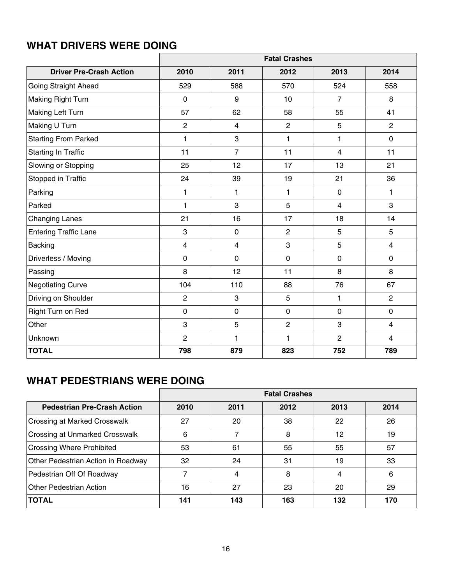|                                | <b>Fatal Crashes</b> |                         |                |                |                |  |
|--------------------------------|----------------------|-------------------------|----------------|----------------|----------------|--|
| <b>Driver Pre-Crash Action</b> | 2010                 | 2011                    | 2012           | 2013           | 2014           |  |
| Going Straight Ahead           | 529                  | 588                     | 570            | 524            | 558            |  |
| <b>Making Right Turn</b>       | $\mathbf 0$          | 9                       | 10             | $\overline{7}$ | 8              |  |
| <b>Making Left Turn</b>        | 57                   | 62                      | 58             | 55             | 41             |  |
| Making U Turn                  | $\overline{c}$       | $\overline{\mathbf{4}}$ | $\overline{c}$ | 5              | $\overline{2}$ |  |
| <b>Starting From Parked</b>    | 1                    | 3                       | 1              | $\mathbf{1}$   | $\mathbf 0$    |  |
| <b>Starting In Traffic</b>     | 11                   | $\overline{7}$          | 11             | $\overline{4}$ | 11             |  |
| Slowing or Stopping            | 25                   | 12                      | 17             | 13             | 21             |  |
| Stopped in Traffic             | 24                   | 39                      | 19             | 21             | 36             |  |
| Parking                        | $\mathbf{1}$         | $\mathbf{1}$            | 1              | $\mathbf 0$    | 1              |  |
| Parked                         | $\mathbf{1}$         | 3                       | 5              | $\overline{4}$ | 3              |  |
| <b>Changing Lanes</b>          | 21                   | 16                      | 17             | 18             | 14             |  |
| <b>Entering Traffic Lane</b>   | 3                    | $\pmb{0}$               | $\overline{2}$ | 5              | 5              |  |
| Backing                        | 4                    | $\overline{\mathbf{4}}$ | 3              | 5              | $\overline{4}$ |  |
| Driverless / Moving            | $\mathbf 0$          | $\mathbf 0$             | $\mathbf 0$    | $\overline{0}$ | $\mathbf 0$    |  |
| Passing                        | 8                    | 12                      | 11             | 8              | 8              |  |
| <b>Negotiating Curve</b>       | 104                  | 110                     | 88             | 76             | 67             |  |
| Driving on Shoulder            | $\overline{c}$       | 3                       | 5              | $\mathbf{1}$   | $\overline{2}$ |  |
| Right Turn on Red              | $\pmb{0}$            | $\pmb{0}$               | $\pmb{0}$      | $\mathbf 0$    | $\mathbf 0$    |  |
| Other                          | 3                    | 5                       | $\overline{2}$ | 3              | $\overline{4}$ |  |
| Unknown                        | $\overline{c}$       | $\mathbf{1}$            | 1              | $\overline{2}$ | $\overline{4}$ |  |
| <b>TOTAL</b>                   | 798                  | 879                     | 823            | 752            | 789            |  |

# **WHAT PEDESTRIANS WERE DOING**

|                                     | <b>Fatal Crashes</b> |      |      |      |      |
|-------------------------------------|----------------------|------|------|------|------|
| <b>Pedestrian Pre-Crash Action</b>  | 2010                 | 2011 | 2012 | 2013 | 2014 |
| <b>Crossing at Marked Crosswalk</b> | 27                   | 20   | 38   | 22   | 26   |
| Crossing at Unmarked Crosswalk      | 6                    |      | 8    | 12   | 19   |
| <b>Crossing Where Prohibited</b>    | 53                   | 61   | 55   | 55   | 57   |
| Other Pedestrian Action in Roadway  | 32                   | 24   | 31   | 19   | 33   |
| Pedestrian Off Of Roadway           |                      | 4    | 8    | 4    | 6    |
| <b>Other Pedestrian Action</b>      | 16                   | 27   | 23   | 20   | 29   |
| <b>TOTAL</b>                        | 141                  | 143  | 163  | 132  | 170  |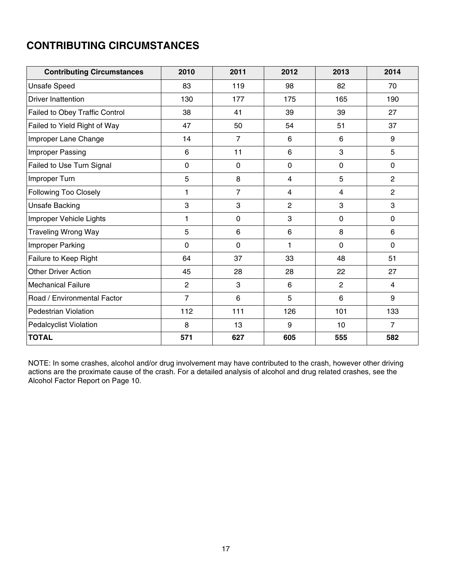# **CONTRIBUTING CIRCUMSTANCES**

| <b>Contributing Circumstances</b> | 2010           | 2011           | 2012                    | 2013           | 2014           |
|-----------------------------------|----------------|----------------|-------------------------|----------------|----------------|
| <b>Unsafe Speed</b>               | 83             | 119            | 98                      | 82             | 70             |
| <b>Driver Inattention</b>         | 130            | 177            | 175                     | 165            | 190            |
| Failed to Obey Traffic Control    | 38             | 41             | 39                      | 39             | 27             |
| Failed to Yield Right of Way      | 47             | 50             | 54                      | 51             | 37             |
| Improper Lane Change              | 14             | $\overline{7}$ | 6                       | 6              | 9              |
| Improper Passing                  | 6              | 11             | 6                       | 3              | 5              |
| Failed to Use Turn Signal         | 0              | $\mathbf 0$    | 0                       | $\mathbf 0$    | $\mathbf{0}$   |
| Improper Turn                     | 5              | 8              | $\overline{\mathbf{4}}$ | 5              | $\overline{2}$ |
| Following Too Closely             | 1              | $\overline{7}$ | 4                       | 4              | $\overline{2}$ |
| Unsafe Backing                    | 3              | 3              | 2                       | 3              | 3              |
| Improper Vehicle Lights           | 1              | $\mathbf 0$    | 3                       | $\mathbf 0$    | $\mathbf 0$    |
| <b>Traveling Wrong Way</b>        | 5              | 6              | 6                       | 8              | 6              |
| Improper Parking                  | 0              | $\mathbf 0$    | 1                       | $\mathbf 0$    | $\mathbf 0$    |
| Failure to Keep Right             | 64             | 37             | 33                      | 48             | 51             |
| <b>Other Driver Action</b>        | 45             | 28             | 28                      | 22             | 27             |
| <b>Mechanical Failure</b>         | $\overline{2}$ | 3              | 6                       | $\overline{2}$ | $\overline{4}$ |
| Road / Environmental Factor       | $\overline{7}$ | 6              | 5                       | 6              | 9              |
| <b>Pedestrian Violation</b>       | 112            | 111            | 126                     | 101            | 133            |
| <b>Pedalcyclist Violation</b>     | 8              | 13             | 9                       | 10             | $\overline{7}$ |
| <b>TOTAL</b>                      | 571            | 627            | 605                     | 555            | 582            |

NOTE: In some crashes, alcohol and/or drug involvement may have contributed to the crash, however other driving actions are the proximate cause of the crash. For a detailed analysis of alcohol and drug related crashes, see the Alcohol Factor Report on Page 10.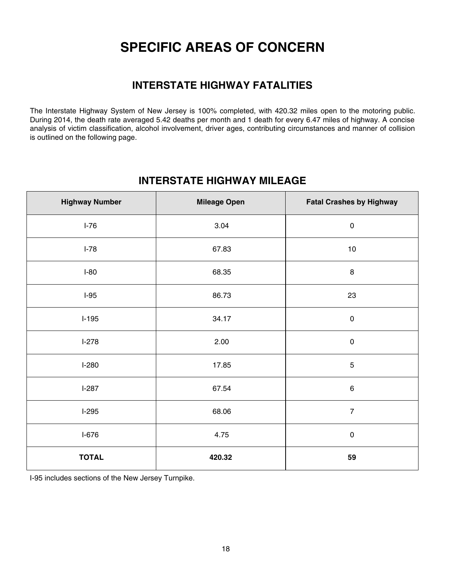# **SPECIFIC AREAS OF CONCERN**

# **INTERSTATE HIGHWAY FATALITIES**

The Interstate Highway System of New Jersey is 100% completed, with 420.32 miles open to the motoring public. During 2014, the death rate averaged 5.42 deaths per month and 1 death for every 6.47 miles of highway. A concise analysis of victim classification, alcohol involvement, driver ages, contributing circumstances and manner of collision is outlined on the following page.

# **INTERSTATE HIGHWAY MILEAGE**

| <b>Highway Number</b> | <b>Mileage Open</b> | <b>Fatal Crashes by Highway</b> |
|-----------------------|---------------------|---------------------------------|
| $I-76$                | 3.04                | $\pmb{0}$                       |
| $I-78$                | 67.83               | 10                              |
| $I-80$                | 68.35               | $\bf 8$                         |
| $I-95$                | 86.73               | 23                              |
| $I-195$               | 34.17               | $\pmb{0}$                       |
| $I-278$               | 2.00                | $\pmb{0}$                       |
| $I-280$               | 17.85               | $\mathbf 5$                     |
| $I-287$               | 67.54               | $\,6\,$                         |
| $I-295$               | 68.06               | $\overline{7}$                  |
| $I-676$               | 4.75                | $\pmb{0}$                       |
| <b>TOTAL</b>          | 420.32              | 59                              |

I-95 includes sections of the New Jersey Turnpike.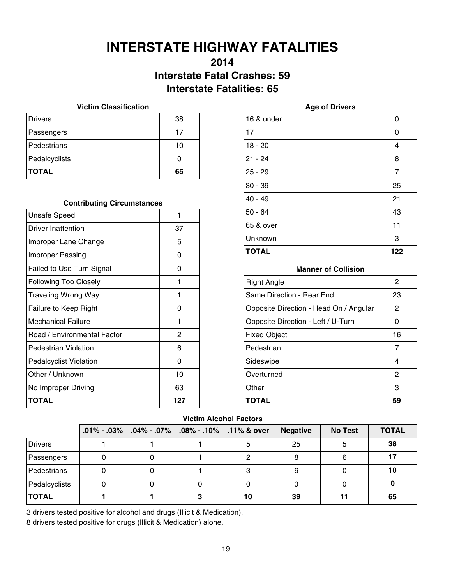# **INTERSTATE HIGHWAY FATALITIES**

# **2014 Interstate Fatal Crashes: 59 Interstate Fatalities: 65**

### **Victim Classification**

| <b>Drivers</b> | 38 |
|----------------|----|
| Passengers     | 17 |
| Pedestrians    | 10 |
| Pedalcyclists  | O  |
| <b>TOTAL</b>   | 65 |

### **Contributing Circumstances**

| <b>Unsafe Speed</b>           | 1   |
|-------------------------------|-----|
| Driver Inattention            | 37  |
| Improper Lane Change          | 5   |
| <b>Improper Passing</b>       | ი   |
| Failed to Use Turn Signal     | 0   |
| <b>Following Too Closely</b>  | 1   |
| Traveling Wrong Way           | 1   |
| Failure to Keep Right         | ი   |
| Mechanical Failure            | 1   |
| Road / Environmental Factor   | 2   |
| Pedestrian Violation          | 6   |
| <b>Pedalcyclist Violation</b> | O   |
| Other / Unknown               | 10  |
| No Improper Driving           | 63  |
| ΤΟΤΑL                         | 127 |

| 16 & under   | 0              |
|--------------|----------------|
| 17           | 0              |
| $18 - 20$    | 4              |
| $21 - 24$    | 8              |
| $25 - 29$    | $\overline{7}$ |
| $30 - 39$    | 25             |
| $40 - 49$    | 21             |
| $50 - 64$    | 43             |
| 65 & over    | 11             |
| Unknown      | 3              |
| <b>TOTAL</b> | 122            |

### **Manner of Collision**

| <b>Right Angle</b>                     | 2  |
|----------------------------------------|----|
| Same Direction - Rear End              | 23 |
| Opposite Direction - Head On / Angular | 2  |
| Opposite Direction - Left / U-Turn     | O  |
| <b>Fixed Object</b>                    | 16 |
| Pedestrian                             | 7  |
| Sideswipe                              | 4  |
| Overturned                             | 2  |
| Other                                  | 3  |
| <b>TOTAL</b>                           | 59 |

### **Victim Alcohol Factors**

|                | $.01\% - .03\%$ | $.04\% - .07\%$ | $.08\%$ - .10%   .11% & over | <b>Negative</b> | <b>No Test</b> | <b>TOTAL</b> |
|----------------|-----------------|-----------------|------------------------------|-----------------|----------------|--------------|
| <b>Drivers</b> |                 |                 | 5                            | 25              |                | 38           |
| Passengers     |                 |                 | 2                            |                 |                | 17           |
| Pedestrians    |                 |                 | 3                            |                 |                | 10           |
| Pedalcyclists  |                 |                 |                              |                 |                |              |
| <b>TOTAL</b>   |                 |                 | 10                           | 39              |                | 65           |

3 drivers tested positive for alcohol and drugs (Illicit & Medication).

8 drivers tested positive for drugs (Illicit & Medication) alone.

### **Age of Drivers**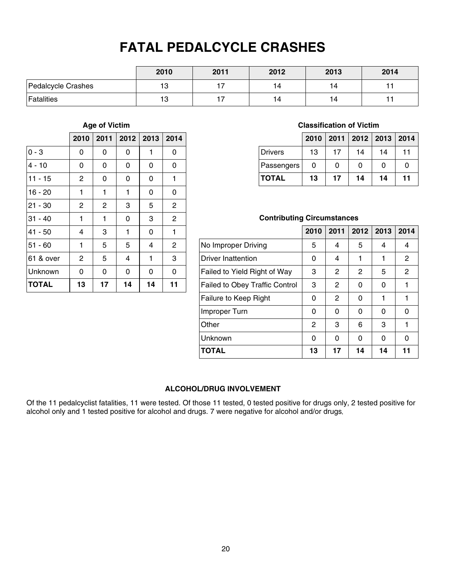# **FATAL PEDALCYCLE CRASHES**

|                    | 2010 | 2011 | 2012 | 2013 | 2014 |
|--------------------|------|------|------|------|------|
| Pedalcycle Crashes | 13   |      | 14   | 14   |      |
| Fatalities         | 13   |      | 14   | 14   |      |

### **Age of Victim**

|              | 2010           | 2011           | 2012 | 2013 | 2014           |
|--------------|----------------|----------------|------|------|----------------|
| $0 - 3$      | 0              | 0              | 0    | 1    | 0              |
| 4 - 10       | 0              | 0              | 0    | 0    | 0              |
| $11 - 15$    | $\overline{c}$ | 0              | 0    | 0    | 1              |
| $16 - 20$    | 1              | 1              | 1    | 0    | 0              |
| $21 - 30$    | $\overline{c}$ | $\overline{c}$ | 3    | 5    | $\overline{c}$ |
| $31 - 40$    | 1              | 1              | 0    | 3    | $\overline{c}$ |
| $41 - 50$    | 4              | 3              | 1    | 0    | 1              |
| $51 - 60$    | 1              | 5              | 5    | 4    | $\overline{2}$ |
| 61 & over    | $\overline{2}$ | 5              | 4    | 1    | 3              |
| Unknown      | 0              | 0              | 0    | 0    | 0              |
| <b>TOTAL</b> | 13             | 17             | 14   | 14   | 11             |

### **Classification of Victim**

|              |    |    | 2010   2011   2012   2013   2014 |    |    |
|--------------|----|----|----------------------------------|----|----|
| Drivers      | 13 | 17 | 14                               | 14 | 11 |
| Passengers   | 0  | 0  | O                                | 0  |    |
| <b>TOTAL</b> | 13 | 17 | 14                               | 14 | 11 |

### **Contributing Circumstances**

|                                       | 2010 | 2011 | 2012 | 2013 | 2014           |
|---------------------------------------|------|------|------|------|----------------|
| No Improper Driving                   | 5    | 4    | 5    | 4    | 4              |
| <b>Driver Inattention</b>             | 0    | 4    | 1    | 1    | $\overline{2}$ |
| Failed to Yield Right of Way          | 3    | 2    | 2    | 5    | 2              |
| <b>Failed to Obey Traffic Control</b> | 3    | 2    | 0    | 0    | 1              |
| Failure to Keep Right                 | 0    | 2    | 0    | 1    |                |
| Improper Turn                         | 0    | O    | 0    | 0    | 0              |
| Other                                 | 2    | 3    | 6    | З    |                |
| Unknown                               | 0    | 0    | 0    | 0    | 0              |
| <b>TOTAL</b>                          | 13   | 17   | 14   | 14   |                |

### **ALCOHOL/DRUG INVOLVEMENT**

Of the 11 pedalcyclist fatalities, 11 were tested. Of those 11 tested, 0 tested positive for drugs only, 2 tested positive for alcohol only and 1 tested positive for alcohol and drugs. 7 were negative for alcohol and/or drugs.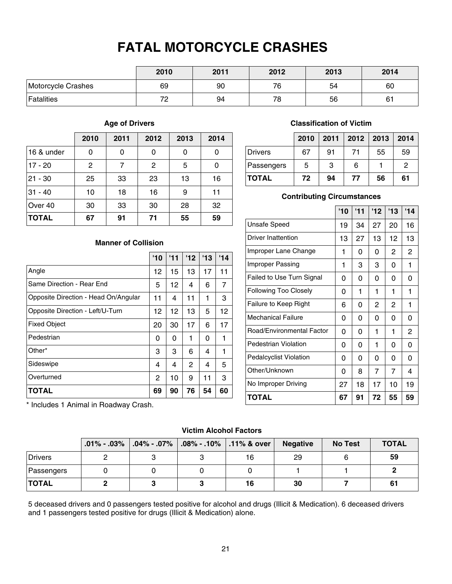# **FATAL MOTORCYCLE CRASHES**

|                    | 2010    | 2011 | 2012 | 2013 | 2014 |
|--------------------|---------|------|------|------|------|
| Motorcycle Crashes | 69      | 90   | 76   | 54   | 60   |
| <b>Fatalities</b>  | 72<br>└ | 94   | 78   | 56   | 61   |

### **Age of Drivers**

|              | 2010         | 2011 | 2012 | 2013 | 2014 |
|--------------|--------------|------|------|------|------|
| 16 & under   | 0            | 0    | 0    | 0    | 0    |
| $17 - 20$    | $\mathbf{2}$ | 7    | 2    | 5    | 0    |
| $21 - 30$    | 25           | 33   | 23   | 13   | 16   |
| $31 - 40$    | 10           | 18   | 16   | 9    | 11   |
| Over 40      | 30           | 33   | 30   | 28   | 32   |
| <b>TOTAL</b> | 67           | 91   | 71   | 55   | 59   |

### **Classification of Victim**

|              | 2010 |    |    | 2011   2012   2013   2014 |               |
|--------------|------|----|----|---------------------------|---------------|
| Drivers      | 67   | 91 | 71 | 55                        | 59            |
| Passengers   | 5    | 3  | 6  |                           | $\mathcal{P}$ |
| <b>TOTAL</b> | 72   | 94 | 77 | 56                        | 61            |

### **Contributing Circumstances**

|                               | '10 | '11 | 12'            | '13            | 14 |
|-------------------------------|-----|-----|----------------|----------------|----|
| Unsafe Speed                  | 19  | 34  | 27             | 20             | 16 |
| <b>Driver Inattention</b>     | 13  | 27  | 13             | 12             | 13 |
| Improper Lane Change          | 1   | 0   | 0              | 2              | 2  |
| Improper Passing              | 1   | 3   | 3              | 0              | 1  |
| Failed to Use Turn Signal     | 0   | 0   | 0              | 0              | 0  |
| <b>Following Too Closely</b>  | 0   | 1   | 1              | 1              | 1  |
| Failure to Keep Right         | 6   | 0   | $\overline{2}$ | $\overline{2}$ | 1  |
| <b>Mechanical Failure</b>     | 0   | 0   | 0              | 0              | 0  |
| Road/Environmental Factor     | 0   | 0   | 1              | 1              | 2  |
| Pedestrian Violation          | 0   | 0   | 1              | 0              | 0  |
| <b>Pedalcyclist Violation</b> | 0   | 0   | 0              | 0              | 0  |
| Other/Unknown                 | 0   | 8   | 7              | 7              | 4  |
| No Improper Driving           | 27  | 18  | 17             | 10             | 19 |
| TOTAL                         | 67  | 91  | 72             | 55             | 59 |

### **Manner of Collision**

|                                      | '10 | '11 | 112            | '13 | '14 |
|--------------------------------------|-----|-----|----------------|-----|-----|
| Angle                                | 12  | 15  | 13             | 17  | 11  |
| Same Direction - Rear End            | 5   | 12  | 4              | 6   | 7   |
| Opposite Direction - Head On/Angular | 11  | 4   | 11             | 1   | 3   |
| Opposite Direction - Left/U-Turn     | 12  | 12  | 13             | 5   | 12  |
| <b>Fixed Object</b>                  | 20  | 30  | 17             | 6   | 17  |
| Pedestrian                           | 0   | 0   | 1              | 0   | 1   |
| Other*                               | 3   | 3   | 6              | 4   | 1   |
| Sideswipe                            | 4   | 4   | $\overline{2}$ | 4   | 5   |
| Overturned                           | 2   | 10  | 9              | 11  | 3   |
| <b>TOTAL</b>                         | 69  | 90  | 76             | 54  | 60  |

\* Includes 1 Animal in Roadway Crash.

### **Victim Alcohol Factors**

|              | $.01\%$ - $.03\%$ |  | .04% - .07%   .08% - .10%   .11% & over | <b>Negative</b> | <b>No Test</b> | <b>TOTAL</b> |
|--------------|-------------------|--|-----------------------------------------|-----------------|----------------|--------------|
| Drivers      |                   |  | 16                                      | 29              |                | 59           |
| Passengers   |                   |  |                                         |                 |                |              |
| <b>TOTAL</b> |                   |  | 16                                      | 30              |                | 61           |

5 deceased drivers and 0 passengers tested positive for alcohol and drugs (Illicit & Medication). 6 deceased drivers and 1 passengers tested positive for drugs (Illicit & Medication) alone.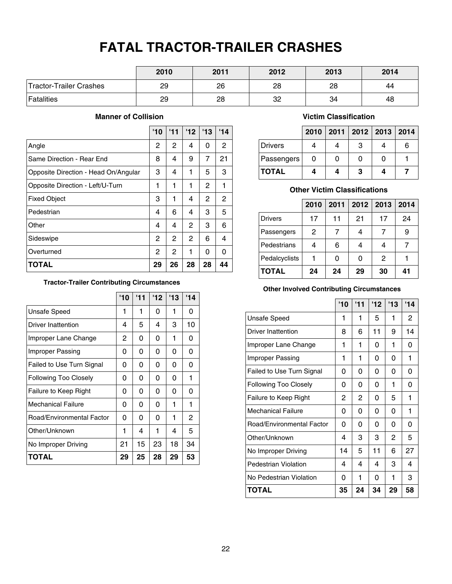# **FATAL TRACTOR-TRAILER CRASHES**

|                         | 2010 | 2011 | 2012 | 2013 | 2014 |
|-------------------------|------|------|------|------|------|
| Tractor-Trailer Crashes | 29   | 26   | 28   | 28   | 44   |
| <b>Fatalities</b>       | 29   | 28   | 32   | 34   | 48   |

### **Manner of Collision**

|                                      | '10            | '11 | 12 | '13          | '14            |
|--------------------------------------|----------------|-----|----|--------------|----------------|
| Angle                                | 2              | 2   | 4  | 0            | 2              |
| Same Direction - Rear End            | 8              | 4   | 9  | 7            | 21             |
| Opposite Direction - Head On/Angular | 3              | 4   | 1  | 5            | 3              |
| Opposite Direction - Left/U-Turn     | 1              | 1   | 1  | 2            | 1              |
| <b>Fixed Object</b>                  | 3              | 1   | 4  | $\mathbf{2}$ | $\overline{2}$ |
| Pedestrian                           | 4              | 6   | 4  | 3            | 5              |
| Other                                | 4              | 4   | 2  | 3            | 6              |
| Sideswipe                            | $\overline{2}$ | 2   | 2  | 6            | 4              |
| Overturned                           | 2              | 2   | 1  | 0            | 0              |
| <b>TOTAL</b>                         | 29             | 26  | 28 | 28           | 44             |

### **Tractor-Trailer Contributing Circumstances**

|                              | '10 | '11 | 12 | 13 | '14 |
|------------------------------|-----|-----|----|----|-----|
| <b>Unsafe Speed</b>          | 1   | 1   | 0  | 1  | 0   |
| Driver Inattention           | 4   | 5   | 4  | 3  | 10  |
| Improper Lane Change         | 2   | 0   | 0  | 1  | 0   |
| Improper Passing             | 0   | 0   | 0  | 0  | 0   |
| Failed to Use Turn Signal    | 0   | 0   | 0  | 0  | 0   |
| <b>Following Too Closely</b> | 0   | 0   | 0  | 0  | 1   |
| Failure to Keep Right        | 0   | 0   | 0  | 0  | 0   |
| <b>Mechanical Failure</b>    | 0   | 0   | 0  | 1  | 1   |
| Road/Environmental Factor    | 0   | 0   | 0  | 1  | 2   |
| Other/Unknown                | 1   | 4   | 1  | 4  | 5   |
| No Improper Driving          | 21  | 15  | 23 | 18 | 34  |
| TOTAL                        | 29  | 25  | 28 | 29 | 53  |

### **Victim Classification**

|              |   | 2010   2011   2012   2013   2014 |   |
|--------------|---|----------------------------------|---|
| Drivers      |   | З                                | 6 |
| Passengers   | 0 |                                  |   |
| <b>TOTAL</b> | 4 | 3                                |   |

### **Other Victim Classifications**

|                | 2010 | 2011 | $2012$ 2013 |              | 2014 |
|----------------|------|------|-------------|--------------|------|
| <b>Drivers</b> | 17   | 11   | 21          | 17           | 24   |
| Passengers     | 2    |      |             | 7            | 9    |
| Pedestrians    | 4    | 6    |             | 4            |      |
| Pedalcyclists  |      | 0    | 0           | $\mathbf{2}$ |      |
| <b>TOTAL</b>   | 24   | 24   | 29          | 30           | 41   |

### **Other Involved Contributing Circumstances**

|                           | '10 | 111 | 12' | 13 | 14 |
|---------------------------|-----|-----|-----|----|----|
| <b>Unsafe Speed</b>       | 1   | 1   | 5   | 1  | 2  |
| Driver Inattention        | 8   | 6   | 11  | 9  | 14 |
| Improper Lane Change      | 1   | 1   | 0   | 1  | 0  |
| Improper Passing          | 1   | 1   | 0   | 0  | 1  |
| Failed to Use Turn Signal | 0   | 0   | 0   | 0  | 0  |
| Following Too Closely     | 0   | 0   | 0   | 1  | 0  |
| Failure to Keep Right     | 2   | 2   | 0   | 5  | 1  |
| Mechanical Failure        | 0   | 0   | 0   | 0  | 1  |
| Road/Environmental Factor | 0   | 0   | 0   | 0  | 0  |
| Other/Unknown             | 4   | 3   | 3   | 2  | 5  |
| No Improper Driving       | 14  | 5   | 11  | 6  | 27 |
| Pedestrian Violation      | 4   | 4   | 4   | 3  | 4  |
| No Pedestrian Violation   | 0   | 1   | 0   | 1  | 3  |
| TOTAL                     | 35  | 24  | 34  | 29 | 58 |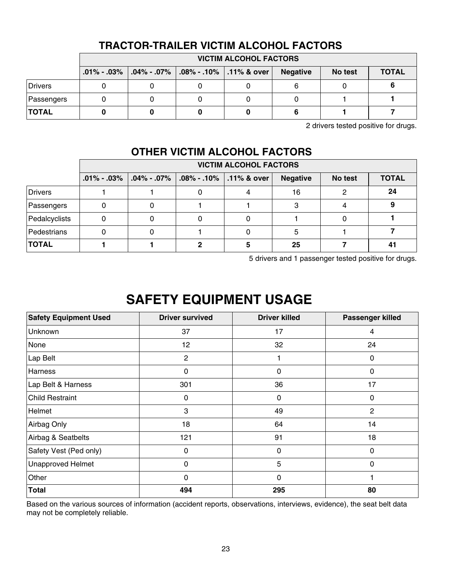|                | TIMUTUL TIMEEIL YIVTIIII AEVVITUE LAVTUI V |                                                       |  |  |                 |         |              |  |
|----------------|--------------------------------------------|-------------------------------------------------------|--|--|-----------------|---------|--------------|--|
|                |                                            | <b>VICTIM ALCOHOL FACTORS</b>                         |  |  |                 |         |              |  |
|                |                                            | .01% - .03%   .04% - .07%   .08% - .10%   .11% & over |  |  | <b>Negative</b> | No test | <b>TOTAL</b> |  |
| <b>Drivers</b> |                                            |                                                       |  |  |                 |         |              |  |
| Passengers     |                                            |                                                       |  |  |                 |         |              |  |
| <b>TOTAL</b>   |                                            |                                                       |  |  |                 |         |              |  |

# **TRACTOR-TRAILER VICTIM ALCOHOL FACTORS**

2 drivers tested positive for drugs.

# **OTHER VICTIM ALCOHOL FACTORS**

|                | <b>VICTIM ALCOHOL FACTORS</b> |                     |                                         |  |                 |         |              |
|----------------|-------------------------------|---------------------|-----------------------------------------|--|-----------------|---------|--------------|
|                | $.01\% - .03\%$               | $\vert$ .04% - .07% | $\vert$ .08% - .10% $\vert$ .11% & over |  | <b>Negative</b> | No test | <b>TOTAL</b> |
| <b>Drivers</b> |                               |                     |                                         |  | 16              |         | 24           |
| Passengers     |                               |                     |                                         |  |                 |         |              |
| Pedalcyclists  |                               |                     |                                         |  |                 |         |              |
| Pedestrians    |                               |                     |                                         |  | 5               |         |              |
| <b>TOTAL</b>   |                               |                     |                                         |  | 25              |         | 41           |

5 drivers and 1 passenger tested positive for drugs.

# **SAFETY EQUIPMENT USAGE**

| <b>Safety Equipment Used</b> | <b>Driver survived</b> | <b>Driver killed</b> | Passenger killed |
|------------------------------|------------------------|----------------------|------------------|
| <b>Unknown</b>               | 37                     | 17                   | 4                |
| None                         | 12                     | 32                   | 24               |
| Lap Belt                     | 2                      |                      | 0                |
| Harness                      | 0                      | 0                    | $\mathbf{0}$     |
| Lap Belt & Harness           | 301                    | 36                   | 17               |
| <b>Child Restraint</b>       | 0                      | 0                    | 0                |
| Helmet                       | 3                      | 49                   | $\overline{2}$   |
| Airbag Only                  | 18                     | 64                   | 14               |
| Airbag & Seatbelts           | 121                    | 91                   | 18               |
| Safety Vest (Ped only)       | $\mathbf 0$            | 0                    | 0                |
| <b>Unapproved Helmet</b>     | $\mathbf 0$            | 5                    | $\mathbf{0}$     |
| Other                        | 0                      | 0                    |                  |
| <b>Total</b>                 | 494                    | 295                  | 80               |

Based on the various sources of information (accident reports, observations, interviews, evidence), the seat belt data may not be completely reliable.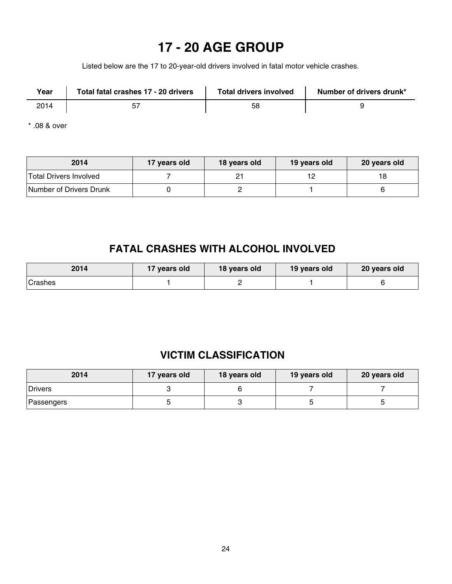# **17 - 20 AGE GROUP**

Listed below are the 17 to 20-year-old drivers involved in fatal motor vehicle crashes.

| Year | Total fatal crashes 17 - 20 drivers | <b>Total drivers involved</b> | Number of drivers drunk* |
|------|-------------------------------------|-------------------------------|--------------------------|
| 2014 |                                     | 58                            |                          |

\* .08 & over

| 2014                    | 17 years old | 18 years old | 19 years old | 20 years old |
|-------------------------|--------------|--------------|--------------|--------------|
| Total Drivers Involved  |              |              | 12           | 18           |
| Number of Drivers Drunk |              |              |              |              |

# **FATAL CRASHES WITH ALCOHOL INVOLVED**

| 2014    | 17 years old | 18 years old | 19 years old | 20 years old |
|---------|--------------|--------------|--------------|--------------|
| Crashes |              |              |              |              |

# **VICTIM CLASSIFICATION**

| 2014       | 17 years old | 18 years old | 19 years old | 20 years old |
|------------|--------------|--------------|--------------|--------------|
| Drivers    |              |              |              |              |
| Passengers |              |              |              |              |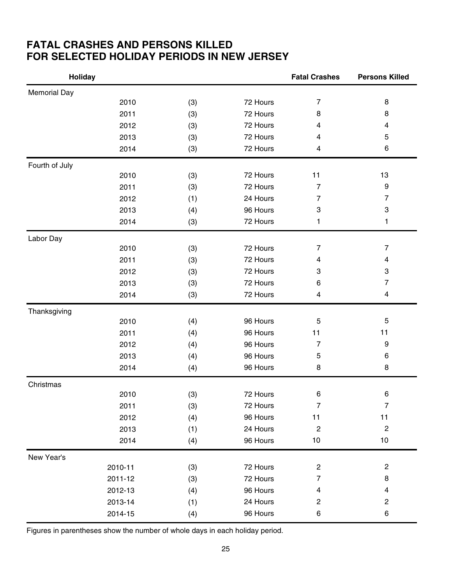# **FATAL CRASHES AND PERSONS KILLED FOR SELECTED HOLIDAY PERIODS IN NEW JERSEY**

| <b>Holiday</b>      |         |     |          | <b>Fatal Crashes</b>    | <b>Persons Killed</b>     |
|---------------------|---------|-----|----------|-------------------------|---------------------------|
| <b>Memorial Day</b> |         |     |          |                         |                           |
|                     | 2010    | (3) | 72 Hours | $\overline{7}$          | 8                         |
|                     | 2011    | (3) | 72 Hours | 8                       | 8                         |
|                     | 2012    | (3) | 72 Hours | 4                       | 4                         |
|                     | 2013    | (3) | 72 Hours | 4                       | 5                         |
|                     | 2014    | (3) | 72 Hours | 4                       | 6                         |
| Fourth of July      |         |     |          |                         |                           |
|                     | 2010    | (3) | 72 Hours | 11                      | 13                        |
|                     | 2011    | (3) | 72 Hours | $\overline{7}$          | 9                         |
|                     | 2012    | (1) | 24 Hours | $\overline{7}$          | $\overline{7}$            |
|                     | 2013    | (4) | 96 Hours | 3                       | $\ensuremath{\mathsf{3}}$ |
|                     | 2014    | (3) | 72 Hours | 1                       | 1                         |
| Labor Day           |         |     |          |                         |                           |
|                     | 2010    | (3) | 72 Hours | $\overline{7}$          | $\overline{7}$            |
|                     | 2011    | (3) | 72 Hours | $\overline{\mathbf{4}}$ | $\overline{4}$            |
|                     | 2012    | (3) | 72 Hours | 3                       | 3                         |
|                     | 2013    | (3) | 72 Hours | 6                       | $\overline{7}$            |
|                     | 2014    | (3) | 72 Hours | 4                       | $\overline{4}$            |
| Thanksgiving        |         |     |          |                         |                           |
|                     | 2010    | (4) | 96 Hours | 5                       | 5                         |
|                     | 2011    | (4) | 96 Hours | 11                      | 11                        |
|                     | 2012    | (4) | 96 Hours | $\overline{7}$          | $\boldsymbol{9}$          |
|                     | 2013    | (4) | 96 Hours | 5                       | 6                         |
|                     | 2014    | (4) | 96 Hours | 8                       | 8                         |
| Christmas           |         |     |          |                         |                           |
|                     | 2010    | (3) | 72 Hours | $\,6$                   | 6                         |
|                     | 2011    | (3) | 72 Hours | $\overline{7}$          | $\overline{7}$            |
|                     | 2012    | (4) | 96 Hours | 11                      | 11                        |
|                     | 2013    | (1) | 24 Hours | $\sqrt{2}$              | $\sqrt{2}$                |
|                     | 2014    | (4) | 96 Hours | $10$                    | 10                        |
| New Year's          |         |     |          |                         |                           |
|                     | 2010-11 | (3) | 72 Hours | $\overline{\mathbf{c}}$ | $\overline{\mathbf{c}}$   |
|                     | 2011-12 | (3) | 72 Hours | $\overline{7}$          | 8                         |
|                     | 2012-13 | (4) | 96 Hours | $\overline{4}$          | 4                         |
|                     | 2013-14 | (1) | 24 Hours | $\boldsymbol{2}$        | $\overline{c}$            |
|                     | 2014-15 | (4) | 96 Hours | $\,6$                   | 6                         |

Figures in parentheses show the number of whole days in each holiday period.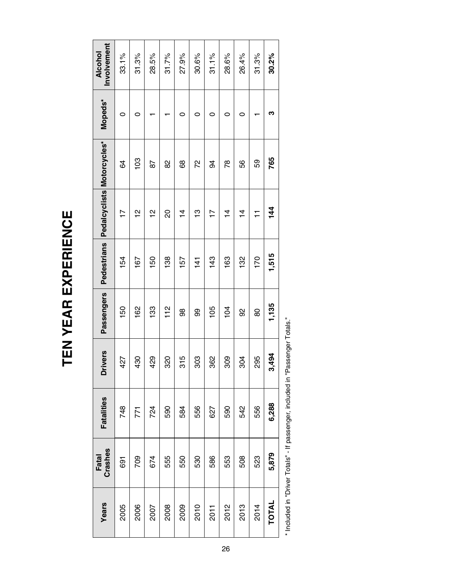| đ |   |  |
|---|---|--|
|   |   |  |
| ı |   |  |
|   |   |  |
| ſ | r |  |
|   |   |  |
|   |   |  |

| Involvement<br>Alcohol<br>33.1%<br>31.3%<br>28.5%<br>31.7%<br>27.9%<br>30.6%<br>31.1%<br>28.6%<br>26.4%<br>31.3%<br>Mopeds*<br>0<br>0<br>0<br>0<br>0<br>0<br>0<br>Pedestrians Pedalcyclists Motorcycles*<br>103<br>72<br>59<br>56<br>8<br>89<br>78<br>84<br>78<br>34 | 30.2%<br>ო<br>765<br>$\frac{44}{5}$ |
|----------------------------------------------------------------------------------------------------------------------------------------------------------------------------------------------------------------------------------------------------------------------|-------------------------------------|
|                                                                                                                                                                                                                                                                      |                                     |
|                                                                                                                                                                                                                                                                      |                                     |
|                                                                                                                                                                                                                                                                      |                                     |
| $\frac{1}{2}$<br>20<br>은<br>13<br>$\frac{1}{4}$<br>$\frac{1}{4}$<br>$\frac{4}{4}$<br>$\overline{1}$<br>$\overline{1}$<br>$\overline{1}$                                                                                                                              |                                     |
| 170<br>132<br>138<br>143<br>163<br>154<br>150<br>157<br>167<br>$\frac{14}{1}$                                                                                                                                                                                        | 1,515                               |
| Passengers<br>133<br>$\frac{2}{1}$<br>162<br>105<br>104<br>150<br>8<br>98<br>99<br>80                                                                                                                                                                                | 1,135                               |
| ivers<br>320<br>315<br>362<br>29<br>303<br>809<br>304<br>295<br>427<br>$\frac{8}{2}$<br>ة                                                                                                                                                                            | 494<br>က်                           |
| <b>Fatalities</b><br>556<br>748<br>724<br>590<br>556<br>542<br>584<br>590<br>627<br>771                                                                                                                                                                              | 6,288                               |
| Fatal<br>Crashes<br>674<br>555<br>586<br>508<br>523<br>709<br>550<br>530<br>553<br>691                                                                                                                                                                               | 5,879                               |
| Years<br>2012<br>2013<br>2010<br>2014<br>2005<br>2006<br>2008<br>2009<br>2007<br>2011                                                                                                                                                                                | <b>TOTAL</b>                        |

\* Included in "Driver Totals" - If passenger, included in "Passenger Totals." \* Included in "Driver Totals" - If passenger, included in "Passenger Totals."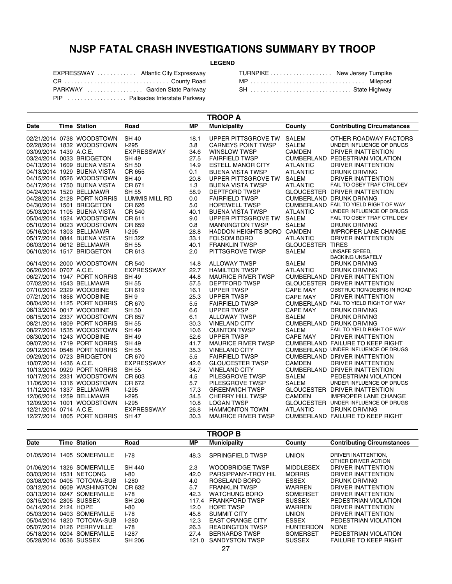# **NJSP FATAL CRASH INVESTIGATIONS SUMMARY BY TROOP**

### **LEGEND**

| EXPRESSWAY  Atlantic City Expressway |  |
|--------------------------------------|--|
| CR  County Road                      |  |
| PARKWAY  Garden State Parkway        |  |
| PIP  Palisades Interstate Parkway    |  |

| TURNPIKE New Jersey Turnpike |  |
|------------------------------|--|
| MP  Milepost                 |  |
| SH  State Highway            |  |

| <b>Municipality</b><br><b>Time Station</b><br>Road<br><b>MP</b><br>County<br><b>Contributing Circumstances</b><br>Date<br>02/21/2014 0738 WOODSTOWN<br><b>SH 40</b><br>UPPER PITTSGROVE TW<br><b>SALEM</b><br>18.1<br>OTHER ROADWAY FACTORS<br>02/28/2014 1832 WOODSTOWN<br>3.8<br>UNDER INFLUENCE OF DRUGS<br>$1-295$<br><b>CARNEYS POINT TWSP</b><br><b>SALEM</b><br>03/09/2014 1439 A.C.E.<br><b>EXPRESSWAY</b><br>34.6<br><b>WINSLOW TWSP</b><br><b>CAMDEN</b><br>DRIVER INATTENTION<br>03/24/2014 0033 BRIDGETON<br>27.5<br><b>FAIRFIELD TWSP</b><br><b>CUMBERLAND PEDESTRIAN VIOLATION</b><br>SH 49<br>04/13/2014 1609 BUENA VISTA<br><b>SH 50</b><br>14.9<br><b>ESTELL MANOR CITY</b><br><b>ATLANTIC</b><br>DRIVER INATTENTION<br>04/13/2014 1929 BUENA VISTA<br>CR 655<br><b>BUENA VISTA TWSP</b><br><b>ATLANTIC</b><br><b>DRUNK DRIVING</b><br>0.1<br>04/15/2014 0526 WOODSTOWN<br><b>SH 40</b><br>20.8<br>UPPER PITTSGROVE TW<br><b>SALEM</b><br><b>DRIVER INATTENTION</b><br>FAIL TO OBEY TRAF CTRL DEV<br>04/17/2014 1750 BUENA VISTA<br>CR 671<br>1.3<br><b>BUENA VISTA TWSP</b><br><b>ATLANTIC</b><br>04/24/2014 1520 BELLMAWR<br><b>SH 55</b><br>58.9<br><b>DEPTFORD TWSP</b><br>GLOUCESTER DRIVER INATTENTION<br>04/28/2014 2128 PORT NORRIS<br><b>LUMMIS MILL RD</b><br>0.0<br><b>FAIRFIELD TWSP</b><br><b>CUMBERLAND DRUNK DRIVING</b><br>04/30/2014 1501 BRIDGETON<br>CR 626<br>5.0<br>CUMBERLAND FAIL TO YIELD RIGHT OF WAY<br><b>HOPEWELL TWSP</b><br>40.1<br>05/03/2014 1105 BUENA VISTA<br><b>CR 540</b><br><b>BUENA VISTA TWSP</b><br><b>ATLANTIC</b><br>UNDER INFLUENCE OF DRUGS<br>05/04/2014 1524 WOODSTOWN<br>CR 611<br>9.0<br>UPPER PITTSGROVE TW<br><b>SALEM</b><br>FAIL TO OBEY TRAF CTRL DEV<br>05/10/2014 0023 WOODSTOWN<br>CR 659<br>0.8<br><b>MANNINGTON TWSP</b><br><b>SALEM</b><br><b>DRUNK DRIVING</b><br>05/16/2014 1303 BELLMAWR<br>$1-295$<br>28.8<br><b>HADDON HEIGHTS BORO</b><br><b>CAMDEN</b><br><b>IMPROPER LANE CHANGE</b><br>05/17/2014 0844 BUENA VISTA<br><b>SH 322</b><br>33.1<br><b>FOLSOM BORO</b><br><b>ATLANTIC</b><br>DRIVER INATTENTION<br>06/03/2014 0612 BELLMAWR<br><b>SH 55</b><br>40.1<br><b>GLOUCESTER TIRES</b><br><b>FRANKLIN TWSP</b><br>UNSAFE SPEED,<br>06/10/2014 1517 BRIDGETON<br>CR 613<br>2.0<br>PITTSGROVE TWSP<br><b>SALEM</b><br><b>BACKING UNSAFELY</b><br>06/14/2014 2000 WOODSTOWN<br>CR 540<br>14.8<br><b>ALLOWAY TWSP</b><br><b>SALEM</b><br><b>DRUNK DRIVING</b><br>06/20/2014 0707 A.C.E.<br><b>EXPRESSWAY</b><br>22.7<br><b>HAMILTON TWSP</b><br><b>ATLANTIC</b><br><b>DRUNK DRIVING</b><br>06/27/2014 1947 PORT NORRIS<br><b>SH 49</b><br>44.8<br><b>CUMBERLAND DRIVER INATTENTION</b><br><b>MAURICE RIVER TWSP</b><br><b>SH 55</b><br>07/02/2014 1543 BELLMAWR<br>57.5<br><b>DEPTFORD TWSP</b><br><b>GLOUCESTER DRIVER INATTENTION</b><br>07/10/2014 2329 WOODBINE<br>CR 619<br><b>UPPER TWSP</b><br><b>CAPE MAY</b><br>OBSTRUCTION/DEBRIS IN ROAD<br>16.1<br>07/21/2014 1858 WOODBINE<br>SH <sub>9</sub><br><b>CAPE MAY</b><br>25.3<br><b>UPPER TWSP</b><br>DRIVER INATTENTION<br>5.5<br>08/04/2014 1125 PORT NORRIS<br>CR 670<br><b>FAIRFIELD TWSP</b><br>CUMBERLAND FAIL TO YIELD RIGHT OF WAY<br>08/13/2014 0017 WOODBINE<br><b>SH 50</b><br>6.6<br><b>CAPE MAY</b><br><b>UPPER TWSP</b><br>DRUNK DRIVING<br>CR 657<br>08/15/2014 2337 WOODSTOWN<br>6.1<br><b>ALLOWAY TWSP</b><br><b>SALEM</b><br>DRUNK DRIVING<br>08/21/2014 1809 PORT NORRIS<br><b>SH 55</b><br>30.3<br>CUMBERLAND DRUNK DRIVING<br><b>VINELAND CITY</b><br>08/27/2014 1535 WOODSTOWN<br><b>SH 49</b><br>FAIL TO YIELD RIGHT OF WAY<br>10.6<br><b>SALEM</b><br><b>QUINTON TWSP</b><br>08/30/2014 1243 WOODBINE<br>SH 49<br>52.6<br><b>UPPER TWSP</b><br><b>CAPE MAY</b><br>DRIVER INATTENTION<br>09/07/2014 1719 PORT NORRIS<br><b>SH 49</b><br><b>CUMBERLAND FAILURE TO KEEP RIGHT</b><br>41.7<br><b>MAURICE RIVER TWSP</b><br>35.3<br>CUMBERLAND UNDER INFLUENCE OF DRUGS<br>09/12/2014 0548 PORT NORRIS<br><b>SH 55</b><br><b>VINELAND CITY</b><br>09/29/2014 0723 BRIDGETON<br>5.5<br><b>FAIRFIELD TWSP</b><br>CR 670<br><b>CUMBERLAND DRIVER INATTENTION</b><br>10/07/2014 1436 A.C.E.<br><b>EXPRESSWAY</b><br>42.6<br><b>GLOUCESTER TWSP</b><br><b>CAMDEN</b><br><b>DRIVER INATTENTION</b><br>10/13/2014 0929 PORT NORRIS<br><b>SH 55</b><br>34.7<br><b>VINELAND CITY</b><br><b>CUMBERLAND DRIVER INATTENTION</b><br>10/17/2014 2331 WOODSTOWN<br>CR 603<br>4.5<br>PILESGROVE TWSP<br><b>SALEM</b><br>PEDESTRIAN VIOLATION<br>11/06/2014 1316 WOODSTOWN<br>CR 672<br>5.7<br>PILESGROVE TWSP<br><b>SALEM</b><br>UNDER INFLUENCE OF DRUGS<br>11/12/2014 1337 BELLMAWR<br>$I-295$<br>17.3<br><b>GREENWICH TWSP</b><br>GLOUCESTER DRIVER INATTENTION<br>12/06/2014 1259 BELLMAWR<br>$1-295$<br><b>CAMDEN</b><br>34.5<br><b>CHERRY HILL TWSP</b><br><b>IMPROPER LANE CHANGE</b><br>12/09/2014 1001 WOODSTOWN<br>$1-295$<br><b>LOGAN TWSP</b><br>GLOUCESTER UNDER INFLUENCE OF DRUGS<br>10.8<br>12/21/2014 0714 A.C.E.<br><b>EXPRESSWAY</b><br>26.8<br><b>HAMMONTON TOWN</b><br><b>ATLANTIC</b><br>DRUNK DRIVING<br>12/27/2014 1805 PORT NORRIS<br><b>SH 47</b><br>30.3<br><b>CUMBERLAND FAILURE TO KEEP RIGHT</b><br><b>MAURICE RIVER TWSP</b> | <b>TROOP A</b> |  |  |  |  |  |  |
|-------------------------------------------------------------------------------------------------------------------------------------------------------------------------------------------------------------------------------------------------------------------------------------------------------------------------------------------------------------------------------------------------------------------------------------------------------------------------------------------------------------------------------------------------------------------------------------------------------------------------------------------------------------------------------------------------------------------------------------------------------------------------------------------------------------------------------------------------------------------------------------------------------------------------------------------------------------------------------------------------------------------------------------------------------------------------------------------------------------------------------------------------------------------------------------------------------------------------------------------------------------------------------------------------------------------------------------------------------------------------------------------------------------------------------------------------------------------------------------------------------------------------------------------------------------------------------------------------------------------------------------------------------------------------------------------------------------------------------------------------------------------------------------------------------------------------------------------------------------------------------------------------------------------------------------------------------------------------------------------------------------------------------------------------------------------------------------------------------------------------------------------------------------------------------------------------------------------------------------------------------------------------------------------------------------------------------------------------------------------------------------------------------------------------------------------------------------------------------------------------------------------------------------------------------------------------------------------------------------------------------------------------------------------------------------------------------------------------------------------------------------------------------------------------------------------------------------------------------------------------------------------------------------------------------------------------------------------------------------------------------------------------------------------------------------------------------------------------------------------------------------------------------------------------------------------------------------------------------------------------------------------------------------------------------------------------------------------------------------------------------------------------------------------------------------------------------------------------------------------------------------------------------------------------------------------------------------------------------------------------------------------------------------------------------------------------------------------------------------------------------------------------------------------------------------------------------------------------------------------------------------------------------------------------------------------------------------------------------------------------------------------------------------------------------------------------------------------------------------------------------------------------------------------------------------------------------------------------------------------------------------------------------------------------------------------------------------------------------------------------------------------------------------------------------------------------------------------------------------------------------------------------------------------------------------------------------------------------------------------------------------------------------------------------------------------------------------------------------------------------------------------------------------------------------------------------------------------------------------------------------------------------------------------------------------------------------------------------------------------------------------------------------------------------------------------------------------------------------------------------------------------------------------------------------------------------------------|----------------|--|--|--|--|--|--|
|                                                                                                                                                                                                                                                                                                                                                                                                                                                                                                                                                                                                                                                                                                                                                                                                                                                                                                                                                                                                                                                                                                                                                                                                                                                                                                                                                                                                                                                                                                                                                                                                                                                                                                                                                                                                                                                                                                                                                                                                                                                                                                                                                                                                                                                                                                                                                                                                                                                                                                                                                                                                                                                                                                                                                                                                                                                                                                                                                                                                                                                                                                                                                                                                                                                                                                                                                                                                                                                                                                                                                                                                                                                                                                                                                                                                                                                                                                                                                                                                                                                                                                                                                                                                                                                                                                                                                                                                                                                                                                                                                                                                                                                                                                                                                                                                                                                                                                                                                                                                                                                                                                                                                                                                             |                |  |  |  |  |  |  |
|                                                                                                                                                                                                                                                                                                                                                                                                                                                                                                                                                                                                                                                                                                                                                                                                                                                                                                                                                                                                                                                                                                                                                                                                                                                                                                                                                                                                                                                                                                                                                                                                                                                                                                                                                                                                                                                                                                                                                                                                                                                                                                                                                                                                                                                                                                                                                                                                                                                                                                                                                                                                                                                                                                                                                                                                                                                                                                                                                                                                                                                                                                                                                                                                                                                                                                                                                                                                                                                                                                                                                                                                                                                                                                                                                                                                                                                                                                                                                                                                                                                                                                                                                                                                                                                                                                                                                                                                                                                                                                                                                                                                                                                                                                                                                                                                                                                                                                                                                                                                                                                                                                                                                                                                             |                |  |  |  |  |  |  |
|                                                                                                                                                                                                                                                                                                                                                                                                                                                                                                                                                                                                                                                                                                                                                                                                                                                                                                                                                                                                                                                                                                                                                                                                                                                                                                                                                                                                                                                                                                                                                                                                                                                                                                                                                                                                                                                                                                                                                                                                                                                                                                                                                                                                                                                                                                                                                                                                                                                                                                                                                                                                                                                                                                                                                                                                                                                                                                                                                                                                                                                                                                                                                                                                                                                                                                                                                                                                                                                                                                                                                                                                                                                                                                                                                                                                                                                                                                                                                                                                                                                                                                                                                                                                                                                                                                                                                                                                                                                                                                                                                                                                                                                                                                                                                                                                                                                                                                                                                                                                                                                                                                                                                                                                             |                |  |  |  |  |  |  |
|                                                                                                                                                                                                                                                                                                                                                                                                                                                                                                                                                                                                                                                                                                                                                                                                                                                                                                                                                                                                                                                                                                                                                                                                                                                                                                                                                                                                                                                                                                                                                                                                                                                                                                                                                                                                                                                                                                                                                                                                                                                                                                                                                                                                                                                                                                                                                                                                                                                                                                                                                                                                                                                                                                                                                                                                                                                                                                                                                                                                                                                                                                                                                                                                                                                                                                                                                                                                                                                                                                                                                                                                                                                                                                                                                                                                                                                                                                                                                                                                                                                                                                                                                                                                                                                                                                                                                                                                                                                                                                                                                                                                                                                                                                                                                                                                                                                                                                                                                                                                                                                                                                                                                                                                             |                |  |  |  |  |  |  |
|                                                                                                                                                                                                                                                                                                                                                                                                                                                                                                                                                                                                                                                                                                                                                                                                                                                                                                                                                                                                                                                                                                                                                                                                                                                                                                                                                                                                                                                                                                                                                                                                                                                                                                                                                                                                                                                                                                                                                                                                                                                                                                                                                                                                                                                                                                                                                                                                                                                                                                                                                                                                                                                                                                                                                                                                                                                                                                                                                                                                                                                                                                                                                                                                                                                                                                                                                                                                                                                                                                                                                                                                                                                                                                                                                                                                                                                                                                                                                                                                                                                                                                                                                                                                                                                                                                                                                                                                                                                                                                                                                                                                                                                                                                                                                                                                                                                                                                                                                                                                                                                                                                                                                                                                             |                |  |  |  |  |  |  |
|                                                                                                                                                                                                                                                                                                                                                                                                                                                                                                                                                                                                                                                                                                                                                                                                                                                                                                                                                                                                                                                                                                                                                                                                                                                                                                                                                                                                                                                                                                                                                                                                                                                                                                                                                                                                                                                                                                                                                                                                                                                                                                                                                                                                                                                                                                                                                                                                                                                                                                                                                                                                                                                                                                                                                                                                                                                                                                                                                                                                                                                                                                                                                                                                                                                                                                                                                                                                                                                                                                                                                                                                                                                                                                                                                                                                                                                                                                                                                                                                                                                                                                                                                                                                                                                                                                                                                                                                                                                                                                                                                                                                                                                                                                                                                                                                                                                                                                                                                                                                                                                                                                                                                                                                             |                |  |  |  |  |  |  |
|                                                                                                                                                                                                                                                                                                                                                                                                                                                                                                                                                                                                                                                                                                                                                                                                                                                                                                                                                                                                                                                                                                                                                                                                                                                                                                                                                                                                                                                                                                                                                                                                                                                                                                                                                                                                                                                                                                                                                                                                                                                                                                                                                                                                                                                                                                                                                                                                                                                                                                                                                                                                                                                                                                                                                                                                                                                                                                                                                                                                                                                                                                                                                                                                                                                                                                                                                                                                                                                                                                                                                                                                                                                                                                                                                                                                                                                                                                                                                                                                                                                                                                                                                                                                                                                                                                                                                                                                                                                                                                                                                                                                                                                                                                                                                                                                                                                                                                                                                                                                                                                                                                                                                                                                             |                |  |  |  |  |  |  |
|                                                                                                                                                                                                                                                                                                                                                                                                                                                                                                                                                                                                                                                                                                                                                                                                                                                                                                                                                                                                                                                                                                                                                                                                                                                                                                                                                                                                                                                                                                                                                                                                                                                                                                                                                                                                                                                                                                                                                                                                                                                                                                                                                                                                                                                                                                                                                                                                                                                                                                                                                                                                                                                                                                                                                                                                                                                                                                                                                                                                                                                                                                                                                                                                                                                                                                                                                                                                                                                                                                                                                                                                                                                                                                                                                                                                                                                                                                                                                                                                                                                                                                                                                                                                                                                                                                                                                                                                                                                                                                                                                                                                                                                                                                                                                                                                                                                                                                                                                                                                                                                                                                                                                                                                             |                |  |  |  |  |  |  |
|                                                                                                                                                                                                                                                                                                                                                                                                                                                                                                                                                                                                                                                                                                                                                                                                                                                                                                                                                                                                                                                                                                                                                                                                                                                                                                                                                                                                                                                                                                                                                                                                                                                                                                                                                                                                                                                                                                                                                                                                                                                                                                                                                                                                                                                                                                                                                                                                                                                                                                                                                                                                                                                                                                                                                                                                                                                                                                                                                                                                                                                                                                                                                                                                                                                                                                                                                                                                                                                                                                                                                                                                                                                                                                                                                                                                                                                                                                                                                                                                                                                                                                                                                                                                                                                                                                                                                                                                                                                                                                                                                                                                                                                                                                                                                                                                                                                                                                                                                                                                                                                                                                                                                                                                             |                |  |  |  |  |  |  |
|                                                                                                                                                                                                                                                                                                                                                                                                                                                                                                                                                                                                                                                                                                                                                                                                                                                                                                                                                                                                                                                                                                                                                                                                                                                                                                                                                                                                                                                                                                                                                                                                                                                                                                                                                                                                                                                                                                                                                                                                                                                                                                                                                                                                                                                                                                                                                                                                                                                                                                                                                                                                                                                                                                                                                                                                                                                                                                                                                                                                                                                                                                                                                                                                                                                                                                                                                                                                                                                                                                                                                                                                                                                                                                                                                                                                                                                                                                                                                                                                                                                                                                                                                                                                                                                                                                                                                                                                                                                                                                                                                                                                                                                                                                                                                                                                                                                                                                                                                                                                                                                                                                                                                                                                             |                |  |  |  |  |  |  |
|                                                                                                                                                                                                                                                                                                                                                                                                                                                                                                                                                                                                                                                                                                                                                                                                                                                                                                                                                                                                                                                                                                                                                                                                                                                                                                                                                                                                                                                                                                                                                                                                                                                                                                                                                                                                                                                                                                                                                                                                                                                                                                                                                                                                                                                                                                                                                                                                                                                                                                                                                                                                                                                                                                                                                                                                                                                                                                                                                                                                                                                                                                                                                                                                                                                                                                                                                                                                                                                                                                                                                                                                                                                                                                                                                                                                                                                                                                                                                                                                                                                                                                                                                                                                                                                                                                                                                                                                                                                                                                                                                                                                                                                                                                                                                                                                                                                                                                                                                                                                                                                                                                                                                                                                             |                |  |  |  |  |  |  |
|                                                                                                                                                                                                                                                                                                                                                                                                                                                                                                                                                                                                                                                                                                                                                                                                                                                                                                                                                                                                                                                                                                                                                                                                                                                                                                                                                                                                                                                                                                                                                                                                                                                                                                                                                                                                                                                                                                                                                                                                                                                                                                                                                                                                                                                                                                                                                                                                                                                                                                                                                                                                                                                                                                                                                                                                                                                                                                                                                                                                                                                                                                                                                                                                                                                                                                                                                                                                                                                                                                                                                                                                                                                                                                                                                                                                                                                                                                                                                                                                                                                                                                                                                                                                                                                                                                                                                                                                                                                                                                                                                                                                                                                                                                                                                                                                                                                                                                                                                                                                                                                                                                                                                                                                             |                |  |  |  |  |  |  |
|                                                                                                                                                                                                                                                                                                                                                                                                                                                                                                                                                                                                                                                                                                                                                                                                                                                                                                                                                                                                                                                                                                                                                                                                                                                                                                                                                                                                                                                                                                                                                                                                                                                                                                                                                                                                                                                                                                                                                                                                                                                                                                                                                                                                                                                                                                                                                                                                                                                                                                                                                                                                                                                                                                                                                                                                                                                                                                                                                                                                                                                                                                                                                                                                                                                                                                                                                                                                                                                                                                                                                                                                                                                                                                                                                                                                                                                                                                                                                                                                                                                                                                                                                                                                                                                                                                                                                                                                                                                                                                                                                                                                                                                                                                                                                                                                                                                                                                                                                                                                                                                                                                                                                                                                             |                |  |  |  |  |  |  |
|                                                                                                                                                                                                                                                                                                                                                                                                                                                                                                                                                                                                                                                                                                                                                                                                                                                                                                                                                                                                                                                                                                                                                                                                                                                                                                                                                                                                                                                                                                                                                                                                                                                                                                                                                                                                                                                                                                                                                                                                                                                                                                                                                                                                                                                                                                                                                                                                                                                                                                                                                                                                                                                                                                                                                                                                                                                                                                                                                                                                                                                                                                                                                                                                                                                                                                                                                                                                                                                                                                                                                                                                                                                                                                                                                                                                                                                                                                                                                                                                                                                                                                                                                                                                                                                                                                                                                                                                                                                                                                                                                                                                                                                                                                                                                                                                                                                                                                                                                                                                                                                                                                                                                                                                             |                |  |  |  |  |  |  |
|                                                                                                                                                                                                                                                                                                                                                                                                                                                                                                                                                                                                                                                                                                                                                                                                                                                                                                                                                                                                                                                                                                                                                                                                                                                                                                                                                                                                                                                                                                                                                                                                                                                                                                                                                                                                                                                                                                                                                                                                                                                                                                                                                                                                                                                                                                                                                                                                                                                                                                                                                                                                                                                                                                                                                                                                                                                                                                                                                                                                                                                                                                                                                                                                                                                                                                                                                                                                                                                                                                                                                                                                                                                                                                                                                                                                                                                                                                                                                                                                                                                                                                                                                                                                                                                                                                                                                                                                                                                                                                                                                                                                                                                                                                                                                                                                                                                                                                                                                                                                                                                                                                                                                                                                             |                |  |  |  |  |  |  |
|                                                                                                                                                                                                                                                                                                                                                                                                                                                                                                                                                                                                                                                                                                                                                                                                                                                                                                                                                                                                                                                                                                                                                                                                                                                                                                                                                                                                                                                                                                                                                                                                                                                                                                                                                                                                                                                                                                                                                                                                                                                                                                                                                                                                                                                                                                                                                                                                                                                                                                                                                                                                                                                                                                                                                                                                                                                                                                                                                                                                                                                                                                                                                                                                                                                                                                                                                                                                                                                                                                                                                                                                                                                                                                                                                                                                                                                                                                                                                                                                                                                                                                                                                                                                                                                                                                                                                                                                                                                                                                                                                                                                                                                                                                                                                                                                                                                                                                                                                                                                                                                                                                                                                                                                             |                |  |  |  |  |  |  |
|                                                                                                                                                                                                                                                                                                                                                                                                                                                                                                                                                                                                                                                                                                                                                                                                                                                                                                                                                                                                                                                                                                                                                                                                                                                                                                                                                                                                                                                                                                                                                                                                                                                                                                                                                                                                                                                                                                                                                                                                                                                                                                                                                                                                                                                                                                                                                                                                                                                                                                                                                                                                                                                                                                                                                                                                                                                                                                                                                                                                                                                                                                                                                                                                                                                                                                                                                                                                                                                                                                                                                                                                                                                                                                                                                                                                                                                                                                                                                                                                                                                                                                                                                                                                                                                                                                                                                                                                                                                                                                                                                                                                                                                                                                                                                                                                                                                                                                                                                                                                                                                                                                                                                                                                             |                |  |  |  |  |  |  |
|                                                                                                                                                                                                                                                                                                                                                                                                                                                                                                                                                                                                                                                                                                                                                                                                                                                                                                                                                                                                                                                                                                                                                                                                                                                                                                                                                                                                                                                                                                                                                                                                                                                                                                                                                                                                                                                                                                                                                                                                                                                                                                                                                                                                                                                                                                                                                                                                                                                                                                                                                                                                                                                                                                                                                                                                                                                                                                                                                                                                                                                                                                                                                                                                                                                                                                                                                                                                                                                                                                                                                                                                                                                                                                                                                                                                                                                                                                                                                                                                                                                                                                                                                                                                                                                                                                                                                                                                                                                                                                                                                                                                                                                                                                                                                                                                                                                                                                                                                                                                                                                                                                                                                                                                             |                |  |  |  |  |  |  |
|                                                                                                                                                                                                                                                                                                                                                                                                                                                                                                                                                                                                                                                                                                                                                                                                                                                                                                                                                                                                                                                                                                                                                                                                                                                                                                                                                                                                                                                                                                                                                                                                                                                                                                                                                                                                                                                                                                                                                                                                                                                                                                                                                                                                                                                                                                                                                                                                                                                                                                                                                                                                                                                                                                                                                                                                                                                                                                                                                                                                                                                                                                                                                                                                                                                                                                                                                                                                                                                                                                                                                                                                                                                                                                                                                                                                                                                                                                                                                                                                                                                                                                                                                                                                                                                                                                                                                                                                                                                                                                                                                                                                                                                                                                                                                                                                                                                                                                                                                                                                                                                                                                                                                                                                             |                |  |  |  |  |  |  |
|                                                                                                                                                                                                                                                                                                                                                                                                                                                                                                                                                                                                                                                                                                                                                                                                                                                                                                                                                                                                                                                                                                                                                                                                                                                                                                                                                                                                                                                                                                                                                                                                                                                                                                                                                                                                                                                                                                                                                                                                                                                                                                                                                                                                                                                                                                                                                                                                                                                                                                                                                                                                                                                                                                                                                                                                                                                                                                                                                                                                                                                                                                                                                                                                                                                                                                                                                                                                                                                                                                                                                                                                                                                                                                                                                                                                                                                                                                                                                                                                                                                                                                                                                                                                                                                                                                                                                                                                                                                                                                                                                                                                                                                                                                                                                                                                                                                                                                                                                                                                                                                                                                                                                                                                             |                |  |  |  |  |  |  |
|                                                                                                                                                                                                                                                                                                                                                                                                                                                                                                                                                                                                                                                                                                                                                                                                                                                                                                                                                                                                                                                                                                                                                                                                                                                                                                                                                                                                                                                                                                                                                                                                                                                                                                                                                                                                                                                                                                                                                                                                                                                                                                                                                                                                                                                                                                                                                                                                                                                                                                                                                                                                                                                                                                                                                                                                                                                                                                                                                                                                                                                                                                                                                                                                                                                                                                                                                                                                                                                                                                                                                                                                                                                                                                                                                                                                                                                                                                                                                                                                                                                                                                                                                                                                                                                                                                                                                                                                                                                                                                                                                                                                                                                                                                                                                                                                                                                                                                                                                                                                                                                                                                                                                                                                             |                |  |  |  |  |  |  |
|                                                                                                                                                                                                                                                                                                                                                                                                                                                                                                                                                                                                                                                                                                                                                                                                                                                                                                                                                                                                                                                                                                                                                                                                                                                                                                                                                                                                                                                                                                                                                                                                                                                                                                                                                                                                                                                                                                                                                                                                                                                                                                                                                                                                                                                                                                                                                                                                                                                                                                                                                                                                                                                                                                                                                                                                                                                                                                                                                                                                                                                                                                                                                                                                                                                                                                                                                                                                                                                                                                                                                                                                                                                                                                                                                                                                                                                                                                                                                                                                                                                                                                                                                                                                                                                                                                                                                                                                                                                                                                                                                                                                                                                                                                                                                                                                                                                                                                                                                                                                                                                                                                                                                                                                             |                |  |  |  |  |  |  |
|                                                                                                                                                                                                                                                                                                                                                                                                                                                                                                                                                                                                                                                                                                                                                                                                                                                                                                                                                                                                                                                                                                                                                                                                                                                                                                                                                                                                                                                                                                                                                                                                                                                                                                                                                                                                                                                                                                                                                                                                                                                                                                                                                                                                                                                                                                                                                                                                                                                                                                                                                                                                                                                                                                                                                                                                                                                                                                                                                                                                                                                                                                                                                                                                                                                                                                                                                                                                                                                                                                                                                                                                                                                                                                                                                                                                                                                                                                                                                                                                                                                                                                                                                                                                                                                                                                                                                                                                                                                                                                                                                                                                                                                                                                                                                                                                                                                                                                                                                                                                                                                                                                                                                                                                             |                |  |  |  |  |  |  |
|                                                                                                                                                                                                                                                                                                                                                                                                                                                                                                                                                                                                                                                                                                                                                                                                                                                                                                                                                                                                                                                                                                                                                                                                                                                                                                                                                                                                                                                                                                                                                                                                                                                                                                                                                                                                                                                                                                                                                                                                                                                                                                                                                                                                                                                                                                                                                                                                                                                                                                                                                                                                                                                                                                                                                                                                                                                                                                                                                                                                                                                                                                                                                                                                                                                                                                                                                                                                                                                                                                                                                                                                                                                                                                                                                                                                                                                                                                                                                                                                                                                                                                                                                                                                                                                                                                                                                                                                                                                                                                                                                                                                                                                                                                                                                                                                                                                                                                                                                                                                                                                                                                                                                                                                             |                |  |  |  |  |  |  |
|                                                                                                                                                                                                                                                                                                                                                                                                                                                                                                                                                                                                                                                                                                                                                                                                                                                                                                                                                                                                                                                                                                                                                                                                                                                                                                                                                                                                                                                                                                                                                                                                                                                                                                                                                                                                                                                                                                                                                                                                                                                                                                                                                                                                                                                                                                                                                                                                                                                                                                                                                                                                                                                                                                                                                                                                                                                                                                                                                                                                                                                                                                                                                                                                                                                                                                                                                                                                                                                                                                                                                                                                                                                                                                                                                                                                                                                                                                                                                                                                                                                                                                                                                                                                                                                                                                                                                                                                                                                                                                                                                                                                                                                                                                                                                                                                                                                                                                                                                                                                                                                                                                                                                                                                             |                |  |  |  |  |  |  |
|                                                                                                                                                                                                                                                                                                                                                                                                                                                                                                                                                                                                                                                                                                                                                                                                                                                                                                                                                                                                                                                                                                                                                                                                                                                                                                                                                                                                                                                                                                                                                                                                                                                                                                                                                                                                                                                                                                                                                                                                                                                                                                                                                                                                                                                                                                                                                                                                                                                                                                                                                                                                                                                                                                                                                                                                                                                                                                                                                                                                                                                                                                                                                                                                                                                                                                                                                                                                                                                                                                                                                                                                                                                                                                                                                                                                                                                                                                                                                                                                                                                                                                                                                                                                                                                                                                                                                                                                                                                                                                                                                                                                                                                                                                                                                                                                                                                                                                                                                                                                                                                                                                                                                                                                             |                |  |  |  |  |  |  |
|                                                                                                                                                                                                                                                                                                                                                                                                                                                                                                                                                                                                                                                                                                                                                                                                                                                                                                                                                                                                                                                                                                                                                                                                                                                                                                                                                                                                                                                                                                                                                                                                                                                                                                                                                                                                                                                                                                                                                                                                                                                                                                                                                                                                                                                                                                                                                                                                                                                                                                                                                                                                                                                                                                                                                                                                                                                                                                                                                                                                                                                                                                                                                                                                                                                                                                                                                                                                                                                                                                                                                                                                                                                                                                                                                                                                                                                                                                                                                                                                                                                                                                                                                                                                                                                                                                                                                                                                                                                                                                                                                                                                                                                                                                                                                                                                                                                                                                                                                                                                                                                                                                                                                                                                             |                |  |  |  |  |  |  |
|                                                                                                                                                                                                                                                                                                                                                                                                                                                                                                                                                                                                                                                                                                                                                                                                                                                                                                                                                                                                                                                                                                                                                                                                                                                                                                                                                                                                                                                                                                                                                                                                                                                                                                                                                                                                                                                                                                                                                                                                                                                                                                                                                                                                                                                                                                                                                                                                                                                                                                                                                                                                                                                                                                                                                                                                                                                                                                                                                                                                                                                                                                                                                                                                                                                                                                                                                                                                                                                                                                                                                                                                                                                                                                                                                                                                                                                                                                                                                                                                                                                                                                                                                                                                                                                                                                                                                                                                                                                                                                                                                                                                                                                                                                                                                                                                                                                                                                                                                                                                                                                                                                                                                                                                             |                |  |  |  |  |  |  |
|                                                                                                                                                                                                                                                                                                                                                                                                                                                                                                                                                                                                                                                                                                                                                                                                                                                                                                                                                                                                                                                                                                                                                                                                                                                                                                                                                                                                                                                                                                                                                                                                                                                                                                                                                                                                                                                                                                                                                                                                                                                                                                                                                                                                                                                                                                                                                                                                                                                                                                                                                                                                                                                                                                                                                                                                                                                                                                                                                                                                                                                                                                                                                                                                                                                                                                                                                                                                                                                                                                                                                                                                                                                                                                                                                                                                                                                                                                                                                                                                                                                                                                                                                                                                                                                                                                                                                                                                                                                                                                                                                                                                                                                                                                                                                                                                                                                                                                                                                                                                                                                                                                                                                                                                             |                |  |  |  |  |  |  |
|                                                                                                                                                                                                                                                                                                                                                                                                                                                                                                                                                                                                                                                                                                                                                                                                                                                                                                                                                                                                                                                                                                                                                                                                                                                                                                                                                                                                                                                                                                                                                                                                                                                                                                                                                                                                                                                                                                                                                                                                                                                                                                                                                                                                                                                                                                                                                                                                                                                                                                                                                                                                                                                                                                                                                                                                                                                                                                                                                                                                                                                                                                                                                                                                                                                                                                                                                                                                                                                                                                                                                                                                                                                                                                                                                                                                                                                                                                                                                                                                                                                                                                                                                                                                                                                                                                                                                                                                                                                                                                                                                                                                                                                                                                                                                                                                                                                                                                                                                                                                                                                                                                                                                                                                             |                |  |  |  |  |  |  |
|                                                                                                                                                                                                                                                                                                                                                                                                                                                                                                                                                                                                                                                                                                                                                                                                                                                                                                                                                                                                                                                                                                                                                                                                                                                                                                                                                                                                                                                                                                                                                                                                                                                                                                                                                                                                                                                                                                                                                                                                                                                                                                                                                                                                                                                                                                                                                                                                                                                                                                                                                                                                                                                                                                                                                                                                                                                                                                                                                                                                                                                                                                                                                                                                                                                                                                                                                                                                                                                                                                                                                                                                                                                                                                                                                                                                                                                                                                                                                                                                                                                                                                                                                                                                                                                                                                                                                                                                                                                                                                                                                                                                                                                                                                                                                                                                                                                                                                                                                                                                                                                                                                                                                                                                             |                |  |  |  |  |  |  |
|                                                                                                                                                                                                                                                                                                                                                                                                                                                                                                                                                                                                                                                                                                                                                                                                                                                                                                                                                                                                                                                                                                                                                                                                                                                                                                                                                                                                                                                                                                                                                                                                                                                                                                                                                                                                                                                                                                                                                                                                                                                                                                                                                                                                                                                                                                                                                                                                                                                                                                                                                                                                                                                                                                                                                                                                                                                                                                                                                                                                                                                                                                                                                                                                                                                                                                                                                                                                                                                                                                                                                                                                                                                                                                                                                                                                                                                                                                                                                                                                                                                                                                                                                                                                                                                                                                                                                                                                                                                                                                                                                                                                                                                                                                                                                                                                                                                                                                                                                                                                                                                                                                                                                                                                             |                |  |  |  |  |  |  |
|                                                                                                                                                                                                                                                                                                                                                                                                                                                                                                                                                                                                                                                                                                                                                                                                                                                                                                                                                                                                                                                                                                                                                                                                                                                                                                                                                                                                                                                                                                                                                                                                                                                                                                                                                                                                                                                                                                                                                                                                                                                                                                                                                                                                                                                                                                                                                                                                                                                                                                                                                                                                                                                                                                                                                                                                                                                                                                                                                                                                                                                                                                                                                                                                                                                                                                                                                                                                                                                                                                                                                                                                                                                                                                                                                                                                                                                                                                                                                                                                                                                                                                                                                                                                                                                                                                                                                                                                                                                                                                                                                                                                                                                                                                                                                                                                                                                                                                                                                                                                                                                                                                                                                                                                             |                |  |  |  |  |  |  |
|                                                                                                                                                                                                                                                                                                                                                                                                                                                                                                                                                                                                                                                                                                                                                                                                                                                                                                                                                                                                                                                                                                                                                                                                                                                                                                                                                                                                                                                                                                                                                                                                                                                                                                                                                                                                                                                                                                                                                                                                                                                                                                                                                                                                                                                                                                                                                                                                                                                                                                                                                                                                                                                                                                                                                                                                                                                                                                                                                                                                                                                                                                                                                                                                                                                                                                                                                                                                                                                                                                                                                                                                                                                                                                                                                                                                                                                                                                                                                                                                                                                                                                                                                                                                                                                                                                                                                                                                                                                                                                                                                                                                                                                                                                                                                                                                                                                                                                                                                                                                                                                                                                                                                                                                             |                |  |  |  |  |  |  |
|                                                                                                                                                                                                                                                                                                                                                                                                                                                                                                                                                                                                                                                                                                                                                                                                                                                                                                                                                                                                                                                                                                                                                                                                                                                                                                                                                                                                                                                                                                                                                                                                                                                                                                                                                                                                                                                                                                                                                                                                                                                                                                                                                                                                                                                                                                                                                                                                                                                                                                                                                                                                                                                                                                                                                                                                                                                                                                                                                                                                                                                                                                                                                                                                                                                                                                                                                                                                                                                                                                                                                                                                                                                                                                                                                                                                                                                                                                                                                                                                                                                                                                                                                                                                                                                                                                                                                                                                                                                                                                                                                                                                                                                                                                                                                                                                                                                                                                                                                                                                                                                                                                                                                                                                             |                |  |  |  |  |  |  |
|                                                                                                                                                                                                                                                                                                                                                                                                                                                                                                                                                                                                                                                                                                                                                                                                                                                                                                                                                                                                                                                                                                                                                                                                                                                                                                                                                                                                                                                                                                                                                                                                                                                                                                                                                                                                                                                                                                                                                                                                                                                                                                                                                                                                                                                                                                                                                                                                                                                                                                                                                                                                                                                                                                                                                                                                                                                                                                                                                                                                                                                                                                                                                                                                                                                                                                                                                                                                                                                                                                                                                                                                                                                                                                                                                                                                                                                                                                                                                                                                                                                                                                                                                                                                                                                                                                                                                                                                                                                                                                                                                                                                                                                                                                                                                                                                                                                                                                                                                                                                                                                                                                                                                                                                             |                |  |  |  |  |  |  |
|                                                                                                                                                                                                                                                                                                                                                                                                                                                                                                                                                                                                                                                                                                                                                                                                                                                                                                                                                                                                                                                                                                                                                                                                                                                                                                                                                                                                                                                                                                                                                                                                                                                                                                                                                                                                                                                                                                                                                                                                                                                                                                                                                                                                                                                                                                                                                                                                                                                                                                                                                                                                                                                                                                                                                                                                                                                                                                                                                                                                                                                                                                                                                                                                                                                                                                                                                                                                                                                                                                                                                                                                                                                                                                                                                                                                                                                                                                                                                                                                                                                                                                                                                                                                                                                                                                                                                                                                                                                                                                                                                                                                                                                                                                                                                                                                                                                                                                                                                                                                                                                                                                                                                                                                             |                |  |  |  |  |  |  |
|                                                                                                                                                                                                                                                                                                                                                                                                                                                                                                                                                                                                                                                                                                                                                                                                                                                                                                                                                                                                                                                                                                                                                                                                                                                                                                                                                                                                                                                                                                                                                                                                                                                                                                                                                                                                                                                                                                                                                                                                                                                                                                                                                                                                                                                                                                                                                                                                                                                                                                                                                                                                                                                                                                                                                                                                                                                                                                                                                                                                                                                                                                                                                                                                                                                                                                                                                                                                                                                                                                                                                                                                                                                                                                                                                                                                                                                                                                                                                                                                                                                                                                                                                                                                                                                                                                                                                                                                                                                                                                                                                                                                                                                                                                                                                                                                                                                                                                                                                                                                                                                                                                                                                                                                             |                |  |  |  |  |  |  |
|                                                                                                                                                                                                                                                                                                                                                                                                                                                                                                                                                                                                                                                                                                                                                                                                                                                                                                                                                                                                                                                                                                                                                                                                                                                                                                                                                                                                                                                                                                                                                                                                                                                                                                                                                                                                                                                                                                                                                                                                                                                                                                                                                                                                                                                                                                                                                                                                                                                                                                                                                                                                                                                                                                                                                                                                                                                                                                                                                                                                                                                                                                                                                                                                                                                                                                                                                                                                                                                                                                                                                                                                                                                                                                                                                                                                                                                                                                                                                                                                                                                                                                                                                                                                                                                                                                                                                                                                                                                                                                                                                                                                                                                                                                                                                                                                                                                                                                                                                                                                                                                                                                                                                                                                             |                |  |  |  |  |  |  |
|                                                                                                                                                                                                                                                                                                                                                                                                                                                                                                                                                                                                                                                                                                                                                                                                                                                                                                                                                                                                                                                                                                                                                                                                                                                                                                                                                                                                                                                                                                                                                                                                                                                                                                                                                                                                                                                                                                                                                                                                                                                                                                                                                                                                                                                                                                                                                                                                                                                                                                                                                                                                                                                                                                                                                                                                                                                                                                                                                                                                                                                                                                                                                                                                                                                                                                                                                                                                                                                                                                                                                                                                                                                                                                                                                                                                                                                                                                                                                                                                                                                                                                                                                                                                                                                                                                                                                                                                                                                                                                                                                                                                                                                                                                                                                                                                                                                                                                                                                                                                                                                                                                                                                                                                             |                |  |  |  |  |  |  |
|                                                                                                                                                                                                                                                                                                                                                                                                                                                                                                                                                                                                                                                                                                                                                                                                                                                                                                                                                                                                                                                                                                                                                                                                                                                                                                                                                                                                                                                                                                                                                                                                                                                                                                                                                                                                                                                                                                                                                                                                                                                                                                                                                                                                                                                                                                                                                                                                                                                                                                                                                                                                                                                                                                                                                                                                                                                                                                                                                                                                                                                                                                                                                                                                                                                                                                                                                                                                                                                                                                                                                                                                                                                                                                                                                                                                                                                                                                                                                                                                                                                                                                                                                                                                                                                                                                                                                                                                                                                                                                                                                                                                                                                                                                                                                                                                                                                                                                                                                                                                                                                                                                                                                                                                             |                |  |  |  |  |  |  |
|                                                                                                                                                                                                                                                                                                                                                                                                                                                                                                                                                                                                                                                                                                                                                                                                                                                                                                                                                                                                                                                                                                                                                                                                                                                                                                                                                                                                                                                                                                                                                                                                                                                                                                                                                                                                                                                                                                                                                                                                                                                                                                                                                                                                                                                                                                                                                                                                                                                                                                                                                                                                                                                                                                                                                                                                                                                                                                                                                                                                                                                                                                                                                                                                                                                                                                                                                                                                                                                                                                                                                                                                                                                                                                                                                                                                                                                                                                                                                                                                                                                                                                                                                                                                                                                                                                                                                                                                                                                                                                                                                                                                                                                                                                                                                                                                                                                                                                                                                                                                                                                                                                                                                                                                             |                |  |  |  |  |  |  |
|                                                                                                                                                                                                                                                                                                                                                                                                                                                                                                                                                                                                                                                                                                                                                                                                                                                                                                                                                                                                                                                                                                                                                                                                                                                                                                                                                                                                                                                                                                                                                                                                                                                                                                                                                                                                                                                                                                                                                                                                                                                                                                                                                                                                                                                                                                                                                                                                                                                                                                                                                                                                                                                                                                                                                                                                                                                                                                                                                                                                                                                                                                                                                                                                                                                                                                                                                                                                                                                                                                                                                                                                                                                                                                                                                                                                                                                                                                                                                                                                                                                                                                                                                                                                                                                                                                                                                                                                                                                                                                                                                                                                                                                                                                                                                                                                                                                                                                                                                                                                                                                                                                                                                                                                             |                |  |  |  |  |  |  |
|                                                                                                                                                                                                                                                                                                                                                                                                                                                                                                                                                                                                                                                                                                                                                                                                                                                                                                                                                                                                                                                                                                                                                                                                                                                                                                                                                                                                                                                                                                                                                                                                                                                                                                                                                                                                                                                                                                                                                                                                                                                                                                                                                                                                                                                                                                                                                                                                                                                                                                                                                                                                                                                                                                                                                                                                                                                                                                                                                                                                                                                                                                                                                                                                                                                                                                                                                                                                                                                                                                                                                                                                                                                                                                                                                                                                                                                                                                                                                                                                                                                                                                                                                                                                                                                                                                                                                                                                                                                                                                                                                                                                                                                                                                                                                                                                                                                                                                                                                                                                                                                                                                                                                                                                             |                |  |  |  |  |  |  |

|                        |                            |         |       | <b>TROOP B</b>          |                  |                                            |
|------------------------|----------------------------|---------|-------|-------------------------|------------------|--------------------------------------------|
| <b>Date</b>            | <b>Time Station</b>        | Road    | MР    | <b>Municipality</b>     | County           | <b>Contributing Circumstances</b>          |
| 01/05/2014             | 1405 SOMERVILLE            | $1-78$  | 48.3  | <b>SPRINGFIELD TWSP</b> | <b>UNION</b>     | DRIVER INATTENTION.<br>OTHER DRIVER ACTION |
| 01/06/2014             | 1326 SOMERVILLE            | SH 440  | 2.3   | WOODBRIDGE TWSP         | <b>MIDDLESEX</b> | DRIVER INATTENTION                         |
| 03/03/2014 1531        | NETCONG                    | I-80    | 42.0  | PARSIPPANY-TROY HIL     | <b>MORRIS</b>    | DRIVER INATTENTION                         |
| 03/08/2014 0405        | <b>TOTOWA-SUB</b>          | $1-280$ | 4.0   | ROSELAND BORO           | ESSEX            | DRUNK DRIVING                              |
| 03/12/2014 0609        | <b>WASHINGTON</b>          | CR 632  | 5.7   | <b>FRANKLIN TWSP</b>    | <b>WARREN</b>    | DRIVER INATTENTION                         |
|                        | 03/13/2014 0247 SOMERVILLE | I-78    | 42.3  | <b>WATCHUNG BORO</b>    | <b>SOMERSET</b>  | DRIVER INATTENTION                         |
| 03/15/2014 2305 SUSSEX |                            | SH 206  | 117.4 | <b>FRANKFORD TWSP</b>   | <b>SUSSEX</b>    | PEDESTRIAN VIOLATION                       |
| 04/14/2014 2124 HOPE   |                            | I-80    | 12.0  | <b>HOPE TWSP</b>        | <b>WARREN</b>    | DRIVER INATTENTION                         |
|                        | 05/03/2014 0403 SOMERVILLE | $1-78$  | 45.8  | <b>SUMMIT CITY</b>      | <b>UNION</b>     | DRIVER INATTENTION                         |
| 05/04/2014             | 1820 TOTOWA-SUB            | $1-280$ | 12.3  | <b>EAST ORANGE CITY</b> | <b>ESSEX</b>     | PEDESTRIAN VIOLATION                       |
|                        | 05/07/2014 0126 PERRYVILLE | $1-78$  | 26.3  | <b>READINGTON TWSP</b>  | <b>HUNTERDON</b> | <b>NONE</b>                                |
|                        | 05/18/2014 0204 SOMERVILLE | $1-287$ | 27.4  | <b>BERNARDS TWSP</b>    | <b>SOMERSET</b>  | PEDESTRIAN VIOLATION                       |
| 05/28/2014 0536 SUSSEX |                            | SH 206  | 121.0 | <b>SANDYSTON TWSP</b>   | <b>SUSSEX</b>    | <b>FAILURE TO KEEP RIGHT</b>               |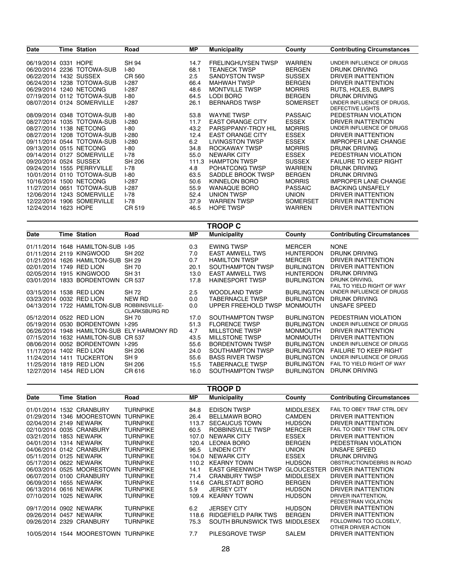|                 |                                                                                                                                                                                                                                                                                                                                                                                                                                                                                                                                                                                                                                                  |               |                         |                           | <b>Contributing Circumstances</b>                                |
|-----------------|--------------------------------------------------------------------------------------------------------------------------------------------------------------------------------------------------------------------------------------------------------------------------------------------------------------------------------------------------------------------------------------------------------------------------------------------------------------------------------------------------------------------------------------------------------------------------------------------------------------------------------------------------|---------------|-------------------------|---------------------------|------------------------------------------------------------------|
|                 |                                                                                                                                                                                                                                                                                                                                                                                                                                                                                                                                                                                                                                                  |               |                         |                           |                                                                  |
|                 |                                                                                                                                                                                                                                                                                                                                                                                                                                                                                                                                                                                                                                                  |               |                         |                           | UNDER INFLUENCE OF DRUGS                                         |
|                 | <b>I-80</b>                                                                                                                                                                                                                                                                                                                                                                                                                                                                                                                                                                                                                                      | 68.1          | <b>TEANECK TWSP</b>     | <b>BERGEN</b>             | DRUNK DRIVING                                                    |
|                 | CR 560                                                                                                                                                                                                                                                                                                                                                                                                                                                                                                                                                                                                                                           | 2.5           | SANDYSTON TWSP          | <b>SUSSEX</b>             | DRIVER INATTENTION                                               |
|                 | $1-287$                                                                                                                                                                                                                                                                                                                                                                                                                                                                                                                                                                                                                                          | 66.4          | <b>MAHWAH TWSP</b>      | <b>BERGEN</b>             | DRIVER INATTENTION                                               |
|                 | $1-287$                                                                                                                                                                                                                                                                                                                                                                                                                                                                                                                                                                                                                                          | 48.6          | <b>MONTVILLE TWSP</b>   | <b>MORRIS</b>             | RUTS, HOLES, BUMPS                                               |
|                 | <b>I-80</b>                                                                                                                                                                                                                                                                                                                                                                                                                                                                                                                                                                                                                                      | 64.5          | LODI BORO               | <b>BERGEN</b>             | DRUNK DRIVING                                                    |
|                 | $1-287$                                                                                                                                                                                                                                                                                                                                                                                                                                                                                                                                                                                                                                          | 26.1          | <b>BERNARDS TWSP</b>    | SOMERSET                  | UNDER INFLUENCE OF DRUGS.                                        |
|                 |                                                                                                                                                                                                                                                                                                                                                                                                                                                                                                                                                                                                                                                  |               |                         |                           | <b>DEFECTIVE LIGHTS</b>                                          |
|                 | $I-80$                                                                                                                                                                                                                                                                                                                                                                                                                                                                                                                                                                                                                                           | 53.8          | <b>WAYNE TWSP</b>       |                           | PEDESTRIAN VIOLATION                                             |
|                 | $1-280$                                                                                                                                                                                                                                                                                                                                                                                                                                                                                                                                                                                                                                          | 11.7          | <b>EAST ORANGE CITY</b> | <b>ESSEX</b>              | DRIVER INATTENTION                                               |
|                 | <b>I-80</b>                                                                                                                                                                                                                                                                                                                                                                                                                                                                                                                                                                                                                                      | 43.2          | PARSIPPANY-TROY HIL     | <b>MORRIS</b>             | UNDER INFLUENCE OF DRUGS                                         |
|                 | $1-280$                                                                                                                                                                                                                                                                                                                                                                                                                                                                                                                                                                                                                                          | 12.4          | <b>EAST ORANGE CITY</b> | <b>ESSEX</b>              | DRIVER INATTENTION                                               |
|                 | $1-280$                                                                                                                                                                                                                                                                                                                                                                                                                                                                                                                                                                                                                                          | 6.2           | LIVINGSTON TWSP         | <b>ESSEX</b>              | <b>IMPROPER LANE CHANGE</b>                                      |
|                 | <b>I-80</b>                                                                                                                                                                                                                                                                                                                                                                                                                                                                                                                                                                                                                                      | 34.8          | ROCKAWAY TWSP           | <b>MORRIS</b>             | DRUNK DRIVING                                                    |
|                 | $I - 78$                                                                                                                                                                                                                                                                                                                                                                                                                                                                                                                                                                                                                                         | 55.0          | <b>NEWARK CITY</b>      | <b>ESSEX</b>              | PEDESTRIAN VIOLATION                                             |
|                 | <b>SH 206</b>                                                                                                                                                                                                                                                                                                                                                                                                                                                                                                                                                                                                                                    | 111.3         | <b>HAMPTON TWSP</b>     | <b>SUSSEX</b>             | <b>FAILURE TO KEEP RIGHT</b>                                     |
|                 | $1-78$                                                                                                                                                                                                                                                                                                                                                                                                                                                                                                                                                                                                                                           | 4.8           | POHATCONG TWSP          | <b>WARREN</b>             | DRUNK DRIVING                                                    |
|                 | $1-80$                                                                                                                                                                                                                                                                                                                                                                                                                                                                                                                                                                                                                                           | 63.5          | SADDLE BROOK TWSP       | <b>BERGEN</b>             | DRUNK DRIVING                                                    |
|                 | $1-287$                                                                                                                                                                                                                                                                                                                                                                                                                                                                                                                                                                                                                                          | 50.6          | KINNELON BORO           | <b>MORRIS</b>             | <b>IMPROPER LANE CHANGE</b>                                      |
|                 | $1-287$                                                                                                                                                                                                                                                                                                                                                                                                                                                                                                                                                                                                                                          | 55.9          | <b>WANAQUE BORO</b>     | <b>PASSAIC</b>            | <b>BACKING UNSAFELY</b>                                          |
|                 | $1-78$                                                                                                                                                                                                                                                                                                                                                                                                                                                                                                                                                                                                                                           | 52.4          | UNION TWSP              | <b>UNION</b>              | DRIVER INATTENTION                                               |
|                 | $I-78$                                                                                                                                                                                                                                                                                                                                                                                                                                                                                                                                                                                                                                           | 37.9          | <b>WARREN TWSP</b>      | <b>SOMERSET</b>           | DRIVER INATTENTION                                               |
|                 | CR 519                                                                                                                                                                                                                                                                                                                                                                                                                                                                                                                                                                                                                                           | 46.5          | <b>HOPE TWSP</b>        | <b>WARREN</b>             | DRIVER INATTENTION                                               |
| 11/27/2014 0651 | Time Station<br>06/19/2014 0331 HOPE<br>06/20/2014 2236 TOTOWA-SUB<br>06/22/2014 1432 SUSSEX<br>06/24/2014 1238 TOTOWA-SUB<br>06/29/2014 1240 NETCONG<br>07/19/2014 0112 TOTOWA-SUB<br>08/07/2014 0124 SOMERVILLE<br>08/09/2014 0348 TOTOWA-SUB<br>08/27/2014 1035 TOTOWA-SUB<br>08/27/2014 1138 NETCONG<br>08/27/2014 1208 TOTOWA-SUB<br>09/11/2014 0544 TOTOWA-SUB<br>09/13/2014 0515 NETCONG<br>09/14/2014 0127 SOMERVILLE<br>09/20/2014 0524 SUSSEX<br>09/24/2014 1555 PERRYVILLE<br>10/01/2014 0110 TOTOWA-SUB<br>10/16/2014 1500 NETCONG<br>TOTOWA-SUB<br>12/06/2014 1243 SOMERVILLE<br>12/22/2014 1906 SOMERVILLE<br>12/24/2014 1623 HOPE | Road<br>SH 94 | МP<br>14.7              | <b>FRELINGHUYSEN TWSP</b> | <b>Municipality</b><br>County<br><b>WARREN</b><br><b>PASSAIC</b> |

|                          |      |                              |                      |      | <b>TROOP C</b>         |                   |                                   |
|--------------------------|------|------------------------------|----------------------|------|------------------------|-------------------|-----------------------------------|
| <b>Date</b>              |      | <b>Time Station</b>          | Road                 | MР   | <b>Municipality</b>    | County            | <b>Contributing Circumstances</b> |
|                          |      | 01/11/2014 1648 HAMILTON-SUB | $1-95$               | 0.3  | <b>EWING TWSP</b>      | <b>MERCER</b>     | <b>NONE</b>                       |
|                          |      | 01/11/2014 2119 KINGWOOD     | <b>SH 202</b>        | 7.0  | <b>EAST AMWELL TWS</b> | <b>HUNTERDON</b>  | DRUNK DRIVING                     |
| 01/21/2014               |      | 1626 HAMILTON-SUB            | SH 29                | 0.7  | <b>HAMILTON TWSP</b>   | <b>MERCER</b>     | DRIVER INATTENTION                |
| 02/01/2014 1749 RED LION |      |                              | SH 70                | 20.1 | SOUTHAMPTON TWSP       | <b>BURLINGTON</b> | DRIVER INATTENTION                |
| 02/05/2014               |      | 1915 KINGWOOD                | <b>SH 31</b>         | 13.0 | <b>EAST AMWELL TWS</b> | <b>HUNTERDON</b>  | DRUNK DRIVING                     |
| 03/01/2014               | 1833 | <b>BORDENTOWN</b>            | CR 537               | 17.8 | <b>HAINESPORT TWSP</b> | <b>BURLINGTON</b> | DRUNK DRIVING,                    |
|                          |      |                              |                      |      |                        |                   | FAIL TO YIELD RIGHT OF WAY        |
| 03/15/2014               | 1538 | <b>RED LION</b>              | SH 72                | 2.5  | <b>WOODLAND TWSP</b>   | <b>BURLINGTON</b> | UNDER INFLUENCE OF DRUGS          |
| 03/23/2014               |      | 0032 RED LION                | NEW RD               | 0.0  | <b>TABERNACLE TWSP</b> | <b>BURLINGTON</b> | DRUNK DRIVING                     |
| 04/13/2014               |      | 1722 HAMILTON-SUB            | ROBBINSVILLE-        | 0.0  | UPPER FREEHOLD TWSP    | <b>MONMOUTH</b>   | UNSAFE SPEED                      |
|                          |      |                              | <b>CLARKSBURG RD</b> |      |                        |                   |                                   |
| 05/12/2014               |      | 0522 RED LION                | SH 70                | 17.0 | SOUTHAMPTON TWSP       | <b>BURLINGTON</b> | PEDESTRIAN VIOLATION              |
| 05/19/2014               | 0530 | <b>BORDENTOWN</b>            | $1-295$              | 51.3 | <b>FLORENCE TWSP</b>   | <b>BURLINGTON</b> | UNDER INFLUENCE OF DRUGS          |
| 06/26/2014               |      | 1948 HAMILTON-SUB            | ELY HARMONY RD       | 4.7  | <b>MILLSTONE TWSP</b>  | <b>MONMOUTH</b>   | <b>DRIVER INATTENTION</b>         |
| 07/15/2014               |      | 1632 HAMILTON-SUB            | CR 537               | 43.5 | <b>MILLSTONE TWSP</b>  | <b>MONMOUTH</b>   | DRIVER INATTENTION                |
| 08/06/2014               | 0052 | <b>BORDENTOWN</b>            | $1-295$              | 55.6 | <b>BORDENTOWN TWSP</b> | <b>BURLINGTON</b> | UNDER INFLUENCE OF DRUGS          |
| 11/17/2014               |      | 1402 RED LION                | SH 206               | 24.0 | SOUTHAMPTON TWSP       | <b>BURLINGTON</b> | <b>FAILURE TO KEEP RIGHT</b>      |
| 11/24/2014               | 1411 | <b>TUCKERTON</b>             | SH 9                 | 55.6 | <b>BASS RIVER TWSP</b> | <b>BURLINGTON</b> | UNDER INFLUENCE OF DRUGS          |
| 11/25/2014               | 1819 | <b>RED LION</b>              | SH 206               | 15.5 | <b>TABERNACLE TWSP</b> | <b>BURLINGTON</b> | FAIL TO YIELD RIGHT OF WAY        |
| 12/27/2014 1454 RED LION |      |                              | CR 616               | 16.0 | SOUTHAMPTON TWSP       | <b>BURLINGTON</b> | DRUNK DRIVING                     |

| <b>TROOP D</b> |      |                          |                 |       |                            |                   |                                               |
|----------------|------|--------------------------|-----------------|-------|----------------------------|-------------------|-----------------------------------------------|
| <b>Date</b>    |      | <b>Time Station</b>      | Road            | MР    | <b>Municipality</b>        | County            | <b>Contributing Circumstances</b>             |
|                |      | 01/01/2014 1532 CRANBURY | <b>TURNPIKE</b> | 84.8  | <b>EDISON TWSP</b>         | <b>MIDDLESEX</b>  | FAIL TO OBEY TRAF CTRL DEV                    |
| 01/29/2014     | 1346 | <b>MOORESTOWN</b>        | <b>TURNPIKE</b> | 26.4  | <b>BELLMAWR BORO</b>       | <b>CAMDEN</b>     | DRIVER INATTENTION                            |
| 02/04/2014     | 2149 | <b>NEWARK</b>            | <b>TURNPIKE</b> | 113.7 | <b>SECAUCUS TOWN</b>       | <b>HUDSON</b>     | DRIVER INATTENTION                            |
| 02/10/2014     | 0035 | <b>CRANBURY</b>          | <b>TURNPIKE</b> | 60.5  | ROBBINSVILLE TWSP          | <b>MERCER</b>     | FAIL TO OBEY TRAF CTRL DEV                    |
| 03/21/2014     |      | 1853 NEWARK              | <b>TURNPIKE</b> | 107.0 | <b>NEWARK CITY</b>         | <b>ESSEX</b>      | DRIVER INATTENTION                            |
| 04/01/2014     |      | 1314 NEWARK              | <b>TURNPIKE</b> | 120.4 | <b>LEONIA BORO</b>         | <b>BERGEN</b>     | PEDESTRIAN VIOLATION                          |
|                |      | 04/06/2014 0142 CRANBURY | <b>TURNPIKE</b> | 96.5  | <b>LINDEN CITY</b>         | <b>UNION</b>      | UNSAFE SPEED                                  |
| 05/11/2014     | 0125 | <b>NEWARK</b>            | <b>TURNPIKE</b> | 104.0 | <b>NEWARK CITY</b>         | <b>ESSEX</b>      | DRUNK DRIVING                                 |
| 05/17/2014     |      | 0622 NEWARK              | <b>TURNPIKE</b> | 110.2 | <b>KEARNY TOWN</b>         | <b>HUDSON</b>     | OBSTRUCTION/DEBRIS IN ROAD                    |
| 06/03/2014     | 0525 | <b>MOORESTOWN</b>        | <b>TURNPIKE</b> | 14.1  | <b>EAST GREENWICH TWSP</b> | <b>GLOUCESTER</b> | DRIVER INATTENTION                            |
| 06/07/2014     | 0100 | <b>CRANBURY</b>          | <b>TURNPIKE</b> | 71.4  | <b>CRANBURY TWSP</b>       | <b>MIDDLESEX</b>  | DRIVER INATTENTION                            |
| 06/09/2014     |      | 1655 NEWARK              | TURNPIKE        | 114.6 | <b>CARLSTADT BORO</b>      | <b>BERGEN</b>     | DRIVER INATTENTION                            |
| 06/13/2014     |      | 0616 NEWARK              | <b>TURNPIKE</b> | 5.9   | <b>JERSEY CITY</b>         | <b>HUDSON</b>     | DRIVER INATTENTION                            |
| 07/10/2014     | 1025 | <b>NEWARK</b>            | TURNPIKE        | 109.4 | <b>KEARNY TOWN</b>         | <b>HUDSON</b>     | DRIVER INATTENTION,                           |
|                |      |                          |                 |       |                            |                   | PEDESTRIAN VIOLATION                          |
| 09/17/2014     |      | 0902 NEWARK              | <b>TURNPIKE</b> | 6.2   | <b>JERSEY CITY</b>         | <b>HUDSON</b>     | DRIVER INATTENTION                            |
| 09/26/2014     | 0457 | <b>NEWARK</b>            | <b>TURNPIKE</b> | 118.6 | <b>RIDGEFIELD PARK TWS</b> | <b>BERGEN</b>     | DRIVER INATTENTION                            |
| 09/26/2014     | 2329 | <b>CRANBURY</b>          | TURNPIKE        | 75.3  | SOUTH BRUNSWICK TWS        | <b>MIDDLESEX</b>  | FOLLOWING TOO CLOSELY,<br>OTHER DRIVER ACTION |
| 10/05/2014     | 1544 | <b>MOORESTOWN</b>        | <b>TURNPIKE</b> | 7.7   | PILESGROVE TWSP            | <b>SALEM</b>      | DRIVER INATTENTION                            |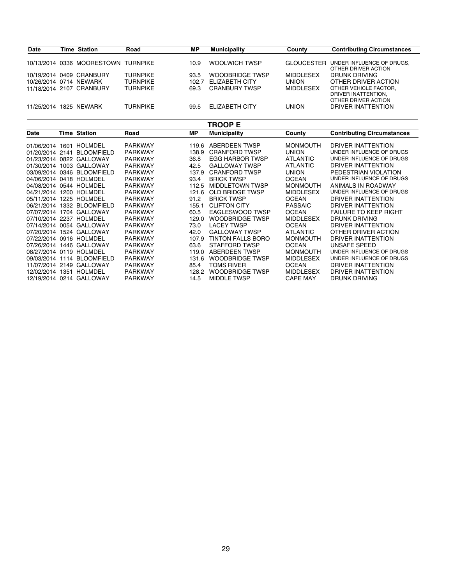| <b>Date</b>            | <b>Time Station</b>                 | Road            | МP    | <b>Municipality</b>  | County           | <b>Contributing Circumstances</b>                                   |
|------------------------|-------------------------------------|-----------------|-------|----------------------|------------------|---------------------------------------------------------------------|
|                        | 10/13/2014 0336 MOORESTOWN TURNPIKE |                 | 10.9  | WOOLWICH TWSP        | GLOUCESTER       | UNDER INFLUENCE OF DRUGS.<br>OTHER DRIVER ACTION                    |
|                        | 10/19/2014 0409 CRANBURY            | <b>TURNPIKE</b> | 93.5  | WOODBRIDGE TWSP      | <b>MIDDLESEX</b> | DRUNK DRIVING                                                       |
| 10/26/2014 0714 NEWARK |                                     | <b>TURNPIKE</b> | 102.7 | ELIZABETH CITY       | <b>UNION</b>     | OTHER DRIVER ACTION                                                 |
|                        | 11/18/2014 2107 CRANBURY            | TURNPIKF        | 69.3  | <b>CRANBURY TWSP</b> | <b>MIDDLESEX</b> | OTHER VEHICLE FACTOR.<br>DRIVER INATTENTION.<br>OTHER DRIVER ACTION |
| 11/25/2014             | 1825 NEWARK                         | TURNPIKE        | 99.5  | ELIZABETH CITY       | <b>UNION</b>     | DRIVER INATTENTION                                                  |

### **TROOP E**

| <b>Date</b>             |      | Time Station               | Road           | MР    | <b>Municipality</b>      | County           | <b>Contributing Circumstances</b> |
|-------------------------|------|----------------------------|----------------|-------|--------------------------|------------------|-----------------------------------|
| 01/06/2014 1601         |      | HOLMDEL                    | <b>PARKWAY</b> | 119.6 | ABERDEEN TWSP            | <b>MONMOUTH</b>  | DRIVER INATTENTION                |
|                         |      |                            |                |       |                          |                  |                                   |
| 01/20/2014 2141         |      | <b>BLOOMFIELD</b>          | <b>PARKWAY</b> | 138.9 | <b>CRANFORD TWSP</b>     | <b>UNION</b>     | UNDER INFLUENCE OF DRUGS          |
| 01/23/2014 0822         |      | GALLOWAY                   | <b>PARKWAY</b> | 36.8  | EGG HARBOR TWSP          | <b>ATLANTIC</b>  | UNDER INFLUENCE OF DRUGS          |
| 01/30/2014 1003         |      | GALLOWAY                   | <b>PARKWAY</b> | 42.5  | <b>GALLOWAY TWSP</b>     | <b>ATLANTIC</b>  | DRIVER INATTENTION                |
| 03/09/2014 0346         |      | <b>BLOOMFIELD</b>          | <b>PARKWAY</b> | 137.9 | <b>CRANFORD TWSP</b>     | <b>UNION</b>     | PEDESTRIAN VIOLATION              |
|                         |      | 04/06/2014 0418 HOLMDEL    | <b>PARKWAY</b> | 93.4  | <b>BRICK TWSP</b>        | <b>OCEAN</b>     | UNDER INFLUENCE OF DRUGS          |
|                         |      | 04/08/2014 0544 HOLMDEL    | <b>PARKWAY</b> | 112.5 | <b>MIDDLETOWN TWSP</b>   | <b>MONMOUTH</b>  | ANIMALS IN ROADWAY                |
| 04/21/2014              | 1200 | HOLMDEL                    | <b>PARKWAY</b> | 121.6 | OLD BRIDGE TWSP          | <b>MIDDLESEX</b> | UNDER INFLUENCE OF DRUGS          |
| 05/11/2014 1225 HOLMDEL |      |                            | <b>PARKWAY</b> | 91.2  | <b>BRICK TWSP</b>        | <b>OCEAN</b>     | DRIVER INATTENTION                |
| 06/21/2014 1332         |      | <b>BLOOMFIELD</b>          | <b>PARKWAY</b> | 155.1 | <b>CLIFTON CITY</b>      | <b>PASSAIC</b>   | DRIVER INATTENTION                |
| 07/07/2014 1704         |      | GALLOWAY                   | <b>PARKWAY</b> | 60.5  | EAGLESWOOD TWSP          | <b>OCEAN</b>     | <b>FAILURE TO KEEP RIGHT</b>      |
| 07/10/2014 2237         |      | HOLMDEL                    | <b>PARKWAY</b> | 129.0 | <b>WOODBRIDGE TWSP</b>   | <b>MIDDLESEX</b> | DRUNK DRIVING                     |
|                         |      | 07/14/2014 0054 GALLOWAY   | <b>PARKWAY</b> | 73.0  | <b>LACEY TWSP</b>        | <b>OCEAN</b>     | DRIVER INATTENTION                |
|                         |      | 07/20/2014 1524 GALLOWAY   | <b>PARKWAY</b> | 42.0  | <b>GALLOWAY TWSP</b>     | <b>ATLANTIC</b>  | OTHER DRIVER ACTION               |
|                         |      | 07/22/2014 0916 HOLMDEL    | <b>PARKWAY</b> | 107.9 | <b>TINTON FALLS BORO</b> | <b>MONMOUTH</b>  | DRIVER INATTENTION                |
| 07/26/2014 1446         |      | GALLOWAY                   | <b>PARKWAY</b> | 63.6  | STAFFORD TWSP            | <b>OCEAN</b>     | UNSAFE SPEED                      |
|                         |      | 08/27/2014 0119 HOLMDEL    | <b>PARKWAY</b> | 119.0 | ABERDEEN TWSP            | <b>MONMOUTH</b>  | UNDER INFLUENCE OF DRUGS          |
|                         |      | 09/03/2014 1114 BLOOMFIELD | <b>PARKWAY</b> | 131.6 | <b>WOODBRIDGE TWSP</b>   | <b>MIDDLESEX</b> | UNDER INFLUENCE OF DRUGS          |
| 11/07/2014 2149         |      | GALLOWAY                   | <b>PARKWAY</b> | 85.4  | <b>TOMS RIVER</b>        | <b>OCEAN</b>     | DRIVER INATTENTION                |
| 12/02/2014 1351         |      | HOLMDEL                    | <b>PARKWAY</b> | 128.2 | WOODBRIDGE TWSP          | <b>MIDDLESEX</b> | DRIVER INATTENTION                |
|                         |      | 12/19/2014 0214 GALLOWAY   | <b>PARKWAY</b> | 14.5  | <b>MIDDLE TWSP</b>       | <b>CAPE MAY</b>  | DRUNK DRIVING                     |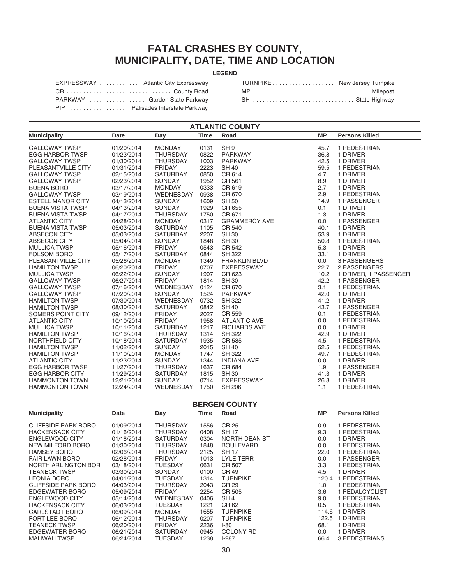### **FATAL CRASHES BY COUNTY, MUNICIPALITY, DATE, TIME AND LOCATION**

### **LEGEND**

| EXPRESSWAY  Atlantic City Expressway |  |
|--------------------------------------|--|
| CR County Road                       |  |
| PARKWAY  Garden State Parkway        |  |
| PIP  Palisades Interstate Parkway    |  |

| TURNPIKE New Jersey Turnpike |  |
|------------------------------|--|
| MP Milepost                  |  |
| SH  State Highway            |  |

| <b>PIP</b> | Palisades Interstate Parkway |
|------------|------------------------------|
|------------|------------------------------|

| <b>ATLANTIC COUNTY</b>   |            |                 |             |                      |           |                       |  |  |
|--------------------------|------------|-----------------|-------------|----------------------|-----------|-----------------------|--|--|
| <b>Municipality</b>      | Date       | Day             | <b>Time</b> | Road                 | <b>MP</b> | <b>Persons Killed</b> |  |  |
| <b>GALLOWAY TWSP</b>     | 01/20/2014 | <b>MONDAY</b>   | 0131        | SH <sub>9</sub>      | 45.7      | 1 PEDESTRIAN          |  |  |
| <b>EGG HARBOR TWSP</b>   | 01/23/2014 | <b>THURSDAY</b> | 0822        | <b>PARKWAY</b>       | 36.8      | 1 DRIVER              |  |  |
| <b>GALLOWAY TWSP</b>     | 01/30/2014 | <b>THURSDAY</b> | 1003        | <b>PARKWAY</b>       | 42.5      | 1 DRIVER              |  |  |
| PLEASANTVILLE CITY       | 01/31/2014 | <b>FRIDAY</b>   | 2223        | <b>SH 40</b>         | 59.5      | 1 PEDESTRIAN          |  |  |
| <b>GALLOWAY TWSP</b>     | 02/15/2014 | <b>SATURDAY</b> | 0850        | CR 614               | 4.7       | 1 DRIVER              |  |  |
| <b>GALLOWAY TWSP</b>     | 02/23/2014 | <b>SUNDAY</b>   | 1952        | CR 561               | 8.9       | 1 DRIVER              |  |  |
| <b>BUENA BORO</b>        | 03/17/2014 | <b>MONDAY</b>   | 0333        | CR 619               | 2.7       | 1 DRIVER              |  |  |
| <b>GALLOWAY TWSP</b>     | 03/19/2014 | WEDNESDAY       | 0938        | CR 670               | 2.9       | 1 PEDESTRIAN          |  |  |
| <b>ESTELL MANOR CITY</b> | 04/13/2014 | <b>SUNDAY</b>   | 1609        | <b>SH 50</b>         | 14.9      | 1 PASSENGER           |  |  |
| <b>BUENA VISTA TWSP</b>  | 04/13/2014 | <b>SUNDAY</b>   | 1929        | CR 655               | 0.1       | 1 DRIVER              |  |  |
| <b>BUENA VISTA TWSP</b>  | 04/17/2014 | <b>THURSDAY</b> | 1750        | CR 671               | 1.3       | 1 DRIVER              |  |  |
| <b>ATLANTIC CITY</b>     | 04/28/2014 | <b>MONDAY</b>   | 0317        | <b>GRAMMERCY AVE</b> | 0.0       | 1 PASSENGER           |  |  |
| <b>BUENA VISTA TWSP</b>  | 05/03/2014 | <b>SATURDAY</b> | 1105        | CR 540               | 40.1      | 1 DRIVER              |  |  |
| ABSECON CITY             | 05/03/2014 | <b>SATURDAY</b> | 2207        | <b>SH 30</b>         | 53.9      | 1 DRIVER              |  |  |
| <b>ABSECON CITY</b>      | 05/04/2014 | <b>SUNDAY</b>   | 1848        | <b>SH 30</b>         | 50.8      | 1 PEDESTRIAN          |  |  |
| <b>MULLICA TWSP</b>      | 05/16/2014 | <b>FRIDAY</b>   | 0543        | CR 542               | 5.3       | 1 DRIVER              |  |  |
| <b>FOLSOM BORO</b>       | 05/17/2014 | <b>SATURDAY</b> | 0844        | <b>SH 322</b>        | 33.1      | 1 DRIVER              |  |  |
| PLEASANTVILLE CITY       | 05/26/2014 | <b>MONDAY</b>   | 1349        | <b>FRANKLIN BLVD</b> | 0.0       | 3 PASSENGERS          |  |  |
| <b>HAMILTON TWSP</b>     | 06/20/2014 | <b>FRIDAY</b>   | 0707        | <b>EXPRESSWAY</b>    | 22.7      | 2 PASSENGERS          |  |  |
| <b>MULLICA TWSP</b>      | 06/22/2014 | <b>SUNDAY</b>   | 1907        | CR 623               | 10.2      | 1 DRIVER, 1 PASSENGER |  |  |
| <b>GALLOWAY TWSP</b>     | 06/27/2014 | <b>FRIDAY</b>   | 1814        | <b>SH 30</b>         | 42.2      | 1 PASSENGER           |  |  |
| <b>GALLOWAY TWSP</b>     | 07/16/2014 | WEDNESDAY       | 0124        | CR 670               | 3.1       | 1 PEDESTRIAN          |  |  |
| <b>GALLOWAY TWSP</b>     | 07/20/2014 | <b>SUNDAY</b>   | 1524        | <b>PARKWAY</b>       | 42.0      | 1 DRIVER              |  |  |
| <b>HAMILTON TWSP</b>     | 07/30/2014 | WEDNESDAY       | 0732        | <b>SH 322</b>        | 41.2      | 1 DRIVER              |  |  |
| <b>HAMILTON TWSP</b>     | 08/30/2014 | <b>SATURDAY</b> | 0842        | <b>SH 40</b>         | 43.7      | 1 PASSENGER           |  |  |
| SOMERS POINT CITY        | 09/12/2014 | <b>FRIDAY</b>   | 2027        | CR 559               | 0.1       | 1 PEDESTRIAN          |  |  |
| <b>ATLANTIC CITY</b>     | 10/10/2014 | <b>FRIDAY</b>   | 1958        | <b>ATLANTIC AVE</b>  | 0.0       | 1 PEDESTRIAN          |  |  |
| <b>MULLICA TWSP</b>      | 10/11/2014 | <b>SATURDAY</b> | 1217        | <b>RICHARDS AVE</b>  | 0.0       | 1 DRIVER              |  |  |
| <b>HAMILTON TWSP</b>     | 10/16/2014 | <b>THURSDAY</b> | 1314        | <b>SH 322</b>        | 42.9      | 1 DRIVER              |  |  |
| NORTHFIELD CITY          | 10/18/2014 | <b>SATURDAY</b> | 1935        | CR 585               | 4.5       | 1 PEDESTRIAN          |  |  |
| <b>HAMILTON TWSP</b>     | 11/02/2014 | <b>SUNDAY</b>   | 2015        | <b>SH 40</b>         | 52.5      | 1 PEDESTRIAN          |  |  |
| <b>HAMILTON TWSP</b>     | 11/10/2014 | <b>MONDAY</b>   | 1747        | SH 322               | 49.7      | 1 PEDESTRIAN          |  |  |
| <b>ATLANTIC CITY</b>     | 11/23/2014 | <b>SUNDAY</b>   | 1344        | <b>INDIANA AVE</b>   | 0.0       | 1 DRIVER              |  |  |
| <b>EGG HARBOR TWSP</b>   | 11/27/2014 | <b>THURSDAY</b> | 1637        | CR 684               | 1.9       | 1 PASSENGER           |  |  |
| <b>EGG HARBOR CITY</b>   | 11/29/2014 | <b>SATURDAY</b> | 1815        | <b>SH 30</b>         | 41.3      | 1 DRIVER              |  |  |
| <b>HAMMONTON TOWN</b>    | 12/21/2014 | <b>SUNDAY</b>   | 0714        | <b>EXPRESSWAY</b>    | 26.8      | 1 DRIVER              |  |  |
| <b>HAMMONTON TOWN</b>    | 12/24/2014 | WEDNESDAY       | 1750        | SH 206               | 1.1       | 1 PEDESTRIAN          |  |  |

### **BERGEN COUNTY**

| <b>Municipality</b>        | <b>Date</b> | Day             | Time | Road                 | <b>MP</b> | <b>Persons Killed</b> |
|----------------------------|-------------|-----------------|------|----------------------|-----------|-----------------------|
|                            |             |                 |      |                      |           |                       |
| <b>CLIFFSIDE PARK BORO</b> | 01/09/2014  | THURSDAY        | 1556 | CR 25                | 0.9       | 1 PEDESTRIAN          |
| <b>HACKENSACK CITY</b>     | 01/16/2014  | THURSDAY        | 0408 | <b>SH17</b>          | 9.3       | 1 PEDESTRIAN          |
| <b>ENGLEWOOD CITY</b>      | 01/18/2014  | <b>SATURDAY</b> | 0304 | <b>NORTH DEAN ST</b> | 0.0       | 1 DRIVER              |
| NEW MILFORD BORO           | 01/30/2014  | THURSDAY        | 1848 | <b>BOULEVARD</b>     | 0.0       | 1 PEDESTRIAN          |
| RAMSEY BORO                | 02/06/2014  | THURSDAY        | 2125 | <b>SH 17</b>         | 22.0      | 1 PEDESTRIAN          |
| <b>FAIR LAWN BORO</b>      | 02/28/2014  | <b>FRIDAY</b>   | 1013 | <b>LYLE TERR</b>     | 0.0       | 1 PASSENGER           |
| NORTH ARLINGTON BOR        | 03/18/2014  | TUESDAY         | 0631 | CR 507               | 3.3       | 1 PEDESTRIAN          |
| <b>TEANECK TWSP</b>        | 03/30/2014  | <b>SUNDAY</b>   | 0100 | CR 49                | 4.5       | 1 DRIVER              |
| <b>LEONIA BORO</b>         | 04/01/2014  | TUESDAY         | 1314 | <b>TURNPIKE</b>      | 120.4     | 1 PEDESTRIAN          |
| <b>CLIFFSIDE PARK BORO</b> | 04/03/2014  | THURSDAY        | 2043 | CR 29                | 1.0       | 1 PEDESTRIAN          |
| EDGEWATER BORO             | 05/09/2014  | <b>FRIDAY</b>   | 2254 | CR 505               | 3.6       | 1 PEDALCYCLIST        |
| <b>ENGLEWOOD CITY</b>      | 05/14/2014  | WEDNESDAY       | 0406 | SH <sub>4</sub>      | 9.0       | 1 PEDESTRIAN          |
| <b>HACKENSACK CITY</b>     | 06/03/2014  | <b>TUESDAY</b>  | 1221 | CR 62                | 0.5       | 1 PEDESTRIAN          |
| CARLSTADT BORO             | 06/09/2014  | <b>MONDAY</b>   | 1655 | <b>TURNPIKE</b>      | 114.6     | 1 DRIVER              |
| FORT LEE BORO              | 06/12/2014  | THURSDAY        | 0207 | <b>TURNPIKE</b>      | 122.5     | 1 DRIVER              |
| <b>TEANECK TWSP</b>        | 06/20/2014  | <b>FRIDAY</b>   | 2236 | $I-80$               | 68.1      | 1 DRIVER              |
| EDGEWATER BORO             | 06/21/2014  | <b>SATURDAY</b> | 0945 | COLONY RD            | 0.0       | 1 DRIVER              |
| <b>MAHWAH TWSP</b>         | 06/24/2014  | TUESDAY         | 1238 | $I-287$              | 66.4      | 3 PEDESTRIANS         |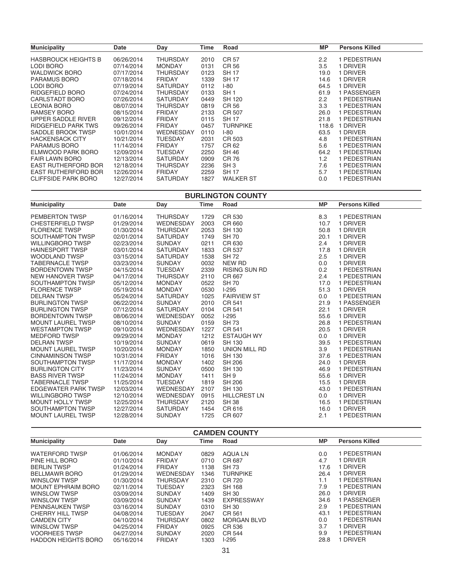| <b>Municipality</b>        | <b>Date</b> | Day             | Time | Road             | МP            | <b>Persons Killed</b> |
|----------------------------|-------------|-----------------|------|------------------|---------------|-----------------------|
| <b>HASBROUCK HEIGHTS B</b> | 06/26/2014  | <b>THURSDAY</b> | 2010 | CR 57            | $2.2^{\circ}$ | 1 PEDESTRIAN          |
| LODI BORO                  | 07/14/2014  | <b>MONDAY</b>   | 0131 | CR 56            | 3.5           | 1 DRIVER              |
| <b>WALDWICK BORO</b>       | 07/17/2014  | THURSDAY        | 0123 | <b>SH17</b>      | 19.0          | <b>DRIVER</b>         |
| <b>PARAMUS BORO</b>        | 07/18/2014  | <b>FRIDAY</b>   | 1339 | <b>SH17</b>      | 14.6          | <b>DRIVER</b>         |
| LODI BORO                  | 07/19/2014  | <b>SATURDAY</b> | 0112 | $I-80$           | 64.5          | 1 DRIVER              |
| RIDGEFIELD BORO            | 07/24/2014  | <b>THURSDAY</b> | 0133 | SH <sub>1</sub>  | 61.9          | 1 PASSENGER           |
| CARLSTADT BORO             | 07/26/2014  | <b>SATURDAY</b> | 0449 | SH 120           | 2.2           | 1 PEDESTRIAN          |
| <b>LEONIA BORO</b>         | 08/07/2014  | <b>THURSDAY</b> | 0819 | CR 56            | 3.3           | 1 PEDESTRIAN          |
| <b>RAMSEY BORO</b>         | 08/15/2014  | <b>FRIDAY</b>   | 2133 | CR 507           | 26.0          | 1 PEDESTRIAN          |
| UPPER SADDLE RIVER         | 09/12/2014  | <b>FRIDAY</b>   | 0115 | <b>SH 17</b>     | 21.8          | 1 PEDESTRIAN          |
| <b>RIDGEFIELD PARK TWS</b> | 09/26/2014  | <b>FRIDAY</b>   | 0457 | TURNPIKE         | 118.6         | <b>DRIVER</b>         |
| SADDLE BROOK TWSP          | 10/01/2014  | WEDNESDAY       | 0110 | $I-80$           | 63.5          | <b>DRIVER</b>         |
| <b>HACKENSACK CITY</b>     | 10/21/2014  | <b>TUESDAY</b>  | 2031 | CR 503           | 4.8           | 1 PEDESTRIAN          |
| <b>PARAMUS BORO</b>        | 11/14/2014  | <b>FRIDAY</b>   | 1757 | CR 62            | 5.6           | 1 PEDESTRIAN          |
| ELMWOOD PARK BORO          | 12/09/2014  | <b>TUESDAY</b>  | 2250 | <b>SH 46</b>     | 64.2          | 1 PEDESTRIAN          |
| <b>FAIR LAWN BORO</b>      | 12/13/2014  | <b>SATURDAY</b> | 0909 | CR 76            | 1.2           | 1 PEDESTRIAN          |
| <b>EAST RUTHERFORD BOR</b> | 12/18/2014  | <b>THURSDAY</b> | 2236 | SH <sub>3</sub>  | 7.6           | 1 PEDESTRIAN          |
| <b>EAST RUTHERFORD BOR</b> | 12/26/2014  | <b>FRIDAY</b>   | 2259 | <b>SH 17</b>     | 5.7           | 1 PEDESTRIAN          |
| <b>CLIFFSIDE PARK BORO</b> | 12/27/2014  | <b>SATURDAY</b> | 1827 | <b>WALKER ST</b> | 0.0           | 1 PEDESTRIAN          |

**BURLINGTON COUNTY**

| <b>Municipality</b>        | Date       | Day              | Time | Road                 | <b>MP</b> | <b>Persons Killed</b> |
|----------------------------|------------|------------------|------|----------------------|-----------|-----------------------|
| <b>PEMBERTON TWSP</b>      | 01/16/2014 | <b>THURSDAY</b>  | 1729 | CR 530               | 8.3       | 1 PEDESTRIAN          |
| <b>CHESTERFIELD TWSP</b>   | 01/29/2014 | <b>WEDNESDAY</b> | 2003 | CR 660               | 10.7      | 1 DRIVER              |
| <b>FLORENCE TWSP</b>       | 01/30/2014 | <b>THURSDAY</b>  | 2053 | SH 130               | 50.8      | 1 DRIVER              |
| SOUTHAMPTON TWSP           | 02/01/2014 | <b>SATURDAY</b>  | 1749 | <b>SH70</b>          | 20.1      | 1 DRIVER              |
| <b>WILLINGBORO TWSP</b>    | 02/23/2014 | <b>SUNDAY</b>    | 0211 | CR 630               | 2.4       | 1 DRIVER              |
| <b>HAINESPORT TWSP</b>     | 03/01/2014 | <b>SATURDAY</b>  | 1833 | CR 537               | 17.8      | 1 DRIVER              |
| <b>WOODLAND TWSP</b>       | 03/15/2014 | <b>SATURDAY</b>  | 1538 | <b>SH 72</b>         | 2.5       | 1 DRIVER              |
| <b>TABERNACLE TWSP</b>     | 03/23/2014 | <b>SUNDAY</b>    | 0032 | NEW RD               | 0.0       | 1 DRIVER              |
| <b>BORDENTOWN TWSP</b>     | 04/15/2014 | <b>TUESDAY</b>   | 2339 | <b>RISING SUN RD</b> | 0.2       | 1 PEDESTRIAN          |
| NEW HANOVER TWSP           | 04/17/2014 | <b>THURSDAY</b>  | 2110 | CR 667               | 2.4       | 1 PEDESTRIAN          |
| SOUTHAMPTON TWSP           | 05/12/2014 | <b>MONDAY</b>    | 0522 | <b>SH 70</b>         | 17.0      | 1 PEDESTRIAN          |
| <b>FLORENCE TWSP</b>       | 05/19/2014 | <b>MONDAY</b>    | 0530 | $1-295$              | 51.3      | 1 DRIVER              |
| <b>DELRAN TWSP</b>         | 05/24/2014 | <b>SATURDAY</b>  | 1025 | <b>FAIRVIEW ST</b>   | 0.0       | 1 PEDESTRIAN          |
| <b>BURLINGTON TWSP</b>     | 06/22/2014 | <b>SUNDAY</b>    | 2010 | CR 541               | 21.9      | 1 PASSENGER           |
| <b>BURLINGTON TWSP</b>     | 07/12/2014 | <b>SATURDAY</b>  | 0104 | CR 541               | 22.1      | 1 DRIVER              |
| <b>BORDENTOWN TWSP</b>     | 08/06/2014 | <b>WEDNESDAY</b> | 0052 | $I-295$              | 55.6      | 1 DRIVER              |
| <b>MOUNT LAUREL TWSP</b>   | 08/10/2014 | <b>SUNDAY</b>    | 0159 | <b>SH73</b>          | 26.8      | 1 PEDESTRIAN          |
| <b>WESTAMPTON TWSP</b>     | 09/10/2014 | WEDNESDAY        | 1227 | CR 541               | 20.5      | 1 DRIVER              |
| <b>MEDFORD TWSP</b>        | 09/29/2014 | <b>MONDAY</b>    | 1212 | <b>ESTAUGH WY</b>    | 0.0       | 1 DRIVER              |
| <b>DELRAN TWSP</b>         | 10/19/2014 | <b>SUNDAY</b>    | 0619 | SH 130               | 39.5      | 1 PEDESTRIAN          |
| <b>MOUNT LAUREL TWSP</b>   | 10/20/2014 | <b>MONDAY</b>    | 1850 | UNION MILL RD        | 3.9       | 1 PEDESTRIAN          |
| <b>CINNAMINSON TWSP</b>    | 10/31/2014 | <b>FRIDAY</b>    | 1016 | <b>SH 130</b>        | 37.6      | 1 PEDESTRIAN          |
| SOUTHAMPTON TWSP           | 11/17/2014 | <b>MONDAY</b>    | 1402 | <b>SH 206</b>        | 24.0      | 1 DRIVER              |
| <b>BURLINGTON CITY</b>     | 11/23/2014 | <b>SUNDAY</b>    | 0500 | <b>SH 130</b>        | 46.9      | 1 PEDESTRIAN          |
| <b>BASS RIVER TWSP</b>     | 11/24/2014 | <b>MONDAY</b>    | 1411 | SH <sub>9</sub>      | 55.6      | 1 DRIVER              |
| <b>TABERNACLE TWSP</b>     | 11/25/2014 | <b>TUESDAY</b>   | 1819 | <b>SH 206</b>        | 15.5      | 1 DRIVER              |
| <b>EDGEWATER PARK TWSP</b> | 12/03/2014 | WEDNESDAY        | 2107 | <b>SH 130</b>        | 43.0      | 1 PEDESTRIAN          |
| <b>WILLINGBORO TWSP</b>    | 12/10/2014 | <b>WEDNESDAY</b> | 0915 | <b>HILLCREST LN</b>  | 0.0       | 1 DRIVER              |
| <b>MOUNT HOLLY TWSP</b>    | 12/25/2014 | <b>THURSDAY</b>  | 2120 | <b>SH 38</b>         | 16.5      | 1 PEDESTRIAN          |
| SOUTHAMPTON TWSP           | 12/27/2014 | <b>SATURDAY</b>  | 1454 | CR 616               | 16.0      | 1 DRIVER              |
| <b>MOUNT LAUREL TWSP</b>   | 12/28/2014 | <b>SUNDAY</b>    | 1725 | CR 607               | 2.1       | 1 PEDESTRIAN          |

| <b>CAMDEN COUNTY</b>       |            |                 |      |                    |           |                       |  |
|----------------------------|------------|-----------------|------|--------------------|-----------|-----------------------|--|
| <b>Municipality</b>        | Date       | Day             | Time | Road               | <b>MP</b> | <b>Persons Killed</b> |  |
| <b>WATERFORD TWSP</b>      | 01/06/2014 | <b>MONDAY</b>   | 0829 | AQUA LN            | 0.0       | PEDESTRIAN            |  |
| PINE HILL BORO             | 01/10/2014 | <b>FRIDAY</b>   | 0710 | CR 687             | 4.7       | <b>DRIVER</b>         |  |
| <b>BERLIN TWSP</b>         | 01/24/2014 | <b>FRIDAY</b>   | 1138 | <b>SH 73</b>       | 17.6      | <b>DRIVER</b>         |  |
| <b>BELLMAWR BORO</b>       | 01/29/2014 | WEDNESDAY       | 1346 | <b>TURNPIKE</b>    | 26.4      | <b>DRIVER</b>         |  |
| <b>WINSLOW TWSP</b>        | 01/30/2014 | <b>THURSDAY</b> | 2310 | CR 720             | 1.1       | PEDESTRIAN            |  |
| <b>MOUNT EPHRAIM BORO</b>  | 02/11/2014 | <b>TUESDAY</b>  | 2323 | <b>SH 168</b>      | 7.9       | PEDESTRIAN            |  |
| WINSLOW TWSP               | 03/09/2014 | <b>SUNDAY</b>   | 1409 | <b>SH 30</b>       | 26.0      | <b>DRIVER</b>         |  |
| <b>WINSLOW TWSP</b>        | 03/09/2014 | <b>SUNDAY</b>   | 1439 | <b>EXPRESSWAY</b>  | 34.6      | PASSENGER             |  |
| <b>PENNSAUKEN TWSP</b>     | 03/16/2014 | <b>SUNDAY</b>   | 0310 | <b>SH 30</b>       | 2.9       | I PEDESTRIAN          |  |
| CHERRY HILL TWSP           | 04/08/2014 | <b>TUESDAY</b>  | 2047 | CR 561             | 43.1      | I PEDESTRIAN          |  |
| <b>CAMDEN CITY</b>         | 04/10/2014 | <b>THURSDAY</b> | 0802 | <b>MORGAN BLVD</b> | 0.0       | PEDESTRIAN            |  |
| <b>WINSLOW TWSP</b>        | 04/25/2014 | <b>FRIDAY</b>   | 0925 | CR 536             | 3.7       | <b>DRIVER</b>         |  |
| <b>VOORHEES TWSP</b>       | 04/27/2014 | <b>SUNDAY</b>   | 2020 | CR 544             | 9.9       | PEDESTRIAN            |  |
| <b>HADDON HEIGHTS BORO</b> | 05/16/2014 | <b>FRIDAY</b>   | 1303 | $I-295$            | 28.8      | <b>DRIVER</b>         |  |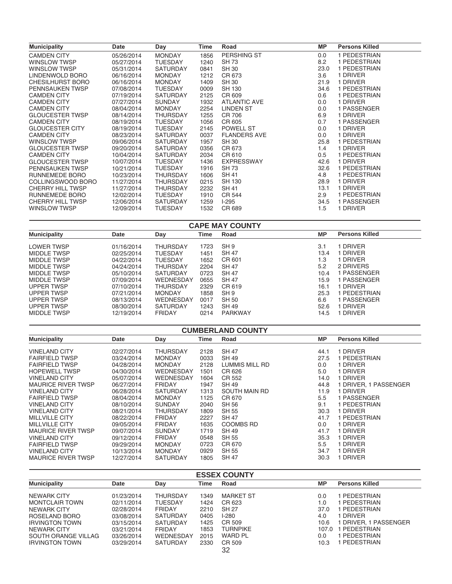| <b>Municipality</b>     | Date       | Day             | Time | Road                | <b>MP</b> | <b>Persons Killed</b> |
|-------------------------|------------|-----------------|------|---------------------|-----------|-----------------------|
| <b>CAMDEN CITY</b>      | 05/26/2014 | <b>MONDAY</b>   | 1856 | PERSHING ST         | 0.0       | 1 PEDESTRIAN          |
| WINSLOW TWSP            | 05/27/2014 | <b>TUESDAY</b>  | 1240 | <b>SH 73</b>        | 8.2       | 1 PEDESTRIAN          |
| WINSLOW TWSP            | 05/31/2014 | SATURDAY        | 0841 | <b>SH 30</b>        | 23.0      | 1 PEDESTRIAN          |
| LINDENWOLD BORO         | 06/16/2014 | <b>MONDAY</b>   | 1212 | CR 673              | 3.6       | 1 DRIVER              |
| CHESILHURST BORO        | 06/16/2014 | <b>MONDAY</b>   | 1409 | SH 30               | 21.9      | 1 DRIVER              |
| PENNSAUKEN TWSP         | 07/08/2014 | <b>TUESDAY</b>  | 0009 | <b>SH 130</b>       | 34.6      | 1 PEDESTRIAN          |
| <b>CAMDEN CITY</b>      | 07/19/2014 | <b>SATURDAY</b> | 2125 | CR 609              | 0.6       | 1 PEDESTRIAN          |
| <b>CAMDEN CITY</b>      | 07/27/2014 | <b>SUNDAY</b>   | 1932 | <b>ATLANTIC AVE</b> | 0.0       | 1 DRIVER              |
| <b>CAMDEN CITY</b>      | 08/04/2014 | <b>MONDAY</b>   | 2254 | <b>LINDEN ST</b>    | 0.0       | 1 PASSENGER           |
| <b>GLOUCESTER TWSP</b>  | 08/14/2014 | <b>THURSDAY</b> | 1255 | CR 706              | 6.9       | 1 DRIVER              |
| <b>CAMDEN CITY</b>      | 08/19/2014 | <b>TUESDAY</b>  | 1056 | CR 605              | 0.7       | 1 PASSENGER           |
| <b>GLOUCESTER CITY</b>  | 08/19/2014 | <b>TUESDAY</b>  | 2145 | POWELL ST           | 0.0       | 1 DRIVER              |
| <b>CAMDEN CITY</b>      | 08/23/2014 | <b>SATURDAY</b> | 0037 | <b>FLANDERS AVE</b> | 0.0       | 1 DRIVER              |
| WINSLOW TWSP            | 09/06/2014 | <b>SATURDAY</b> | 1957 | <b>SH 30</b>        | 25.8      | 1 PEDESTRIAN          |
| <b>GLOUCESTER TWSP</b>  | 09/20/2014 | <b>SATURDAY</b> | 0356 | CR 673              | 1.4       | 1 DRIVER              |
| <b>CAMDEN CITY</b>      | 10/04/2014 | <b>SATURDAY</b> | 2034 | CR 610              | 0.5       | 1 PEDESTRIAN          |
| <b>GLOUCESTER TWSP</b>  | 10/07/2014 | <b>TUESDAY</b>  | 1436 | <b>EXPRESSWAY</b>   | 42.6      | 1 DRIVER              |
| PENNSAUKEN TWSP         | 10/21/2014 | <b>TUESDAY</b>  | 1916 | <b>SH 73</b>        | 32.6      | 1 PEDESTRIAN          |
| RUNNEMEDE BORO          | 10/23/2014 | <b>THURSDAY</b> | 1606 | <b>SH 41</b>        | 4.8       | 1 PEDESTRIAN          |
| COLLINGSWOOD BORO       | 11/27/2014 | <b>THURSDAY</b> | 0215 | <b>SH 130</b>       | 28.9      | 1 DRIVER              |
| <b>CHERRY HILL TWSP</b> | 11/27/2014 | <b>THURSDAY</b> | 2232 | <b>SH 41</b>        | 13.1      | 1 DRIVER              |
| RUNNEMEDE BORO          | 12/02/2014 | <b>TUESDAY</b>  | 1910 | CR 544              | 2.9       | 1 PEDESTRIAN          |
| <b>CHERRY HILL TWSP</b> | 12/06/2014 | <b>SATURDAY</b> | 1259 | $I-295$             | 34.5      | 1 PASSENGER           |
| WINSLOW TWSP            | 12/09/2014 | <b>TUESDAY</b>  | 1532 | CR 689              | 1.5       | 1 DRIVER              |
|                         |            |                 |      |                     |           |                       |

| <b>CAPE MAY COUNTY</b> |            |                 |      |                 |      |                       |  |  |
|------------------------|------------|-----------------|------|-----------------|------|-----------------------|--|--|
| <b>Municipality</b>    | Date       | Day             | Time | Road            | MP   | <b>Persons Killed</b> |  |  |
| <b>LOWER TWSP</b>      | 01/16/2014 | <b>THURSDAY</b> | 1723 | SH <sub>9</sub> | 3.1  | <b>DRIVER</b>         |  |  |
| <b>MIDDLE TWSP</b>     | 02/25/2014 | <b>TUESDAY</b>  | 1451 | <b>SH 47</b>    | 13.4 | <b>DRIVER</b>         |  |  |
| <b>MIDDLE TWSP</b>     | 04/22/2014 | <b>TUESDAY</b>  | 1652 | CR 601          | 1.3  | 1 DRIVER              |  |  |
| <b>MIDDLE TWSP</b>     | 04/24/2014 | THURSDAY        | 2204 | <b>SH 47</b>    | 5.2  | 2 DRIVERS             |  |  |
| <b>MIDDLE TWSP</b>     | 05/10/2014 | <b>SATURDAY</b> | 0723 | <b>SH 47</b>    | 10.4 | 1 PASSENGER           |  |  |
| <b>MIDDLE TWSP</b>     | 07/09/2014 | WEDNESDAY       | 0655 | <b>SH 47</b>    | 15.9 | 1 PASSENGER           |  |  |
| <b>UPPER TWSP</b>      | 07/10/2014 | <b>THURSDAY</b> | 2329 | CR 619          | 16.1 | I DRIVER              |  |  |
| <b>UPPER TWSP</b>      | 07/21/2014 | <b>MONDAY</b>   | 1858 | SH <sub>9</sub> | 25.3 | I PEDESTRIAN          |  |  |
| <b>UPPER TWSP</b>      | 08/13/2014 | WEDNESDAY       | 0017 | SH 50           | 6.6  | 1 PASSENGER           |  |  |
| <b>UPPER TWSP</b>      | 08/30/2014 | <b>SATURDAY</b> | 1243 | SH 49           | 52.6 | <b>DRIVER</b>         |  |  |
| <b>MIDDLE TWSP</b>     | 12/19/2014 | <b>FRIDAY</b>   | 0214 | PARKWAY         | 14.5 | <b>DRIVER</b>         |  |  |

| <b>CUMBERLAND COUNTY</b>  |            |                 |      |                |      |                       |
|---------------------------|------------|-----------------|------|----------------|------|-----------------------|
| <b>Municipality</b>       | Date       | Day             | Time | Road           | МP   | <b>Persons Killed</b> |
| <b>VINELAND CITY</b>      | 02/27/2014 | THURSDAY        | 2128 | <b>SH 47</b>   | 44.1 | 1 DRIVER              |
| <b>FAIRFIELD TWSP</b>     | 03/24/2014 | <b>MONDAY</b>   | 0033 | <b>SH 49</b>   | 27.5 | 1 PEDESTRIAN          |
| <b>FAIRFIELD TWSP</b>     | 04/28/2014 | <b>MONDAY</b>   | 2128 | LUMMIS MILL RD | 0.0  | 1 DRIVER              |
| <b>HOPEWELL TWSP</b>      | 04/30/2014 | WEDNESDAY       | 1501 | CR 626         | 5.0  | 1 DRIVER              |
| <b>VINELAND CITY</b>      | 05/07/2014 | WEDNESDAY       | 1604 | CR 552         | 14.0 | <b>DRIVER</b>         |
| <b>MAURICE RIVER TWSP</b> | 06/27/2014 | <b>FRIDAY</b>   | 1947 | <b>SH 49</b>   | 44.8 | I DRIVER. 1 PASSENGER |
| <b>VINELAND CITY</b>      | 06/28/2014 | <b>SATURDAY</b> | 1313 | SOUTH MAIN RD  | 11.9 | 1 DRIVER              |
| <b>FAIRFIELD TWSP</b>     | 08/04/2014 | <b>MONDAY</b>   | 1125 | CR 670         | 5.5  | 1 PASSENGER           |
| <b>VINELAND CITY</b>      | 08/10/2014 | <b>SUNDAY</b>   | 2040 | <b>SH 56</b>   | 9.1  | 1 PEDESTRIAN          |
| <b>VINELAND CITY</b>      | 08/21/2014 | THURSDAY        | 1809 | <b>SH 55</b>   | 30.3 | <b>DRIVER</b>         |
| <b>MILLVILLE CITY</b>     | 08/22/2014 | <b>FRIDAY</b>   | 2227 | <b>SH 47</b>   | 41.7 | PEDESTRIAN            |
| <b>MILLVILLE CITY</b>     | 09/05/2014 | <b>FRIDAY</b>   | 1635 | COOMBS RD      | 0.0  | <b>DRIVER</b>         |
| <b>MAURICE RIVER TWSP</b> | 09/07/2014 | <b>SUNDAY</b>   | 1719 | <b>SH 49</b>   | 41.7 | <b>DRIVER</b>         |
| <b>VINELAND CITY</b>      | 09/12/2014 | <b>FRIDAY</b>   | 0548 | <b>SH 55</b>   | 35.3 | 1 DRIVER              |
| <b>FAIRFIELD TWSP</b>     | 09/29/2014 | <b>MONDAY</b>   | 0723 | CR 670         | 5.5  | 1 DRIVER              |
| <b>VINELAND CITY</b>      | 10/13/2014 | <b>MONDAY</b>   | 0929 | <b>SH 55</b>   | 34.7 | <b>DRIVER</b>         |
| <b>MAURICE RIVER TWSP</b> | 12/27/2014 | <b>SATURDAY</b> | 1805 | <b>SH 47</b>   | 30.3 | <b>DRIVER</b>         |

| <b>ESSEX COUNTY</b>   |            |                 |      |                  |           |                       |
|-----------------------|------------|-----------------|------|------------------|-----------|-----------------------|
| <b>Municipality</b>   | Date       | Day             | Time | Road             | <b>MP</b> | <b>Persons Killed</b> |
| <b>NEWARK CITY</b>    | 01/23/2014 | THURSDAY        | 1349 | <b>MARKET ST</b> | 0.0       | PEDESTRIAN            |
| <b>MONTCLAIR TOWN</b> | 02/11/2014 | <b>TUESDAY</b>  | 1424 | CR 623           | 1.0       | PEDESTRIAN            |
| NEWARK CITY           | 02/28/2014 | <b>FRIDAY</b>   | 2210 | <b>SH 27</b>     | 37.0      | PEDESTRIAN            |
| ROSELAND BORO         | 03/08/2014 | <b>SATURDAY</b> | 0405 | $1-280$          | 4.0       | <b>DRIVER</b>         |
| <b>IRVINGTON TOWN</b> | 03/15/2014 | <b>SATURDAY</b> | 1425 | CR 509           | 10.6      | DRIVER, 1 PASSENGER   |
| NEWARK CITY           | 03/21/2014 | <b>FRIDAY</b>   | 1853 | <b>TURNPIKE</b>  | 107.0     | PEDESTRIAN            |
| SOUTH ORANGE VILLAG   | 03/26/2014 | WEDNESDAY       | 2015 | <b>WARD PL</b>   | 0.0       | PEDESTRIAN            |
| <b>IRVINGTON TOWN</b> | 03/29/2014 | <b>SATURDAY</b> | 2330 | CR 509           | 10.3      | PEDESTRIAN            |
|                       |            |                 |      | 32               |           |                       |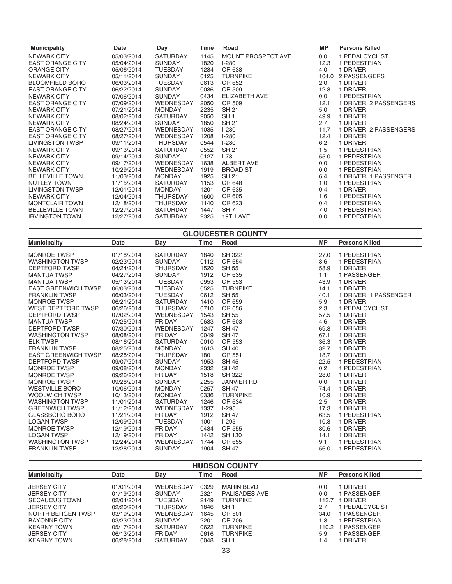| <b>Municipality</b>     | Date       | Day              | Time | Road               | МP    | <b>Persons Killed</b>  |
|-------------------------|------------|------------------|------|--------------------|-------|------------------------|
| <b>NEWARK CITY</b>      | 05/03/2014 | SATURDAY         | 1145 | MOUNT PROSPECT AVE | 0.0   | 1 PEDALCYCLIST         |
| <b>EAST ORANGE CITY</b> | 05/04/2014 | <b>SUNDAY</b>    | 1820 | $I-280$            | 12.3  | 1 PEDESTRIAN           |
| <b>ORANGE CITY</b>      | 05/06/2014 | <b>TUESDAY</b>   | 1234 | CR 638             | 4.0   | 1 DRIVER               |
| <b>NEWARK CITY</b>      | 05/11/2014 | <b>SUNDAY</b>    | 0125 | <b>TURNPIKE</b>    | 104.0 | 2 PASSENGERS           |
| <b>BLOOMFIELD BORO</b>  | 06/03/2014 | <b>TUESDAY</b>   | 0613 | CR 652             | 2.0   | 1 DRIVER               |
| <b>EAST ORANGE CITY</b> | 06/22/2014 | <b>SUNDAY</b>    | 0036 | CR 509             | 12.8  | 1 DRIVER               |
| <b>NEWARK CITY</b>      | 07/06/2014 | <b>SUNDAY</b>    | 0434 | ELIZABETH AVE      | 0.0   | 1 PEDESTRIAN           |
| <b>EAST ORANGE CITY</b> | 07/09/2014 | WEDNESDAY        | 2050 | CR 509             | 12.1  | 1 DRIVER, 2 PASSENGERS |
| <b>NEWARK CITY</b>      | 07/21/2014 | <b>MONDAY</b>    | 2235 | SH 21              | 5.0   | 1 DRIVER               |
| <b>NEWARK CITY</b>      | 08/02/2014 | <b>SATURDAY</b>  | 2050 | SH <sub>1</sub>    | 49.9  | 1 DRIVER               |
| NEWARK CITY             | 08/24/2014 | <b>SUNDAY</b>    | 1850 | <b>SH 21</b>       | 2.7   | 1 DRIVER               |
| <b>EAST ORANGE CITY</b> | 08/27/2014 | <b>WEDNESDAY</b> | 1035 | $I-280$            | 11.7  | 1 DRIVER, 2 PASSENGERS |
| <b>EAST ORANGE CITY</b> | 08/27/2014 | WEDNESDAY        | 1208 | $I-280$            | 12.4  | 1 DRIVER               |
| LIVINGSTON TWSP         | 09/11/2014 | <b>THURSDAY</b>  | 0544 | $I-280$            | 6.2   | 1 DRIVER               |
| <b>NEWARK CITY</b>      | 09/13/2014 | <b>SATURDAY</b>  | 0552 | <b>SH 21</b>       | 1.5   | 1 PEDESTRIAN           |
| NEWARK CITY             | 09/14/2014 | <b>SUNDAY</b>    | 0127 | $I - 78$           | 55.0  | 1 PEDESTRIAN           |
| NEWARK CITY             | 09/17/2014 | <b>WEDNESDAY</b> | 1638 | ALBERT AVE         | 0.0   | 1 PEDESTRIAN           |
| NEWARK CITY             | 10/29/2014 | <b>WEDNESDAY</b> | 1919 | <b>BROAD ST</b>    | 0.0   | 1 PEDESTRIAN           |
| <b>BELLEVILLE TOWN</b>  | 11/03/2014 | <b>MONDAY</b>    | 1925 | SH 21              | 6.4   | 1 DRIVER, 1 PASSENGER  |
| <b>NUTLEY TOWN</b>      | 11/15/2014 | SATURDAY         | 1153 | CR 648             | 1.0   | 1 PEDESTRIAN           |
| LIVINGSTON TWSP         | 12/01/2014 | <b>MONDAY</b>    | 1201 | CR 635             | 0.4   | 1 DRIVER               |
| <b>NEWARK CITY</b>      | 12/04/2014 | <b>THURSDAY</b>  | 1600 | CR 605             | 1.6   | 1 PEDESTRIAN           |
| <b>MONTCLAIR TOWN</b>   | 12/18/2014 | <b>THURSDAY</b>  | 1140 | CR 623             | 0.4   | 1 PEDESTRIAN           |
| <b>BELLEVILLE TOWN</b>  | 12/27/2014 | <b>SATURDAY</b>  | 1447 | SH <sub>7</sub>    | 7.0   | 1 PEDESTRIAN           |
| <b>IRVINGTON TOWN</b>   | 12/27/2014 | <b>SATURDAY</b>  | 2325 | 19TH AVE           | 0.0   | 1 PEDESTRIAN           |

| <b>GLOUCESTER COUNTY</b>   |            |                  |             |                   |           |                       |  |
|----------------------------|------------|------------------|-------------|-------------------|-----------|-----------------------|--|
| <b>Municipality</b>        | Date       | Day              | <b>Time</b> | Road              | <b>MP</b> | <b>Persons Killed</b> |  |
| <b>MONROE TWSP</b>         | 01/18/2014 | <b>SATURDAY</b>  | 1840        | <b>SH 322</b>     | 27.0      | 1 PEDESTRIAN          |  |
| <b>WASHINGTON TWSP</b>     | 02/23/2014 | <b>SUNDAY</b>    | 0112        | CR 654            | 3.6       | 1 PEDESTRIAN          |  |
| <b>DEPTFORD TWSP</b>       | 04/24/2014 | <b>THURSDAY</b>  | 1520        | <b>SH 55</b>      | 58.9      | 1 DRIVER              |  |
| <b>MANTUA TWSP</b>         | 04/27/2014 | <b>SUNDAY</b>    | 1912        | CR 635            | 1.1       | 1 PASSENGER           |  |
| <b>MANTUA TWSP</b>         | 05/13/2014 | <b>TUESDAY</b>   | 0953        | CR 553            | 43.9      | 1 DRIVER              |  |
| <b>EAST GREENWICH TWSP</b> | 06/03/2014 | <b>TUESDAY</b>   | 0525        | <b>TURNPIKE</b>   | 14.1      | 1 DRIVER              |  |
| <b>FRANKLIN TWSP</b>       | 06/03/2014 | <b>TUESDAY</b>   | 0612        | <b>SH 55</b>      | 40.1      | 1 DRIVER, 1 PASSENGER |  |
| <b>MONROE TWSP</b>         | 06/21/2014 | SATURDAY         | 1410        | CR 659            | 5.9       | 1 DRIVER              |  |
| WEST DEPTFORD TWSP         | 06/26/2014 | <b>THURSDAY</b>  | 0710        | CR 656            | 2.3       | 1 PEDALCYCLIST        |  |
| DEPTFORD TWSP              | 07/02/2014 | <b>WEDNESDAY</b> | 1543        | SH 55             | 57.5      | 1 DRIVER              |  |
| <b>MANTUA TWSP</b>         | 07/25/2014 | <b>FRIDAY</b>    | 0633        | CR 603            | 4.6       | 1 DRIVER              |  |
| <b>DEPTFORD TWSP</b>       | 07/30/2014 | <b>WEDNESDAY</b> | 1247        | <b>SH 47</b>      | 69.3      | 1 DRIVER              |  |
| <b>WASHINGTON TWSP</b>     | 08/08/2014 | <b>FRIDAY</b>    | 0049        | <b>SH 47</b>      | 67.1      | 1 DRIVER              |  |
| <b>ELK TWSP</b>            | 08/16/2014 | <b>SATURDAY</b>  | 0010        | CR 553            | 36.3      | 1 DRIVER              |  |
| <b>FRANKLIN TWSP</b>       | 08/25/2014 | <b>MONDAY</b>    | 1613        | <b>SH 40</b>      | 32.7      | 1 DRIVER              |  |
| <b>EAST GREENWICH TWSP</b> | 08/28/2014 | <b>THURSDAY</b>  | 1801        | CR 551            | 18.7      | 1 DRIVER              |  |
| <b>DEPTFORD TWSP</b>       | 09/07/2014 | <b>SUNDAY</b>    | 1953        | <b>SH 45</b>      | 22.5      | 1 PEDESTRIAN          |  |
| <b>MONROE TWSP</b>         | 09/08/2014 | <b>MONDAY</b>    | 2332        | <b>SH 42</b>      | 0.2       | 1 PEDESTRIAN          |  |
| <b>MONROE TWSP</b>         | 09/26/2014 | <b>FRIDAY</b>    | 1518        | <b>SH 322</b>     | 28.0      | 1 DRIVER              |  |
| <b>MONROE TWSP</b>         | 09/28/2014 | <b>SUNDAY</b>    | 2255        | <b>JANVIER RD</b> | 0.0       | 1 DRIVER              |  |
| <b>WESTVILLE BORO</b>      | 10/06/2014 | <b>MONDAY</b>    | 0257        | <b>SH 47</b>      | 74.4      | 1 DRIVER              |  |
| <b>WOOLWICH TWSP</b>       | 10/13/2014 | <b>MONDAY</b>    | 0336        | <b>TURNPIKE</b>   | 10.9      | 1 DRIVER              |  |
| <b>WASHINGTON TWSP</b>     | 11/01/2014 | <b>SATURDAY</b>  | 1246        | CR 634            | 2.5       | 1 DRIVER              |  |
| <b>GREENWICH TWSP</b>      | 11/12/2014 | <b>WEDNESDAY</b> | 1337        | $I-295$           | 17.3      | 1 DRIVER              |  |
| <b>GLASSBORO BORO</b>      | 11/21/2014 | <b>FRIDAY</b>    | 1912        | <b>SH 47</b>      | 63.5      | 1 PEDESTRIAN          |  |
| <b>LOGAN TWSP</b>          | 12/09/2014 | <b>TUESDAY</b>   | 1001        | $I-295$           | 10.8      | 1 DRIVER              |  |
| <b>MONROE TWSP</b>         | 12/19/2014 | <b>FRIDAY</b>    | 0434        | CR 555            | 30.6      | 1 DRIVER              |  |
| <b>LOGAN TWSP</b>          | 12/19/2014 | <b>FRIDAY</b>    | 1442        | <b>SH 130</b>     | 14.1      | 1 DRIVER              |  |
| <b>WASHINGTON TWSP</b>     | 12/24/2014 | <b>WEDNESDAY</b> | 1744        | CR 655            | 9.1       | 1 PEDESTRIAN          |  |
| <b>FRANKLIN TWSP</b>       | 12/28/2014 | <b>SUNDAY</b>    | 1904        | <b>SH 47</b>      | 56.0      | 1 PEDESTRIAN          |  |

| <b>HUDSON COUNTY</b> |            |                 |      |                   |           |                       |  |  |
|----------------------|------------|-----------------|------|-------------------|-----------|-----------------------|--|--|
| <b>Municipality</b>  | Date       | Day             | Time | Road              | <b>MP</b> | <b>Persons Killed</b> |  |  |
| <b>JERSEY CITY</b>   | 01/01/2014 | WEDNESDAY       | 0329 | <b>MARIN BLVD</b> | 0.0       | 1 DRIVER              |  |  |
| <b>JERSEY CITY</b>   | 01/19/2014 | <b>SUNDAY</b>   | 2321 | PALISADES AVE     | 0.0       | 1 PASSENGER           |  |  |
| <b>SECAUCUS TOWN</b> | 02/04/2014 | <b>TUESDAY</b>  | 2149 | <b>TURNPIKE</b>   | 113.7     | 1 DRIVER              |  |  |
| <b>JERSEY CITY</b>   | 02/20/2014 | THURSDAY        | 1846 | SH <sub>1</sub>   | 2.7       | 1 PEDALCYCLIST        |  |  |
| NORTH BERGEN TWSP    | 03/19/2014 | WEDNESDAY       | 1645 | CR 501            | 34.0      | 1 PASSENGER           |  |  |
| <b>BAYONNE CITY</b>  | 03/23/2014 | <b>SUNDAY</b>   | 2201 | CR 706            | 1.3       | 1 PEDESTRIAN          |  |  |
| <b>KEARNY TOWN</b>   | 05/17/2014 | <b>SATURDAY</b> | 0622 | <b>TURNPIKE</b>   | 110.2     | 1 PASSENGER           |  |  |
| <b>JERSEY CITY</b>   | 06/13/2014 | <b>FRIDAY</b>   | 0616 | <b>TURNPIKE</b>   | 5.9       | 1 PASSENGER           |  |  |
| <b>KEARNY TOWN</b>   | 06/28/2014 | <b>SATURDAY</b> | 0048 | SH <sub>1</sub>   | 4.،       | 1 DRIVER              |  |  |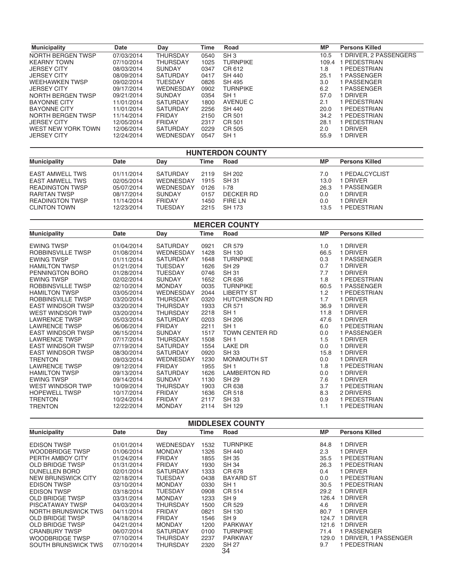| <b>Municipality</b>   | <b>Date</b> | Day              | Time | Road            | <b>MP</b> | <b>Persons Killed</b>  |
|-----------------------|-------------|------------------|------|-----------------|-----------|------------------------|
| NORTH BERGEN TWSP     | 07/03/2014  | <b>THURSDAY</b>  | 0540 | SH <sub>3</sub> | 10.5      | 1 DRIVER, 2 PASSENGERS |
| <b>KEARNY TOWN</b>    | 07/10/2014  | <b>THURSDAY</b>  | 1025 | <b>TURNPIKE</b> | 109.4     | 1 PEDESTRIAN           |
| <b>JERSEY CITY</b>    | 08/03/2014  | <b>SUNDAY</b>    | 0347 | CR 612          | 1.8       | I PEDESTRIAN           |
| <b>JERSEY CITY</b>    | 08/09/2014  | <b>SATURDAY</b>  | 0417 | SH 440          | 25.1      | 1 PASSENGER            |
| <b>WEEHAWKEN TWSP</b> | 09/02/2014  | <b>TUESDAY</b>   | 0826 | SH 495          | 3.0       | 1 PASSENGER            |
| <b>JERSEY CITY</b>    | 09/17/2014  | <b>WEDNESDAY</b> | 0902 | <b>TURNPIKE</b> | 6.2       | 1 PASSENGER            |
| NORTH BERGEN TWSP     | 09/21/2014  | <b>SUNDAY</b>    | 0354 | SH <sub>1</sub> | 57.0      | 1 DRIVER               |
| <b>BAYONNE CITY</b>   | 11/01/2014  | <b>SATURDAY</b>  | 1800 | AVENUE C        | 2.1       | I PEDESTRIAN           |
| <b>BAYONNE CITY</b>   | 11/01/2014  | <b>SATURDAY</b>  | 2256 | SH 440          | 20.0      | 1 PEDESTRIAN           |
| NORTH BERGEN TWSP     | 11/14/2014  | <b>FRIDAY</b>    | 2150 | CR 501          | 34.2      | 1 PEDESTRIAN           |
| <b>JERSEY CITY</b>    | 12/05/2014  | <b>FRIDAY</b>    | 2317 | CR 501          | 28.1      | I PEDESTRIAN           |
| WEST NEW YORK TOWN    | 12/06/2014  | <b>SATURDAY</b>  | 0229 | CR 505          | 2.0       | I DRIVER               |
| <b>JERSEY CITY</b>    | 12/24/2014  | <b>WEDNESDAY</b> | 0547 | SH <sub>1</sub> | 55.9      | <b>I DRIVER</b>        |

### **HUNTERDON COUNTY Municipality Date** Day **Time Road MP Persons Killed** EAST AMWELL TWS EAST AMWELL TWS READINGTON TWSP RARITAN TWSP READINGTON TWSP CLINTON TOWN 01/11/2014 02/05/2014 05/07/2014 08/17/2014 11/14/2014 12/23/2014 SATURDAY WEDNESDAY WEDNESDAY SUNDAY FRIDAY **TUESDAY** 2119 1915 0126 0157 1450 2215 SH 202 SH 31  $I-78$ **DECKER RD** FIRE LN SH 173  $7.0\,$ 13.0  $26.3$  $0.0\,$  $0.0$ 13.5 1 PEDALCYCLIST 1 DRIVER 1 PASSENGER 1 DRIVER 1 DRIVER 1 PEDESTRIAN

| <b>MERCER COUNTY</b>     |            |                  |      |                       |           |                       |  |  |
|--------------------------|------------|------------------|------|-----------------------|-----------|-----------------------|--|--|
| <b>Municipality</b>      | Date       | Day              | Time | Road                  | <b>MP</b> | <b>Persons Killed</b> |  |  |
| <b>EWING TWSP</b>        | 01/04/2014 | <b>SATURDAY</b>  | 0921 | CR 579                | 1.0       | 1 DRIVER              |  |  |
| ROBBINSVILLE TWSP        | 01/08/2014 | <b>WEDNESDAY</b> | 1428 | <b>SH 130</b>         | 66.5      | 1 DRIVER              |  |  |
| <b>EWING TWSP</b>        | 01/11/2014 | <b>SATURDAY</b>  | 1648 | <b>TURNPIKE</b>       | 0.3       | 1 PASSENGER           |  |  |
| <b>HAMILTON TWSP</b>     | 01/21/2014 | <b>TUESDAY</b>   | 1626 | <b>SH 29</b>          | 0.7       | 1 DRIVER              |  |  |
| PENNINGTON BORO          | 01/28/2014 | <b>TUESDAY</b>   | 0746 | <b>SH 31</b>          | 7.7       | 1 DRIVER              |  |  |
| <b>EWING TWSP</b>        | 02/02/2014 | <b>SUNDAY</b>    | 1652 | CR 636                | 1.8       | 1 PEDESTRIAN          |  |  |
| ROBBINSVILLE TWSP        | 02/10/2014 | <b>MONDAY</b>    | 0035 | <b>TURNPIKE</b>       | 60.5      | 1 PASSENGER           |  |  |
| <b>HAMILTON TWSP</b>     | 03/05/2014 | <b>WEDNESDAY</b> | 2044 | <b>LIBERTY ST</b>     | 1.2       | 1 PEDESTRIAN          |  |  |
| ROBBINSVILLE TWSP        | 03/20/2014 | <b>THURSDAY</b>  | 0320 | <b>HUTCHINSON RD</b>  | 1.7       | 1 DRIVER              |  |  |
| <b>EAST WINDSOR TWSP</b> | 03/20/2014 | <b>THURSDAY</b>  | 1933 | CR 571                | 36.9      | 1 DRIVER              |  |  |
| <b>WEST WINDSOR TWP</b>  | 03/20/2014 | <b>THURSDAY</b>  | 2218 | SH <sub>1</sub>       | 11.8      | 1 DRIVER              |  |  |
| <b>LAWRENCE TWSP</b>     | 05/03/2014 | <b>SATURDAY</b>  | 0203 | <b>SH 206</b>         | 47.6      | 1 DRIVER              |  |  |
| <b>LAWRENCE TWSP</b>     | 06/06/2014 | <b>FRIDAY</b>    | 2211 | SH <sub>1</sub>       | 6.0       | 1 PEDESTRIAN          |  |  |
| <b>EAST WINDSOR TWSP</b> | 06/15/2014 | <b>SUNDAY</b>    | 1517 | <b>TOWN CENTER RD</b> | 0.0       | 1 PASSENGER           |  |  |
| <b>LAWRENCE TWSP</b>     | 07/17/2014 | <b>THURSDAY</b>  | 1508 | SH <sub>1</sub>       | 1.5       | 1 DRIVER              |  |  |
| <b>EAST WINDSOR TWSP</b> | 07/19/2014 | <b>SATURDAY</b>  | 1554 | LAKE DR               | 0.0       | 1 DRIVER              |  |  |
| <b>EAST WINDSOR TWSP</b> | 08/30/2014 | <b>SATURDAY</b>  | 0920 | <b>SH 33</b>          | 15.8      | 1 DRIVER              |  |  |
| <b>TRENTON</b>           | 09/03/2014 | <b>WEDNESDAY</b> | 1230 | MONMOUTH ST           | 0.0       | 1 DRIVER              |  |  |
| <b>LAWRENCE TWSP</b>     | 09/12/2014 | <b>FRIDAY</b>    | 1955 | SH <sub>1</sub>       | 1.8       | 1 PEDESTRIAN          |  |  |
| <b>HAMILTON TWSP</b>     | 09/13/2014 | SATURDAY         | 1626 | <b>LAMBERTON RD</b>   | 0.0       | 1 DRIVER              |  |  |
| <b>EWING TWSP</b>        | 09/14/2014 | <b>SUNDAY</b>    | 1130 | <b>SH 29</b>          | 7.6       | 1 DRIVER              |  |  |
| WEST WINDSOR TWP         | 10/09/2014 | <b>THURSDAY</b>  | 1903 | CR 638                | 3.7       | 1 PEDESTRIAN          |  |  |
| <b>HOPEWELL TWSP</b>     | 10/17/2014 | <b>FRIDAY</b>    | 1636 | CR 518                | 8.3       | 2 DRIVERS             |  |  |
| <b>TRENTON</b>           | 10/24/2014 | <b>FRIDAY</b>    | 2117 | <b>SH 33</b>          | 0.9       | 1 PEDESTRIAN          |  |  |
| <b>TRENTON</b>           | 12/22/2014 | <b>MONDAY</b>    | 2114 | <b>SH 129</b>         | 1.1       | 1 PEDESTRIAN          |  |  |

| <b>MIDDLESEX COUNTY</b> |            |                 |      |                    |           |                       |  |  |
|-------------------------|------------|-----------------|------|--------------------|-----------|-----------------------|--|--|
| <b>Municipality</b>     | Date       | Day             | Time | Road               | <b>MP</b> | <b>Persons Killed</b> |  |  |
| <b>EDISON TWSP</b>      | 01/01/2014 | WEDNESDAY       | 1532 | <b>TURNPIKE</b>    | 84.8      | 1 DRIVER              |  |  |
| <b>WOODBRIDGE TWSP</b>  | 01/06/2014 | <b>MONDAY</b>   | 1326 | <b>SH 440</b>      | 2.3       | 1 DRIVER              |  |  |
| PERTH AMBOY CITY        | 01/24/2014 | <b>FRIDAY</b>   | 1855 | <b>SH 35</b>       | 35.5      | 1 PEDESTRIAN          |  |  |
| <b>OLD BRIDGE TWSP</b>  | 01/31/2014 | <b>FRIDAY</b>   | 1930 | <b>SH 34</b>       | 26.3      | 1 PEDESTRIAN          |  |  |
| DUNELLEN BORO           | 02/01/2014 | <b>SATURDAY</b> | 1333 | CR 678             | 0.4       | 1 DRIVER              |  |  |
| NEW BRUNSWICK CITY      | 02/18/2014 | TUESDAY         | 0438 | <b>BAYARD ST</b>   | 0.0       | 1 PEDESTRIAN          |  |  |
| <b>EDISON TWSP</b>      | 03/10/2014 | <b>MONDAY</b>   | 0330 | SH <sub>1</sub>    | 30.5      | 1 PEDESTRIAN          |  |  |
| <b>EDISON TWSP</b>      | 03/18/2014 | <b>TUESDAY</b>  | 0908 | CR 514             | 29.2      | 1 DRIVER              |  |  |
| <b>OLD BRIDGE TWSP</b>  | 03/31/2014 | <b>MONDAY</b>   | 1233 | SH <sub>9</sub>    | 126.4     | 1 DRIVER              |  |  |
| <b>PISCATAWAY TWSP</b>  | 04/03/2014 | THURSDAY        | 1500 | CR 529             | 4.6       | 1 DRIVER              |  |  |
| NORTH BRUNSWICK TWS     | 04/11/2014 | <b>FRIDAY</b>   | 0821 | <b>SH 130</b>      | 80.7      | 1 DRIVER              |  |  |
| <b>OLD BRIDGE TWSP</b>  | 04/18/2014 | <b>FRIDAY</b>   | 1546 | SH <sub>9</sub>    | 124.7     | <b>DRIVER</b>         |  |  |
| <b>OLD BRIDGE TWSP</b>  | 04/21/2014 | <b>MONDAY</b>   | 1200 | <b>PARKWAY</b>     | 121.6     | <b>DRIVER</b>         |  |  |
| <b>CRANBURY TWSP</b>    | 06/07/2014 | <b>SATURDAY</b> | 0100 | <b>TURNPIKE</b>    | 71.4      | PASSENGER             |  |  |
| <b>WOODBRIDGE TWSP</b>  | 07/10/2014 | THURSDAY        | 2237 | <b>PARKWAY</b>     | 129.0     | 1 DRIVER, 1 PASSENGER |  |  |
| SOUTH BRUNSWICK TWS     | 07/10/2014 | THURSDAY        | 2320 | <b>SH 27</b><br>34 | 9.7       | 1 PEDESTRIAN          |  |  |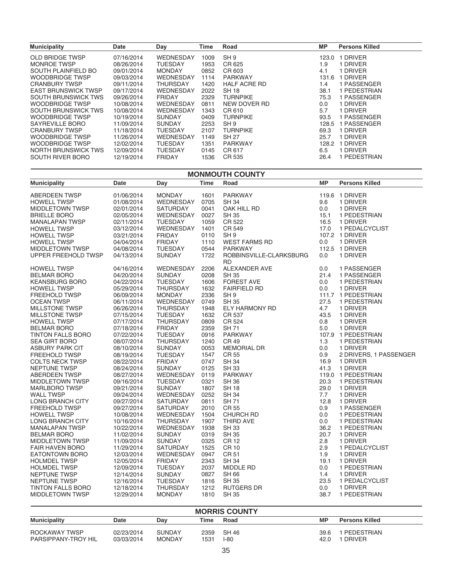| <b>Municipality</b>        | <b>Date</b> | Day              | <b>Time</b> | Road                | <b>MP</b> | <b>Persons Killed</b> |
|----------------------------|-------------|------------------|-------------|---------------------|-----------|-----------------------|
| OLD BRIDGE TWSP            | 07/16/2014  | <b>WEDNESDAY</b> | 1009        | SH <sub>9</sub>     | 123.0     | <b>DRIVER</b>         |
| MONROE TWSP                | 08/26/2014  | <b>TUESDAY</b>   | 1953        | CR 625              | 1.9       | 1 DRIVER              |
| <b>SOUTH PLAINFIELD BO</b> | 09/01/2014  | <b>MONDAY</b>    | 0852        | CR 603              | 4.1       | 1 DRIVER              |
| <b>WOODBRIDGE TWSP</b>     | 09/03/2014  | WEDNESDAY        | 1114        | <b>PARKWAY</b>      | 131.6     | <b>DRIVER</b>         |
| <b>CRANBURY TWSP</b>       | 09/11/2014  | THURSDAY         | 1420        | <b>HALF ACRE RD</b> | 1.4       | 1 PASSENGER           |
| <b>EAST BRUNSWICK TWSP</b> | 09/17/2014  | WEDNESDAY        | 2022        | <b>SH 18</b>        | 38.1      | 1 PEDESTRIAN          |
| SOUTH BRUNSWICK TWS        | 09/26/2014  | <b>FRIDAY</b>    | 2329        | <b>TURNPIKE</b>     | 75.3      | 1 PASSENGER           |
| WOODBRIDGE TWSP            | 10/08/2014  | WEDNESDAY        | 0811        | NEW DOVER RD        | 0.0       | 1 DRIVER              |
| SOUTH BRUNSWICK TWS        | 10/08/2014  | WEDNESDAY        | 1343        | CR 610              | 5.7       | 1 DRIVER              |
| <b>WOODBRIDGE TWSP</b>     | 10/19/2014  | <b>SUNDAY</b>    | 0409        | <b>TURNPIKE</b>     | 93.5      | PASSENGER             |
| SAYREVILLE BORO            | 11/09/2014  | <b>SUNDAY</b>    | 2253        | SH <sub>9</sub>     | 128.5     | PASSENGER             |
| <b>CRANBURY TWSP</b>       | 11/18/2014  | <b>TUESDAY</b>   | 2107        | <b>TURNPIKE</b>     | 69.3      | 1 DRIVER              |
| WOODBRIDGE TWSP            | 11/26/2014  | WEDNESDAY        | 1149        | <b>SH 27</b>        | 25.7      | 1 DRIVER              |
| WOODBRIDGE TWSP            | 12/02/2014  | <b>TUESDAY</b>   | 1351        | <b>PARKWAY</b>      | 128.2     | <b>DRIVER</b>         |
| NORTH BRUNSWICK TWS        | 12/09/2014  | TUESDAY          | 0145        | CR 617              | 6.5       | 1 DRIVER              |
| SOUTH RIVER BORO           | 12/19/2014  | <b>FRIDAY</b>    | 1536        | CR 535              | 26.4      | PEDESTRIAN            |

### **MONMOUTH COUNTY**

| <b>Municipality</b>      | Date       | Day              | <b>Time</b> | Road                    | <b>MP</b> | <b>Persons Killed</b>  |
|--------------------------|------------|------------------|-------------|-------------------------|-----------|------------------------|
| <b>ABERDEEN TWSP</b>     | 01/06/2014 | <b>MONDAY</b>    | 1601        | <b>PARKWAY</b>          |           | 119.6 1 DRIVER         |
| <b>HOWELL TWSP</b>       | 01/08/2014 | WEDNESDAY        | 0705        | <b>SH 34</b>            | 9.6       | 1 DRIVER               |
| <b>MIDDLETOWN TWSP</b>   | 02/01/2014 | <b>SATURDAY</b>  | 0041        | OAK HILL RD             | 0.0       | 1 DRIVER               |
| <b>BRIELLE BORO</b>      | 02/05/2014 | WEDNESDAY        | 0027        | <b>SH 35</b>            | 15.1      | 1 PEDESTRIAN           |
| <b>MANALAPAN TWSP</b>    | 02/11/2014 | <b>TUESDAY</b>   | 1059        | CR 522                  | 16.5      | 1 DRIVER               |
| <b>HOWELL TWSP</b>       | 03/12/2014 | WEDNESDAY        | 1401        | CR 549                  | 17.0      | 1 PEDALCYCLIST         |
| <b>HOWELL TWSP</b>       | 03/21/2014 | <b>FRIDAY</b>    | 0110        | SH <sub>9</sub>         |           | 107.2 1 DRIVER         |
| <b>HOWELL TWSP</b>       | 04/04/2014 | <b>FRIDAY</b>    | 1110        | <b>WEST FARMS RD</b>    | 0.0       | 1 DRIVER               |
| <b>MIDDLETOWN TWSP</b>   | 04/08/2014 | TUESDAY          | 0544        | <b>PARKWAY</b>          |           | 112.5 1 DRIVER         |
| UPPER FREEHOLD TWSP      | 04/13/2014 | <b>SUNDAY</b>    | 1722        | ROBBINSVILLE-CLARKSBURG | 0.0       | 1 DRIVER               |
|                          |            |                  |             | <b>RD</b>               |           |                        |
| <b>HOWELL TWSP</b>       | 04/16/2014 | <b>WEDNESDAY</b> | 2206        | ALEXANDER AVE           | 0.0       | 1 PASSENGER            |
| <b>BELMAR BORO</b>       | 04/20/2014 | <b>SUNDAY</b>    | 0208        | <b>SH 35</b>            | 21.4      | 1 PASSENGER            |
| <b>KEANSBURG BORO</b>    | 04/22/2014 | <b>TUESDAY</b>   | 1606        | <b>FOREST AVE</b>       | 0.0       | 1 PEDESTRIAN           |
| <b>HOWELL TWSP</b>       | 05/29/2014 | THURSDAY         | 1632        | <b>FAIRFIELD RD</b>     | 0.0       | 1 DRIVER               |
| <b>FREEHOLD TWSP</b>     | 06/09/2014 | <b>MONDAY</b>    | 2336        | SH <sub>9</sub>         |           | 111.7 1 PEDESTRIAN     |
| <b>OCEAN TWSP</b>        | 06/11/2014 | WEDNESDAY        | 0749        | <b>SH 35</b>            | 27.5      | 1 PEDESTRIAN           |
| <b>MILLSTONE TWSP</b>    | 06/26/2014 | <b>THURSDAY</b>  | 1948        | ELY HARMONY RD          | 4.7       | 1 DRIVER               |
| <b>MILLSTONE TWSP</b>    | 07/15/2014 | <b>TUESDAY</b>   | 1632        | CR 537                  | 43.5      | 1 DRIVER               |
| <b>HOWELL TWSP</b>       | 07/17/2014 | THURSDAY         | 0809        | CR 524                  | 0.8       | 1 DRIVER               |
| <b>BELMAR BORO</b>       | 07/18/2014 | <b>FRIDAY</b>    | 2359        | <b>SH 71</b>            | 5.0       | 1 DRIVER               |
| <b>TINTON FALLS BORO</b> | 07/22/2014 | <b>TUESDAY</b>   | 0916        | PARKWAY                 |           | 107.9 1 PEDESTRIAN     |
| <b>SEA GIRT BORO</b>     | 08/07/2014 | THURSDAY         | 1240        | <b>CR 49</b>            | 1.3       | 1 PEDESTRIAN           |
| <b>ASBURY PARK CIT</b>   | 08/10/2014 | <b>SUNDAY</b>    | 0053        | <b>MEMORIAL DR</b>      | 0.0       | 1 DRIVER               |
| <b>FREEHOLD TWSP</b>     | 08/19/2014 | <b>TUESDAY</b>   | 1547        | <b>CR 55</b>            | 0.9       | 2 DRIVERS, 1 PASSENGER |
| <b>COLTS NECK TWSP</b>   | 08/22/2014 | <b>FRIDAY</b>    | 0747        | <b>SH 34</b>            | 16.9      | 1 DRIVER               |
| <b>NEPTUNE TWSP</b>      | 08/24/2014 | <b>SUNDAY</b>    | 0125        | <b>SH 33</b>            | 41.3      | 1 DRIVER               |
| <b>ABERDEEN TWSP</b>     | 08/27/2014 | WEDNESDAY        | 0119        | PARKWAY                 |           | 119.0 1 PEDESTRIAN     |
| <b>MIDDLETOWN TWSP</b>   | 09/16/2014 | <b>TUESDAY</b>   | 0321        | <b>SH 36</b>            | 20.3      | 1 PEDESTRIAN           |
| <b>MARLBORO TWSP</b>     | 09/21/2014 | <b>SUNDAY</b>    | 1807        | <b>SH 18</b>            | 29.0      | 1 DRIVER               |
| <b>WALL TWSP</b>         | 09/24/2014 | <b>WEDNESDAY</b> | 0252        | <b>SH 34</b>            | 7.7       | 1 DRIVER               |
| LONG BRANCH CITY         | 09/27/2014 | <b>SATURDAY</b>  | 0811        | <b>SH71</b>             | 12.8      | 1 DRIVER               |
| <b>FREEHOLD TWSP</b>     | 09/27/2014 | <b>SATURDAY</b>  | 2010        | CR 55                   | 0.9       | 1 PASSENGER            |
| <b>HOWELL TWSP</b>       | 10/08/2014 | WEDNESDAY        | 1504        | CHURCH RD               | 0.0       | 1 PEDESTRIAN           |
| <b>LONG BRANCH CITY</b>  | 10/16/2014 | <b>THURSDAY</b>  | 1907        | THIRD AVE               | 0.0       | 1 PEDESTRIAN           |
| <b>MANALAPAN TWSP</b>    | 10/22/2014 | WEDNESDAY        | 1938        | <b>SH 33</b>            | 36.2      | 1 PEDESTRIAN           |
| <b>BELMAR BORO</b>       | 11/02/2014 | <b>SUNDAY</b>    | 0319        | <b>SH 35</b>            | 20.7      | 1 DRIVER               |
| MIDDLETOWN TWSP          | 11/09/2014 | <b>SUNDAY</b>    | 0325        | <b>CR12</b>             | 2.8       | 1 DRIVER               |
| <b>FAIR HAVEN BORO</b>   | 11/29/2014 | <b>SATURDAY</b>  | 1525        | <b>CR 10</b>            | 2.9       | 1 PEDALCYCLIST         |
| <b>EATONTOWN BORO</b>    | 12/03/2014 | <b>WEDNESDAY</b> | 0947        | <b>CR51</b>             | 1.9       | 1 DRIVER               |
| <b>HOLMDEL TWSP</b>      | 12/05/2014 | <b>FRIDAY</b>    | 2343        | <b>SH 34</b>            | 19.1      | 1 DRIVER               |
| <b>HOLMDEL TWSP</b>      | 12/09/2014 | <b>TUESDAY</b>   | 2037        | MIDDLE RD               | 0.0       | 1 PEDESTRIAN           |
| NEPTUNE TWSP             | 12/14/2014 | <b>SUNDAY</b>    | 0827        | <b>SH 66</b>            | 1.4       | 1 DRIVER               |
| NEPTUNE TWSP             | 12/16/2014 | <b>TUESDAY</b>   | 1816        | <b>SH 35</b>            | 23.5      | 1 PEDALCYCLIST         |
| TINTON FALLS BORO        | 12/18/2014 | <b>THURSDAY</b>  | 1212        | <b>RUTGERS DR</b>       | 0.0       | 1 DRIVER               |
| MIDDLETOWN TWSP          | 12/29/2014 | <b>MONDAY</b>    | 1810        | <b>SH 35</b>            | 38.7      | 1 PEDESTRIAN           |
|                          |            |                  |             |                         |           |                        |

| <b>MORRIS COUNTY</b>                 |                          |                                |              |                 |              |                               |  |  |
|--------------------------------------|--------------------------|--------------------------------|--------------|-----------------|--------------|-------------------------------|--|--|
| <b>Municipality</b>                  | Date                     | Dav                            | Time         | Road            | МP           | <b>Persons Killed</b>         |  |  |
| ROCKAWAY TWSP<br>PARSIPPANY-TROY HIL | 02/23/2014<br>03/03/2014 | <b>SUNDAY</b><br><b>MONDAY</b> | 2359<br>1531 | SH 46<br>$I-80$ | 39.6<br>42.0 | I PEDESTRIAN<br><b>DRIVER</b> |  |  |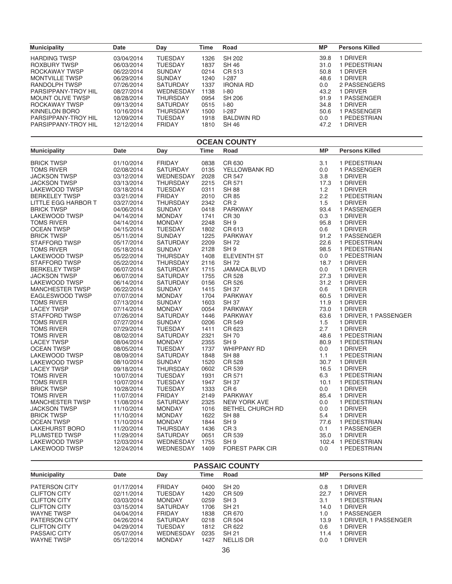| <b>Municipality</b>   | Date       | Day             | Time | Road              | <b>MP</b> | <b>Persons Killed</b> |
|-----------------------|------------|-----------------|------|-------------------|-----------|-----------------------|
| <b>HARDING TWSP</b>   | 03/04/2014 | TUESDAY         | 1326 | SH 202            | 39.8      | <b>DRIVER</b>         |
| ROXBURY TWSP          | 06/03/2014 | <b>TUESDAY</b>  | 1837 | SH 46             | 31.0      | I PEDESTRIAN          |
| ROCKAWAY TWSP         | 06/22/2014 | <b>SUNDAY</b>   | 0214 | CR 513            | 50.8      | <b>DRIVER</b>         |
| <b>MONTVILLE TWSP</b> | 06/29/2014 | <b>SUNDAY</b>   | 1240 | $1-287$           | 48.6      | 1 DRIVER              |
| RANDOLPH TWSP         | 07/26/2014 | <b>SATURDAY</b> | 1337 | <b>IRONIA RD</b>  | 0.0       | 2 PASSENGERS          |
| PARSIPPANY-TROY HIL   | 08/27/2014 | WEDNESDAY       | 1138 | $1-80$            | 43.2      | 1 DRIVER              |
| MOUNT OLIVE TWSP      | 08/28/2014 | <b>THURSDAY</b> | 0954 | SH 206            | 91.9      | 1 PASSENGER           |
| ROCKAWAY TWSP         | 09/13/2014 | <b>SATURDAY</b> | 0515 | $1-80$            | 34.8      | <b>DRIVER</b>         |
| KINNELON BORO         | 10/16/2014 | THURSDAY        | 1500 | $1-287$           | 50.6      | 1 PASSENGER           |
| PARSIPPANY-TROY HIL   | 12/09/2014 | <b>TUESDAY</b>  | 1918 | <b>BALDWIN RD</b> | 0.0       | PEDESTRIAN            |
| PARSIPPANY-TROY HIL   | 12/12/2014 | <b>FRIDAY</b>   | 1810 | SH 46             | 47.2      | DRIVER                |

| <b>OCEAN COUNTY</b>    |             |                 |             |                        |           |                       |  |  |
|------------------------|-------------|-----------------|-------------|------------------------|-----------|-----------------------|--|--|
| <b>Municipality</b>    | <b>Date</b> | Day             | <b>Time</b> | Road                   | <b>MP</b> | <b>Persons Killed</b> |  |  |
| <b>BRICK TWSP</b>      | 01/10/2014  | <b>FRIDAY</b>   | 0838        | CR 630                 | 3.1       | 1 PEDESTRIAN          |  |  |
| <b>TOMS RIVER</b>      | 02/08/2014  | <b>SATURDAY</b> | 0135        | YELLOWBANK RD          | 0.0       | 1 PASSENGER           |  |  |
| <b>JACKSON TWSP</b>    | 03/12/2014  | WEDNESDAY       | 2028        | <b>CR 547</b>          | 3.8       | 1 DRIVER              |  |  |
| <b>JACKSON TWSP</b>    | 03/13/2014  | <b>THURSDAY</b> | 2215        | CR 571                 | 17.3      | 1 DRIVER              |  |  |
| LAKEWOOD TWSP          | 03/18/2014  | <b>TUESDAY</b>  | 0311        | <b>SH 88</b>           | 1.2       | 1 DRIVER              |  |  |
| <b>BERKELEY TWSP</b>   | 03/21/2014  | <b>FRIDAY</b>   | 2010        | CR 85                  | 2.2       | 1 PEDESTRIAN          |  |  |
| LITTLE EGG HARBOR T    | 03/27/2014  | <b>THURSDAY</b> | 2342        | CR <sub>2</sub>        | 1.5       | 1 DRIVER              |  |  |
| <b>BRICK TWSP</b>      | 04/06/2014  | <b>SUNDAY</b>   | 0418        | <b>PARKWAY</b>         | 93.4      | 1 PASSENGER           |  |  |
| <b>LAKEWOOD TWSP</b>   | 04/14/2014  | <b>MONDAY</b>   | 1741        | CR 30                  | 0.3       | 1 DRIVER              |  |  |
| <b>TOMS RIVER</b>      | 04/14/2014  | <b>MONDAY</b>   | 2248        | SH <sub>9</sub>        | 95.8      | 1 DRIVER              |  |  |
| <b>OCEAN TWSP</b>      | 04/15/2014  | <b>TUESDAY</b>  | 1802        | CR 613                 | 0.6       | 1 DRIVER              |  |  |
| <b>BRICK TWSP</b>      | 05/11/2014  | <b>SUNDAY</b>   | 1225        | <b>PARKWAY</b>         | 91.2      | 1 PASSENGER           |  |  |
| <b>STAFFORD TWSP</b>   | 05/17/2014  | <b>SATURDAY</b> | 2209        | <b>SH 72</b>           | 22.6      | 1 PEDESTRIAN          |  |  |
| <b>TOMS RIVER</b>      | 05/18/2014  | <b>SUNDAY</b>   | 2128        | SH <sub>9</sub>        | 98.5      | 1 PEDESTRIAN          |  |  |
| <b>LAKEWOOD TWSP</b>   | 05/22/2014  | <b>THURSDAY</b> | 1408        | <b>ELEVENTH ST</b>     | 0.0       | 1 PEDESTRIAN          |  |  |
| <b>STAFFORD TWSP</b>   | 05/22/2014  | <b>THURSDAY</b> | 2116        | <b>SH 72</b>           | 18.7      | 1 DRIVER              |  |  |
| <b>BERKELEY TWSP</b>   | 06/07/2014  | <b>SATURDAY</b> | 1715        | <b>JAMAICA BLVD</b>    | 0.0       | 1 DRIVER              |  |  |
| <b>JACKSON TWSP</b>    | 06/07/2014  | <b>SATURDAY</b> | 1755        | CR 528                 | 27.3      | 1 DRIVER              |  |  |
| <b>LAKEWOOD TWSP</b>   | 06/14/2014  | <b>SATURDAY</b> | 0156        | CR 526                 | 31.2      | 1 DRIVER              |  |  |
| <b>MANCHESTER TWSP</b> | 06/22/2014  | <b>SUNDAY</b>   | 1415        | <b>SH 37</b>           | 0.6       | 1 DRIVER              |  |  |
| EAGLESWOOD TWSP        | 07/07/2014  | <b>MONDAY</b>   | 1704        | <b>PARKWAY</b>         | 60.5      | 1 DRIVER              |  |  |
| <b>TOMS RIVER</b>      | 07/13/2014  | <b>SUNDAY</b>   | 1603        | <b>SH 37</b>           | 11.9      | 1 DRIVER              |  |  |
| <b>LACEY TWSP</b>      | 07/14/2014  | <b>MONDAY</b>   | 0054        | <b>PARKWAY</b>         | 73.0      | 1 DRIVER              |  |  |
| <b>STAFFORD TWSP</b>   | 07/26/2014  | <b>SATURDAY</b> | 1446        | <b>PARKWAY</b>         | 63.6      | 1 DRIVER, 1 PASSENGER |  |  |
| <b>TOMS RIVER</b>      | 07/27/2014  | <b>SUNDAY</b>   | 0206        | CR 549                 | 1.5       | 1 DRIVER              |  |  |
| TOMS RIVER             | 07/29/2014  | TUESDAY         | 1411        | CR 623                 | 2.7       | 1 DRIVER              |  |  |
| TOMS RIVER             | 08/02/2014  | SATURDAY        | 2321        | <b>SH70</b>            | 48.6      | 1 PEDESTRIAN          |  |  |
| <b>LACEY TWSP</b>      | 08/04/2014  | <b>MONDAY</b>   | 2355        | SH <sub>9</sub>        | 80.9      | 1 PEDESTRIAN          |  |  |
| <b>OCEAN TWSP</b>      | 08/05/2014  | <b>TUESDAY</b>  | 1737        | <b>WHIPPANY RD</b>     | 0.0       | 1 DRIVER              |  |  |
| LAKEWOOD TWSP          | 08/09/2014  | <b>SATURDAY</b> | 1848        | <b>SH 88</b>           | 1.1       | 1 PEDESTRIAN          |  |  |
| <b>LAKEWOOD TWSP</b>   | 08/10/2014  | <b>SUNDAY</b>   | 1520        | CR 528                 | 30.7      | 1 DRIVER              |  |  |
| <b>LACEY TWSP</b>      | 09/18/2014  | <b>THURSDAY</b> | 0602        | CR 539                 | 16.5      | 1 DRIVER              |  |  |
| <b>TOMS RIVER</b>      | 10/07/2014  | <b>TUESDAY</b>  | 1931        | CR 571                 | 6.3       | 1 PEDESTRIAN          |  |  |
| TOMS RIVER             | 10/07/2014  | <b>TUESDAY</b>  | 1947        | <b>SH 37</b>           | 10.1      | 1 PEDESTRIAN          |  |  |
| <b>BRICK TWSP</b>      | 10/28/2014  | <b>TUESDAY</b>  | 1333        | CR <sub>6</sub>        | 0.0       | 1 DRIVER              |  |  |
| <b>TOMS RIVER</b>      | 11/07/2014  | <b>FRIDAY</b>   | 2149        | <b>PARKWAY</b>         | 85.4      | 1 DRIVER              |  |  |
| <b>MANCHESTER TWSP</b> | 11/08/2014  | SATURDAY        | 2325        | <b>NEW YORK AVE</b>    | 0.0       | 1 PEDESTRIAN          |  |  |
| <b>JACKSON TWSP</b>    | 11/10/2014  | <b>MONDAY</b>   | 1016        | BETHEL CHURCH RD       | 0.0       | 1 DRIVER              |  |  |
| <b>BRICK TWSP</b>      | 11/10/2014  | <b>MONDAY</b>   | 1622        | <b>SH 88</b>           | 5.4       | 1 DRIVER              |  |  |
| <b>OCEAN TWSP</b>      | 11/10/2014  | <b>MONDAY</b>   | 1844        | SH <sub>9</sub>        | 77.6      | 1 PEDESTRIAN          |  |  |
| <b>LAKEHURST BORO</b>  | 11/20/2014  | <b>THURSDAY</b> | 1436        | CR <sub>3</sub>        | 0.1       | 1 PASSENGER           |  |  |
| PLUMSTED TWSP          | 11/29/2014  | <b>SATURDAY</b> | 0651        | CR 539                 | 35.0      | 1 DRIVER              |  |  |
| LAKEWOOD TWSP          | 12/03/2014  | WEDNESDAY       | 1755        | SH <sub>9</sub>        |           | 102.4 1 PEDESTRIAN    |  |  |
| LAKEWOOD TWSP          | 12/24/2014  | WEDNESDAY       | 1409        | <b>FOREST PARK CIR</b> | 0.0       | 1 PEDESTRIAN          |  |  |

| <b>PASSAIC COUNTY</b> |            |                  |      |                  |           |                       |  |  |  |
|-----------------------|------------|------------------|------|------------------|-----------|-----------------------|--|--|--|
| <b>Municipality</b>   | Date       | Day              | Time | Road             | <b>MP</b> | <b>Persons Killed</b> |  |  |  |
| <b>PATERSON CITY</b>  | 01/17/2014 | <b>FRIDAY</b>    | 0400 | SH 20            | 0.8       | <b>DRIVER</b>         |  |  |  |
| <b>CLIFTON CITY</b>   | 02/11/2014 | <b>TUESDAY</b>   | 1420 | CR 509           | 22.7      | <b>DRIVER</b>         |  |  |  |
| <b>CLIFTON CITY</b>   | 03/03/2014 | <b>MONDAY</b>    | 0259 | SH <sub>3</sub>  | 3.1       | PEDESTRIAN            |  |  |  |
| <b>CLIFTON CITY</b>   | 03/15/2014 | <b>SATURDAY</b>  | 1706 | <b>SH 21</b>     | 14.0      | 1 DRIVER              |  |  |  |
| WAYNE TWSP            | 04/04/2014 | <b>FRIDAY</b>    | 1838 | CR 670           | 1.0       | PASSENGER             |  |  |  |
| <b>PATERSON CITY</b>  | 04/26/2014 | <b>SATURDAY</b>  | 0218 | CR 504           | 13.9      | 1 DRIVER, 1 PASSENGER |  |  |  |
| <b>CLIFTON CITY</b>   | 04/29/2014 | <b>TUESDAY</b>   | 1812 | CR 622           | 0.6       | <b>DRIVER</b>         |  |  |  |
| PASSAIC CITY          | 05/07/2014 | <b>WEDNESDAY</b> | 0235 | SH 21            | 11.4      | <b>DRIVER</b>         |  |  |  |
| WAYNE TWSP            | 05/12/2014 | <b>MONDAY</b>    | 1427 | <b>NELLIS DR</b> | 0.0       | <b>DRIVER</b>         |  |  |  |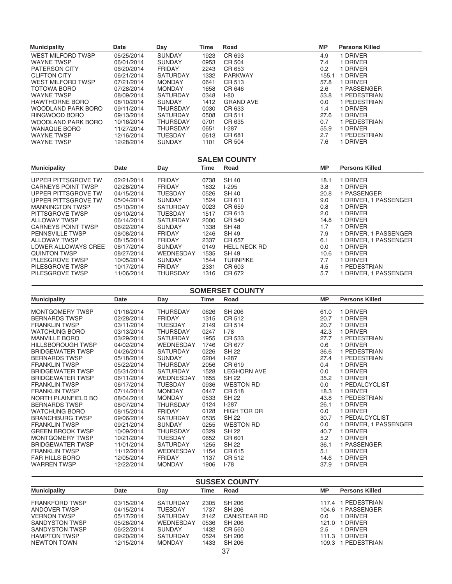| <b>Municipality</b>       | <b>Date</b> | Day             | Time | Road             | МP    | <b>Persons Killed</b> |
|---------------------------|-------------|-----------------|------|------------------|-------|-----------------------|
| WEST MILFORD TWSP         | 05/25/2014  | <b>SUNDAY</b>   | 1923 | CR 693           | 4.9   | <b>DRIVER</b>         |
| <b>WAYNE TWSP</b>         | 06/01/2014  | <b>SUNDAY</b>   | 0953 | CR 504           | 7.4   | <b>DRIVER</b>         |
| <b>PATERSON CITY</b>      | 06/20/2014  | <b>FRIDAY</b>   | 2243 | CR 653           | 0.2   | I DRIVER              |
| <b>CLIFTON CITY</b>       | 06/21/2014  | <b>SATURDAY</b> | 1332 | <b>PARKWAY</b>   | 155.1 | <b>DRIVER</b>         |
| WEST MILFORD TWSP         | 07/21/2014  | <b>MONDAY</b>   | 0641 | CR 513           | 57.8  | <b>DRIVER</b>         |
| TOTOWA BORO               | 07/28/2014  | <b>MONDAY</b>   | 1658 | CR 646           | 2.6   | I PASSENGER           |
| <b>WAYNE TWSP</b>         | 08/09/2014  | <b>SATURDAY</b> | 0348 | $I-80$           | 53.8  | I PEDESTRIAN          |
| <b>HAWTHORNE BORO</b>     | 08/10/2014  | <b>SUNDAY</b>   | 1412 | <b>GRAND AVE</b> | 0.0   | PEDESTRIAN            |
| WOODLAND PARK BORO        | 09/11/2014  | <b>THURSDAY</b> | 0030 | CR 633           | 1.4   | I DRIVER              |
| RINGWOOD BORO             | 09/13/2014  | <b>SATURDAY</b> | 0508 | CR 511           | 27.6  | <b>DRIVER</b>         |
| <b>WOODLAND PARK BORO</b> | 10/16/2014  | <b>THURSDAY</b> | 0701 | CR 635           | 0.7   | PEDESTRIAN            |
| <b>WANAQUE BORO</b>       | 11/27/2014  | <b>THURSDAY</b> | 0651 | $1-287$          | 55.9  | <b>DRIVER</b>         |
| <b>WAYNE TWSP</b>         | 12/16/2014  | <b>TUESDAY</b>  | 0613 | CR 681           | 2.7   | PEDESTRIAN            |
| <b>WAYNE TWSP</b>         | 12/28/2014  | <b>SUNDAY</b>   | 1101 | CR 504           | 7.6   | <b>DRIVER</b>         |

| <b>SALEM COUNTY</b>       |            |                  |      |                     |           |                       |  |  |
|---------------------------|------------|------------------|------|---------------------|-----------|-----------------------|--|--|
| <b>Municipality</b>       | Date       | Day              | Time | Road                | <b>MP</b> | <b>Persons Killed</b> |  |  |
| UPPER PITTSGROVE TW       | 02/21/2014 | <b>FRIDAY</b>    | 0738 | SH 40               | 18.1      | <b>DRIVER</b>         |  |  |
| <b>CARNEYS POINT TWSP</b> | 02/28/2014 | <b>FRIDAY</b>    | 1832 | $1-295$             | 3.8       | <b>DRIVER</b>         |  |  |
| UPPER PITTSGROVE TW       | 04/15/2014 | <b>TUESDAY</b>   | 0526 | <b>SH 40</b>        | 20.8      | PASSENGER             |  |  |
| UPPER PITTSGROVE TW       | 05/04/2014 | <b>SUNDAY</b>    | 1524 | CR 611              | 9.0       | DRIVER, 1 PASSENGER   |  |  |
| <b>MANNINGTON TWSP</b>    | 05/10/2014 | <b>SATURDAY</b>  | 0023 | CR 659              | 0.8       | <b>DRIVER</b>         |  |  |
| PITTSGROVE TWSP           | 06/10/2014 | <b>TUESDAY</b>   | 1517 | CR 613              | 2.0       | <b>DRIVER</b>         |  |  |
| <b>ALLOWAY TWSP</b>       | 06/14/2014 | <b>SATURDAY</b>  | 2000 | CR 540              | 14.8      | <b>DRIVER</b>         |  |  |
| <b>CARNEYS POINT TWSP</b> | 06/22/2014 | <b>SUNDAY</b>    | 1338 | <b>SH 48</b>        | 1.7       | <b>DRIVER</b>         |  |  |
| <b>PENNSVILLE TWSP</b>    | 08/08/2014 | <b>FRIDAY</b>    | 1246 | SH 49               | 7.9       | DRIVER, 1 PASSENGER   |  |  |
| <b>ALLOWAY TWSP</b>       | 08/15/2014 | <b>FRIDAY</b>    | 2337 | CR 657              | 6.1       | DRIVER, 1 PASSENGER   |  |  |
| LOWER ALLOWAYS CREE       | 08/17/2014 | <b>SUNDAY</b>    | 0149 | <b>HELL NECK RD</b> | 0.0       | DRIVER                |  |  |
| <b>QUINTON TWSP</b>       | 08/27/2014 | <b>WEDNESDAY</b> | 1535 | SH 49               | 10.6      | <b>DRIVER</b>         |  |  |
| PILESGROVE TWSP           | 10/05/2014 | <b>SUNDAY</b>    | 1544 | <b>TURNPIKE</b>     | 7.7       | <b>DRIVER</b>         |  |  |
| PILESGROVE TWSP           | 10/17/2014 | <b>FRIDAY</b>    | 2331 | CR 603              | 4.5       | PEDESTRIAN            |  |  |
| PILESGROVE TWSP           | 11/06/2014 | <b>THURSDAY</b>  | 1316 | CR 672              | 5.7       | DRIVER, 1 PASSENGER   |  |  |

| <b>SOMERSET COUNTY</b>   |            |                  |      |                    |           |                       |  |
|--------------------------|------------|------------------|------|--------------------|-----------|-----------------------|--|
| <b>Municipality</b>      | Date       | Day              | Time | Road               | <b>MP</b> | <b>Persons Killed</b> |  |
| <b>MONTGOMERY TWSP</b>   | 01/16/2014 | <b>THURSDAY</b>  | 0626 | <b>SH 206</b>      | 61.0      | 1 DRIVER              |  |
| <b>BERNARDS TWSP</b>     | 02/28/2014 | <b>FRIDAY</b>    | 1315 | CR 512             | 20.7      | 1 DRIVER              |  |
| <b>FRANKLIN TWSP</b>     | 03/11/2014 | <b>TUESDAY</b>   | 2149 | CR 514             | 20.7      | 1 DRIVER              |  |
| <b>WATCHUNG BORO</b>     | 03/13/2014 | THURSDAY         | 0247 | $I-78$             | 42.3      | 1 DRIVER              |  |
| <b>MANVILLE BORO</b>     | 03/29/2014 | <b>SATURDAY</b>  | 1955 | CR 533             | 27.7      | 1 PEDESTRIAN          |  |
| <b>HILLSBOROUGH TWSP</b> | 04/02/2014 | <b>WEDNESDAY</b> | 1746 | CR 677             | 0.6       | 1 DRIVER              |  |
| <b>BRIDGEWATER TWSP</b>  | 04/26/2014 | <b>SATURDAY</b>  | 0226 | SH 22              | 36.6      | 1 PEDESTRIAN          |  |
| <b>BERNARDS TWSP</b>     | 05/18/2014 | <b>SUNDAY</b>    | 0204 | $1-287$            | 27.4      | 1 PEDESTRIAN          |  |
| <b>FRANKLIN TWSP</b>     | 05/22/2014 | <b>THURSDAY</b>  | 2056 | CR 619             | 0.4       | 1 DRIVER              |  |
| <b>BRIDGEWATER TWSP</b>  | 05/31/2014 | <b>SATURDAY</b>  | 1528 | <b>LEGHORN AVE</b> | 0.0       | 1 DRIVER              |  |
| <b>BRIDGEWATER TWSP</b>  | 06/11/2014 | <b>WEDNESDAY</b> | 1655 | SH 22              | 35.2      | 1 DRIVER              |  |
| <b>FRANKLIN TWSP</b>     | 06/17/2014 | <b>TUESDAY</b>   | 0936 | <b>WESTON RD</b>   | 0.0       | 1 PEDALCYCLIST        |  |
| <b>FRANKLIN TWSP</b>     | 07/14/2014 | <b>MONDAY</b>    | 0447 | CR 518             | 18.3      | 1 DRIVER              |  |
| NORTH PLAINFIELD BO      | 08/04/2014 | <b>MONDAY</b>    | 0533 | <b>SH 22</b>       | 43.8      | 1 PEDESTRIAN          |  |
| <b>BERNARDS TWSP</b>     | 08/07/2014 | <b>THURSDAY</b>  | 0124 | $I-287$            | 26.1      | 1 DRIVER              |  |
| <b>WATCHUNG BORO</b>     | 08/15/2014 | <b>FRIDAY</b>    | 0128 | HIGH TOR DR        | 0.0       | 1 DRIVER              |  |
| <b>BRANCHBURG TWSP</b>   | 09/06/2014 | <b>SATURDAY</b>  | 0535 | <b>SH 22</b>       | 30.7      | 1 PEDALCYCLIST        |  |
| <b>FRANKLIN TWSP</b>     | 09/21/2014 | <b>SUNDAY</b>    | 0255 | <b>WESTON RD</b>   | 0.0       | 1 DRIVER, 1 PASSENGER |  |
| <b>GREEN BROOK TWSP</b>  | 10/09/2014 | <b>THURSDAY</b>  | 0329 | <b>SH 22</b>       | 40.7      | 1 DRIVER              |  |
| <b>MONTGOMERY TWSP</b>   | 10/21/2014 | TUESDAY          | 0652 | CR 601             | 5.2       | 1 DRIVER              |  |
| <b>BRIDGEWATER TWSP</b>  | 11/01/2014 | SATURDAY         | 1255 | SH 22              | 36.1      | 1 PASSENGER           |  |
| <b>FRANKLIN TWSP</b>     | 11/12/2014 | WEDNESDAY        | 1154 | CR 615             | 5.1       | 1 DRIVER              |  |
| <b>FAR HILLS BORO</b>    | 12/05/2014 | <b>FRIDAY</b>    | 1137 | CR 512             | 14.6      | 1 DRIVER              |  |
| <b>WARREN TWSP</b>       | 12/22/2014 | <b>MONDAY</b>    | 1906 | $I - 78$           | 37.9      | 1 DRIVER              |  |

| <b>SUSSEX COUNTY</b>  |            |                 |      |                     |           |                       |
|-----------------------|------------|-----------------|------|---------------------|-----------|-----------------------|
| <b>Municipality</b>   | Date       | Day             | Time | Road                | <b>MP</b> | <b>Persons Killed</b> |
| <b>FRANKFORD TWSP</b> | 03/15/2014 | <b>SATURDAY</b> | 2305 | SH 206              | 117.4     | 1 PEDESTRIAN          |
| ANDOVER TWSP          | 04/15/2014 | <b>TUESDAY</b>  | 1737 | SH 206              | 104.6     | 1 PASSENGER           |
| <b>VERNON TWSP</b>    | 05/17/2014 | <b>SATURDAY</b> | 2142 | <b>CANISTEAR RD</b> | 0.0       | 1 DRIVER              |
| SANDYSTON TWSP        | 05/28/2014 | WEDNESDAY       | 0536 | SH 206              | 121.0     | 1 DRIVER              |
| <b>SANDYSTON TWSP</b> | 06/22/2014 | <b>SUNDAY</b>   | 1432 | CR 560              | 2.5       | I DRIVER              |
| <b>HAMPTON TWSP</b>   | 09/20/2014 | <b>SATURDAY</b> | 0524 | SH 206              | 111.3     | 1 DRIVER              |
| <b>NEWTON TOWN</b>    | 12/15/2014 | <b>MONDAY</b>   | 1433 | SH 206              | 109.3     | 1 PEDESTRIAN          |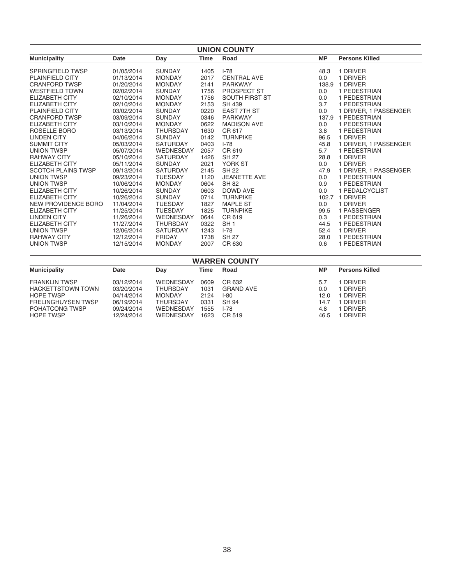| <b>UNION COUNTY</b>       |            |                  |             |                       |           |                       |  |
|---------------------------|------------|------------------|-------------|-----------------------|-----------|-----------------------|--|
| <b>Municipality</b>       | Date       | Day              | <b>Time</b> | Road                  | <b>MP</b> | <b>Persons Killed</b> |  |
| <b>SPRINGFIELD TWSP</b>   | 01/05/2014 | <b>SUNDAY</b>    | 1405        | $I - 78$              | 48.3      | 1 DRIVER              |  |
| <b>PLAINFIELD CITY</b>    | 01/13/2014 | <b>MONDAY</b>    | 2017        | <b>CENTRAL AVE</b>    | 0.0       | 1 DRIVER              |  |
| <b>CRANFORD TWSP</b>      | 01/20/2014 | <b>MONDAY</b>    | 2141        | <b>PARKWAY</b>        | 138.9     | 1 DRIVER              |  |
| <b>WESTFIELD TOWN</b>     | 02/02/2014 | <b>SUNDAY</b>    | 1756        | PROSPECT ST           | 0.0       | 1 PEDESTRIAN          |  |
| <b>ELIZABETH CITY</b>     | 02/10/2014 | <b>MONDAY</b>    | 1756        | <b>SOUTH FIRST ST</b> | 0.0       | 1 PEDESTRIAN          |  |
| ELIZABETH CITY            | 02/10/2014 | <b>MONDAY</b>    | 2153        | SH 439                | 3.7       | 1 PEDESTRIAN          |  |
| <b>PLAINFIELD CITY</b>    | 03/02/2014 | <b>SUNDAY</b>    | 0220        | <b>EAST 7TH ST</b>    | 0.0       | 1 DRIVER, 1 PASSENGER |  |
| <b>CRANFORD TWSP</b>      | 03/09/2014 | <b>SUNDAY</b>    | 0346        | <b>PARKWAY</b>        | 137.9     | 1 PEDESTRIAN          |  |
| <b>ELIZABETH CITY</b>     | 03/10/2014 | <b>MONDAY</b>    | 0622        | <b>MADISON AVE</b>    | 0.0       | 1 PEDESTRIAN          |  |
| ROSELLE BORO              | 03/13/2014 | <b>THURSDAY</b>  | 1630        | CR 617                | 3.8       | 1 PEDESTRIAN          |  |
| <b>LINDEN CITY</b>        | 04/06/2014 | <b>SUNDAY</b>    | 0142        | <b>TURNPIKE</b>       | 96.5      | 1 DRIVER              |  |
| <b>SUMMIT CITY</b>        | 05/03/2014 | <b>SATURDAY</b>  | 0403        | $I - 78$              | 45.8      | 1 DRIVER, 1 PASSENGER |  |
| <b>UNION TWSP</b>         | 05/07/2014 | <b>WEDNESDAY</b> | 2057        | CR 619                | 5.7       | 1 PEDESTRIAN          |  |
| <b>RAHWAY CITY</b>        | 05/10/2014 | <b>SATURDAY</b>  | 1426        | <b>SH 27</b>          | 28.8      | 1 DRIVER              |  |
| <b>ELIZABETH CITY</b>     | 05/11/2014 | <b>SUNDAY</b>    | 2021        | YORK ST               | 0.0       | 1 DRIVER              |  |
| <b>SCOTCH PLAINS TWSP</b> | 09/13/2014 | <b>SATURDAY</b>  | 2145        | <b>SH 22</b>          | 47.9      | 1 DRIVER, 1 PASSENGER |  |
| UNION TWSP                | 09/23/2014 | <b>TUESDAY</b>   | 1120        | <b>JEANETTE AVE</b>   | 0.0       | 1 PEDESTRIAN          |  |
| <b>UNION TWSP</b>         | 10/06/2014 | <b>MONDAY</b>    | 0604        | <b>SH 82</b>          | 0.9       | 1 PEDESTRIAN          |  |
| <b>ELIZABETH CITY</b>     | 10/26/2014 | <b>SUNDAY</b>    | 0603        | DOWD AVE              | 0.0       | 1 PEDALCYCLIST        |  |
| <b>ELIZABETH CITY</b>     | 10/26/2014 | <b>SUNDAY</b>    | 0714        | <b>TURNPIKE</b>       | 102.7     | 1 DRIVER              |  |
| NEW PROVIDENCE BORO       | 11/04/2014 | <b>TUESDAY</b>   | 1827        | <b>MAPLE ST</b>       | 0.0       | 1 DRIVER              |  |
| <b>ELIZABETH CITY</b>     | 11/25/2014 | <b>TUESDAY</b>   | 1825        | <b>TURNPIKE</b>       | 99.5      | 1 PASSENGER           |  |
| <b>LINDEN CITY</b>        | 11/26/2014 | WEDNESDAY        | 0644        | CR 619                | 0.3       | 1 PEDESTRIAN          |  |
| <b>ELIZABETH CITY</b>     | 11/27/2014 | <b>THURSDAY</b>  | 0322        | SH <sub>1</sub>       | 44.5      | 1 PEDESTRIAN          |  |
| <b>UNION TWSP</b>         | 12/06/2014 | <b>SATURDAY</b>  | 1243        | $I - 78$              | 52.4      | 1 DRIVER              |  |
| <b>RAHWAY CITY</b>        | 12/12/2014 | <b>FRIDAY</b>    | 1738        | <b>SH 27</b>          | 28.0      | 1 PEDESTRIAN          |  |
| <b>UNION TWSP</b>         | 12/15/2014 | <b>MONDAY</b>    | 2007        | CR 630                | 0.6       | 1 PEDESTRIAN          |  |

| <b>WARREN COUNTY</b>      |            |                 |      |                  |      |                       |  |
|---------------------------|------------|-----------------|------|------------------|------|-----------------------|--|
| <b>Municipality</b>       | Date       | Day             | Time | Road             | МP   | <b>Persons Killed</b> |  |
| <b>FRANKLIN TWSP</b>      | 03/12/2014 | WEDNESDAY       | 0609 | CR 632           | 5.7  | 1 DRIVER              |  |
| <b>HACKETTSTOWN TOWN</b>  | 03/20/2014 | <b>THURSDAY</b> | 1031 | <b>GRAND AVE</b> | 0.0  | 1 DRIVER              |  |
| <b>HOPE TWSP</b>          | 04/14/2014 | <b>MONDAY</b>   | 2124 | $1-80$           | 12.0 | 1 DRIVER              |  |
| <b>FRELINGHUYSEN TWSP</b> | 06/19/2014 | <b>THURSDAY</b> | 0331 | SH 94            | 14.7 | 1 DRIVER              |  |
| POHATCONG TWSP            | 09/24/2014 | WEDNESDAY       | 1555 | $I - 78$         | 4.8  | 1 DRIVER              |  |
| <b>HOPE TWSP</b>          | 12/24/2014 | WEDNESDAY       | 1623 | CR 519           | 46.5 | 1 DRIVER              |  |